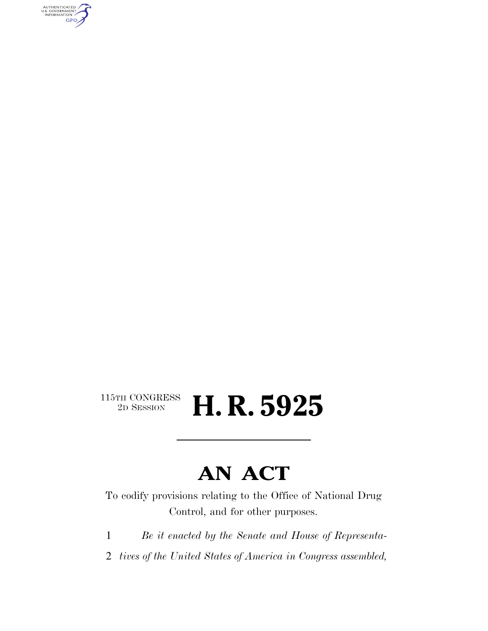AUTHENTICATED<br>U.S. GOVERNMENT<br>INFORMATION GPO

### $\begin{array}{c} \textbf{115TH CONGRESS} \\ \textbf{2D} \textbf{Session} \end{array}$ H. R. 5925

# **AN ACT**

To codify provisions relating to the Office of National Drug Control, and for other purposes.

1 *Be it enacted by the Senate and House of Representa-*

2 *tives of the United States of America in Congress assembled,*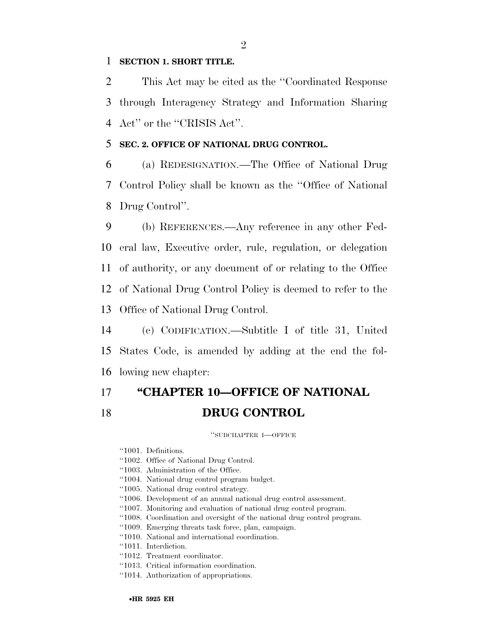#### 1 **SECTION 1. SHORT TITLE.**

2 This Act may be cited as the ''Coordinated Response 3 through Interagency Strategy and Information Sharing 4 Act'' or the ''CRISIS Act''.

### 5 **SEC. 2. OFFICE OF NATIONAL DRUG CONTROL.**

6 (a) REDESIGNATION.—The Office of National Drug 7 Control Policy shall be known as the ''Office of National 8 Drug Control''.

 (b) REFERENCES.—Any reference in any other Fed- eral law, Executive order, rule, regulation, or delegation of authority, or any document of or relating to the Office of National Drug Control Policy is deemed to refer to the Office of National Drug Control.

14 (c) CODIFICATION.—Subtitle I of title 31, United 15 States Code, is amended by adding at the end the fol-16 lowing new chapter:

## 17 **''CHAPTER 10—OFFICE OF NATIONAL**  18 **DRUG CONTROL**

''SUBCHAPTER I—OFFICE

- ''1001. Definitions.
- ''1002. Office of National Drug Control.
- ''1003. Administration of the Office.
- ''1004. National drug control program budget.
- ''1005. National drug control strategy.
- ''1006. Development of an annual national drug control assessment.
- ''1007. Monitoring and evaluation of national drug control program.
- ''1008. Coordination and oversight of the national drug control program.
- ''1009. Emerging threats task force, plan, campaign.
- ''1010. National and international coordination.
- ''1011. Interdiction.
- ''1012. Treatment coordinator.
- ''1013. Critical information coordination.
- ''1014. Authorization of appropriations.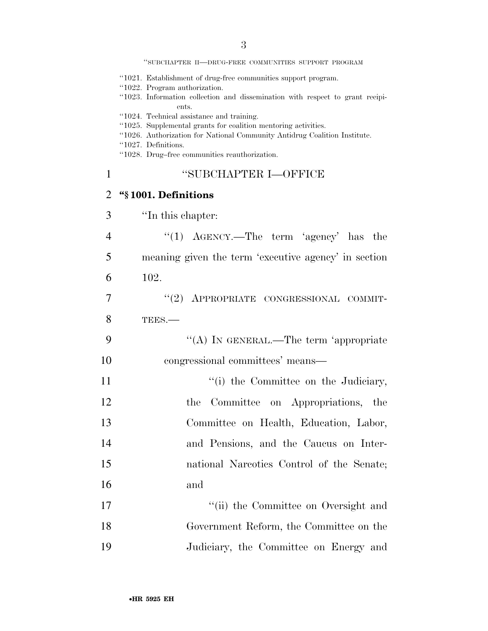''SUBCHAPTER II—DRUG-FREE COMMUNITIES SUPPORT PROGRAM

- ''1021. Establishment of drug-free communities support program.
- ''1022. Program authorization.
- ''1023. Information collection and dissemination with respect to grant recipients.
- ''1024. Technical assistance and training.
- ''1025. Supplemental grants for coalition mentoring activities.
- ''1026. Authorization for National Community Antidrug Coalition Institute.
- ''1027. Definitions.
- ''1028. Drug–free communities reauthorization.

### 1 ''SUBCHAPTER I—OFFICE

### 2 **''§ 1001. Definitions**

- 3 ''In this chapter:
- 4 "(1) AGENCY.—The term 'agency' has the 5 meaning given the term 'executive agency' in section 6 102.
- 7 ''(2) APPROPRIATE CONGRESSIONAL COMMIT-8 TEES.—
- 9 "(A) IN GENERAL.—The term 'appropriate 10 congressional committees' means—
- 11 ''(i) the Committee on the Judiciary, 12 the Committee on Appropriations, the 13 Committee on Health, Education, Labor, 14 and Pensions, and the Caucus on Inter-15 national Narcotics Control of the Senate; 16 and
- 17 ''(ii) the Committee on Oversight and 18 Government Reform, the Committee on the 19 Judiciary, the Committee on Energy and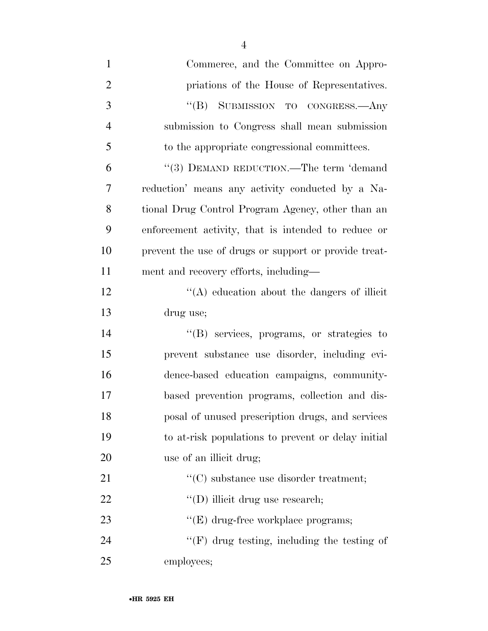| $\mathbf{1}$   | Commerce, and the Committee on Appro-                 |
|----------------|-------------------------------------------------------|
| $\overline{2}$ | priations of the House of Representatives.            |
| 3              | $\mathrm{``(B)}$<br>SUBMISSION TO CONGRESS.- Any      |
| $\overline{4}$ | submission to Congress shall mean submission          |
| 5              | to the appropriate congressional committees.          |
| 6              | "(3) DEMAND REDUCTION.—The term 'demand               |
| $\overline{7}$ | reduction' means any activity conducted by a Na-      |
| 8              | tional Drug Control Program Agency, other than an     |
| 9              | enforcement activity, that is intended to reduce or   |
| 10             | prevent the use of drugs or support or provide treat- |
| 11             | ment and recovery efforts, including—                 |
| 12             | $\lq\lq$ education about the dangers of illicit       |
| 13             | drug use;                                             |
| 14             | "(B) services, programs, or strategies to             |
| 15             | prevent substance use disorder, including evi-        |
| 16             | dence-based education campaigns, community-           |
| 17             | based prevention programs, collection and dis-        |
| 18             | posal of unused prescription drugs, and services      |
| 19             | to at-risk populations to prevent or delay initial    |
| 20             | use of an illicit drug;                               |
| 21             | $\lq\lq$ substance use disorder treatment;            |
| 22             | "(D) illicit drug use research;                       |
| 23             | $\lq\lq(E)$ drug-free workplace programs;             |
| 24             | $"$ (F) drug testing, including the testing of        |
| 25             | employees;                                            |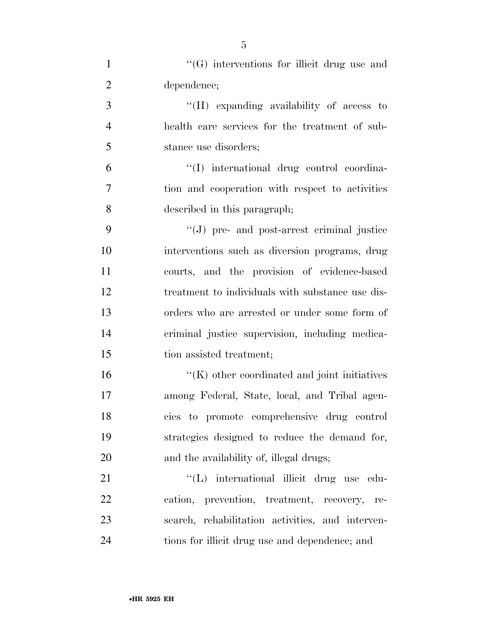| $\mathbf{1}$   | "(G) interventions for illicit drug use and          |
|----------------|------------------------------------------------------|
| $\overline{2}$ | dependence;                                          |
| 3              | $\lq\lq(H)$ expanding availability of access to      |
| $\overline{4}$ | health care services for the treatment of sub-       |
| 5              | stance use disorders;                                |
| 6              | "(I) international drug control coordina-            |
| 7              | tion and cooperation with respect to activities      |
| 8              | described in this paragraph;                         |
| 9              | $\lq\lq(J)$ pre- and post-arrest criminal justice    |
| 10             | interventions such as diversion programs, drug       |
| 11             | courts, and the provision of evidence-based          |
| 12             | treatment to individuals with substance use dis-     |
| 13             | orders who are arrested or under some form of        |
| 14             | criminal justice supervision, including medica-      |
| 15             | tion assisted treatment;                             |
| 16             | $\lq\lq$ (K) other coordinated and joint initiatives |
| 17             | among Federal, State, local, and Tribal agen-        |
| 18             | cies to promote comprehensive drug control           |
| 19             | strategies designed to reduce the demand for,        |
| 20             | and the availability of, illegal drugs;              |
| 21             | "(L) international illicit drug use edu-             |
| 22             | cation, prevention, treatment, recovery, re-         |
| 23             | search, rehabilitation activities, and interven-     |
| 24             | tions for illicit drug use and dependence; and       |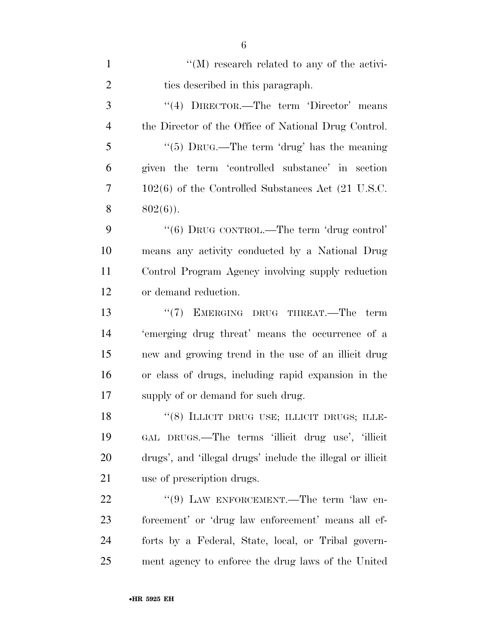| $\mathbf{1}$   | $\lq\lq (M)$ research related to any of the activi-        |
|----------------|------------------------------------------------------------|
| $\overline{2}$ | ties described in this paragraph.                          |
| 3              | "(4) DIRECTOR.—The term 'Director' means                   |
| $\overline{4}$ | the Director of the Office of National Drug Control.       |
| 5              | "(5) DRUG.—The term 'drug' has the meaning                 |
| 6              | given the term 'controlled substance' in section           |
| 7              | $102(6)$ of the Controlled Substances Act (21 U.S.C.       |
| 8              | $802(6)$ ).                                                |
| 9              | "(6) DRUG CONTROL.—The term 'drug control'                 |
| 10             | means any activity conducted by a National Drug            |
| 11             | Control Program Agency involving supply reduction          |
| 12             | or demand reduction.                                       |
| 13             | "(7) EMERGING DRUG THREAT.—The term                        |
| 14             | 'emerging drug threat' means the occurrence of a           |
| 15             | new and growing trend in the use of an illicit drug        |
| 16             | or class of drugs, including rapid expansion in the        |
| 17             | supply of or demand for such drug.                         |
| 18             | "(8) ILLICIT DRUG USE; ILLICIT DRUGS; ILLE-                |
| 19             | GAL DRUGS.—The terms 'illicit drug use', 'illicit          |
| 20             | drugs', and 'illegal drugs' include the illegal or illicit |
| 21             | use of prescription drugs.                                 |
| 22             | " $(9)$ LAW ENFORCEMENT.—The term 'law en-                 |
| 23             | forcement' or 'drug law enforcement' means all ef-         |
| 24             | forts by a Federal, State, local, or Tribal govern-        |
| 25             | ment agency to enforce the drug laws of the United         |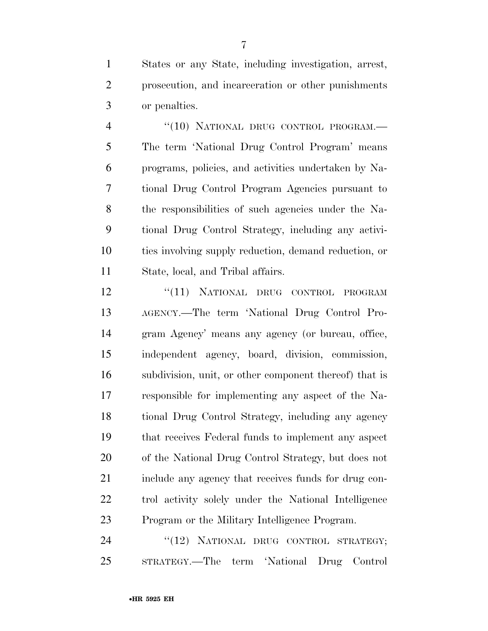States or any State, including investigation, arrest, prosecution, and incarceration or other punishments or penalties.

4 "(10) NATIONAL DRUG CONTROL PROGRAM. The term 'National Drug Control Program' means programs, policies, and activities undertaken by Na- tional Drug Control Program Agencies pursuant to the responsibilities of such agencies under the Na- tional Drug Control Strategy, including any activi- ties involving supply reduction, demand reduction, or State, local, and Tribal affairs.

12 "(11) NATIONAL DRUG CONTROL PROGRAM AGENCY.—The term 'National Drug Control Pro- gram Agency' means any agency (or bureau, office, independent agency, board, division, commission, subdivision, unit, or other component thereof) that is responsible for implementing any aspect of the Na- tional Drug Control Strategy, including any agency that receives Federal funds to implement any aspect of the National Drug Control Strategy, but does not include any agency that receives funds for drug con- trol activity solely under the National Intelligence Program or the Military Intelligence Program.

24 "(12) NATIONAL DRUG CONTROL STRATEGY; STRATEGY.—The term 'National Drug Control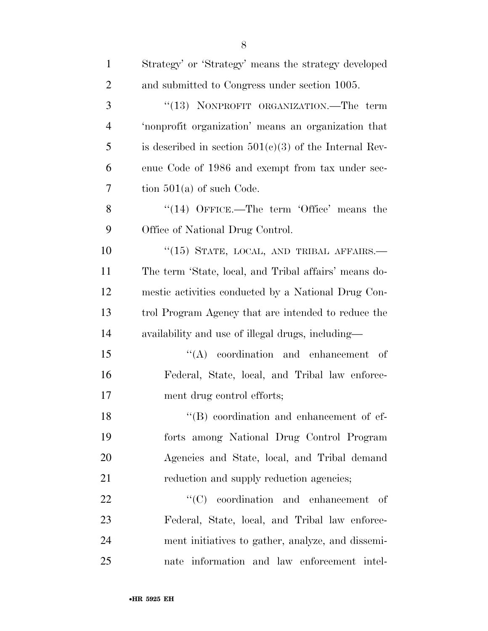| $\mathbf{1}$   | Strategy' or 'Strategy' means the strategy developed     |
|----------------|----------------------------------------------------------|
| $\overline{2}$ | and submitted to Congress under section 1005.            |
| 3              | "(13) NONPROFIT ORGANIZATION.—The term                   |
| $\overline{4}$ | 'nonprofit organization' means an organization that      |
| 5              | is described in section $501(c)(3)$ of the Internal Rev- |
| 6              | enue Code of 1986 and exempt from tax under sec-         |
| 7              | tion $501(a)$ of such Code.                              |
| 8              | " $(14)$ OFFICE.—The term 'Office' means the             |
| 9              | Office of National Drug Control.                         |
| 10             | "(15) STATE, LOCAL, AND TRIBAL AFFAIRS.-                 |
| 11             | The term 'State, local, and Tribal affairs' means do-    |
| 12             | mestic activities conducted by a National Drug Con-      |
| 13             | trol Program Agency that are intended to reduce the      |
| 14             | availability and use of illegal drugs, including—        |
| 15             | $\lq\lq$ coordination and enhancement of                 |
| 16             | Federal, State, local, and Tribal law enforce-           |
| 17             | ment drug control efforts;                               |
| 18             | $\lq\lq (B)$ coordination and enhancement of ef-         |
| 19             | forts among National Drug Control Program                |
| 20             | Agencies and State, local, and Tribal demand             |
| 21             | reduction and supply reduction agencies;                 |
| 22             | $\lq\lq$ coordination and enhancement of                 |
| 23             | Federal, State, local, and Tribal law enforce-           |
| 24             | ment initiatives to gather, analyze, and dissemi-        |
| 25             | nate information and law enforcement intel-              |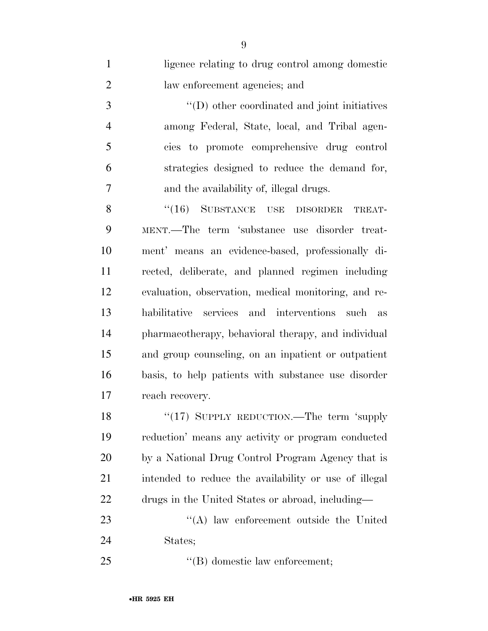| $\mathbf{1}$   | ligence relating to drug control among domestic       |
|----------------|-------------------------------------------------------|
| $\overline{2}$ | law enforcement agencies; and                         |
| 3              | $\lq\lq$ other coordinated and joint initiatives      |
| $\overline{4}$ | among Federal, State, local, and Tribal agen-         |
| 5              | cies to promote comprehensive drug control            |
| 6              | strategies designed to reduce the demand for,         |
| 7              | and the availability of, illegal drugs.               |
| 8              | $``(16)$ SUBSTANCE USE DISORDER<br>TREAT-             |
| 9              | MENT.—The term 'substance use disorder treat-         |
| 10             | ment' means an evidence-based, professionally di-     |
| 11             | rected, deliberate, and planned regimen including     |
| 12             | evaluation, observation, medical monitoring, and re-  |
| 13             | habilitative services and interventions such as       |
| 14             | pharmacotherapy, behavioral therapy, and individual   |
| 15             | and group counseling, on an inpatient or outpatient   |
| 16             | basis, to help patients with substance use disorder   |
| 17             | reach recovery.                                       |
| 18             | "(17) SUPPLY REDUCTION.—The term 'supply              |
| 19             | reduction' means any activity or program conducted    |
| 20             | by a National Drug Control Program Agency that is     |
| 21             | intended to reduce the availability or use of illegal |
| 22             | drugs in the United States or abroad, including—      |
| 23             | "(A) law enforcement outside the United               |
| 24             | States;                                               |
| 25             | $\lq\lq$ domestic law enforcement;                    |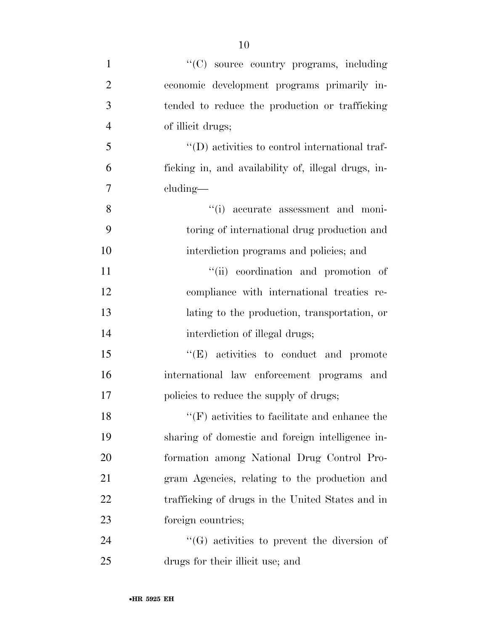- ''(C) source country programs, including economic development programs primarily in- tended to reduce the production or trafficking of illicit drugs; ''(D) activities to control international traf- ficking in, and availability of, illegal drugs, in- cluding— 8  $(i)$  accurate assessment and moni- toring of international drug production and interdiction programs and policies; and 11  $\frac{1}{\sin}$  coordination and promotion of compliance with international treaties re- lating to the production, transportation, or 14 interdiction of illegal drugs; 15 "'(E) activities to conduct and promote international law enforcement programs and 17 policies to reduce the supply of drugs; 18 ''(F) activities to facilitate and enhance the sharing of domestic and foreign intelligence in- formation among National Drug Control Pro- gram Agencies, relating to the production and trafficking of drugs in the United States and in foreign countries; 24  $\bullet$  (G) activities to prevent the diversion of
- drugs for their illicit use; and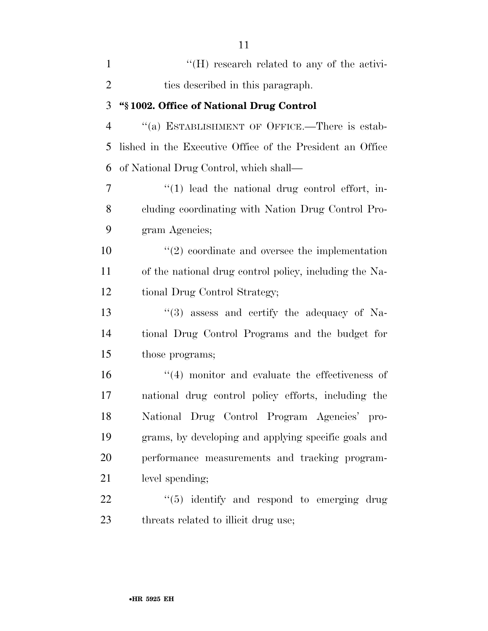| $\mathbf{1}$   | $H(H)$ research related to any of the activi-               |
|----------------|-------------------------------------------------------------|
| $\overline{2}$ | ties described in this paragraph.                           |
| 3              | "§1002. Office of National Drug Control                     |
| $\overline{4}$ | "(a) ESTABLISHMENT OF OFFICE.—There is estab-               |
| 5              | lished in the Executive Office of the President an Office   |
| 6              | of National Drug Control, which shall—                      |
| 7              | $\lq(1)$ lead the national drug control effort, in-         |
| 8              | cluding coordinating with Nation Drug Control Pro-          |
| 9              | gram Agencies;                                              |
| 10             | $\lq(2)$ coordinate and oversee the implementation          |
| 11             | of the national drug control policy, including the Na-      |
| 12             | tional Drug Control Strategy;                               |
| 13             | $\cdot\cdot\cdot(3)$ assess and certify the adequacy of Na- |
| 14             | tional Drug Control Programs and the budget for             |
| 15             | those programs;                                             |
| 16             | $(4)$ monitor and evaluate the effectiveness of             |
| 17             | national drug control policy efforts, including the         |
| 18             | National Drug Control Program Agencies' pro-                |
| 19             | grams, by developing and applying specific goals and        |
| 20             | performance measurements and tracking program-              |
| 21             | level spending;                                             |
| 22             | $\lq(5)$ identify and respond to emerging drug              |
| 23             | threats related to illicit drug use;                        |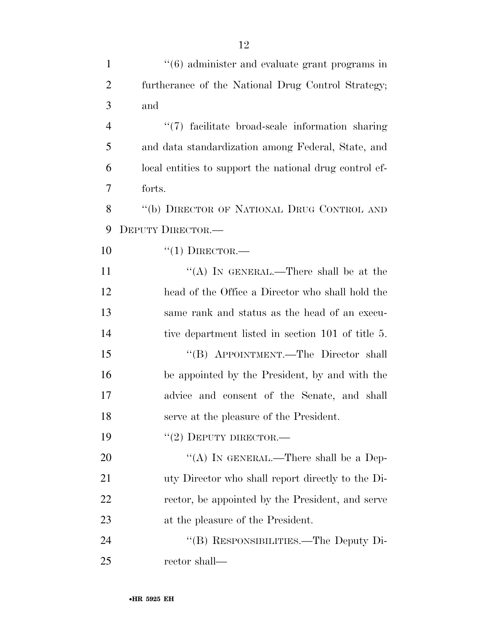| $\mathbf{1}$   | $"(6)$ administer and evaluate grant programs in        |
|----------------|---------------------------------------------------------|
| $\overline{2}$ | furtherance of the National Drug Control Strategy;      |
| 3              | and                                                     |
| $\overline{4}$ | "(7) facilitate broad-scale information sharing         |
| 5              | and data standardization among Federal, State, and      |
| 6              | local entities to support the national drug control ef- |
| 7              | forts.                                                  |
| 8              | "(b) DIRECTOR OF NATIONAL DRUG CONTROL AND              |
| 9              | DEPUTY DIRECTOR.-                                       |
| 10             | $``(1)$ DIRECTOR.—                                      |
| 11             | "(A) IN GENERAL.—There shall be at the                  |
| 12             | head of the Office a Director who shall hold the        |
| 13             | same rank and status as the head of an execu-           |
| 14             | tive department listed in section 101 of title 5.       |
| 15             | "(B) APPOINTMENT.—The Director shall                    |
| 16             | be appointed by the President, by and with the          |
| 17             | advice and consent of the Senate, and shall             |
| 18             | serve at the pleasure of the President.                 |
| 19             | $``(2)$ DEPUTY DIRECTOR.—                               |
| 20             | "(A) IN GENERAL.—There shall be a Dep-                  |
| 21             | uty Director who shall report directly to the Di-       |
| 22             | rector, be appointed by the President, and serve        |
| 23             | at the pleasure of the President.                       |
| 24             | "(B) RESPONSIBILITIES.—The Deputy Di-                   |
| 25             | rector shall—                                           |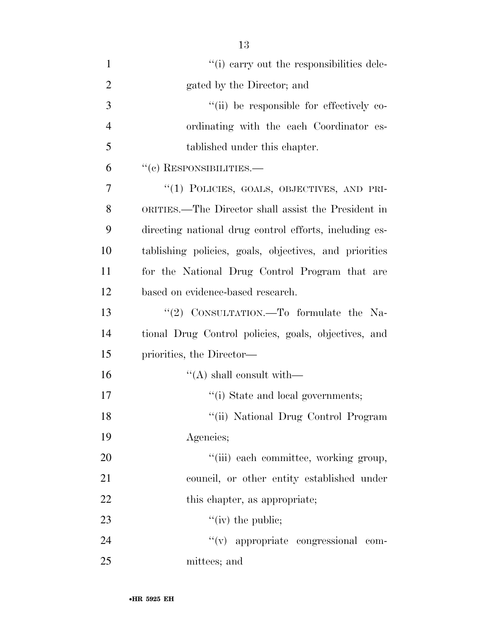| $\mathbf{1}$   | "(i) carry out the responsibilities dele-              |
|----------------|--------------------------------------------------------|
| $\overline{2}$ | gated by the Director; and                             |
| 3              | "(ii) be responsible for effectively co-               |
| $\overline{4}$ | ordinating with the each Coordinator es-               |
| 5              | tablished under this chapter.                          |
| 6              | $``(c)$ RESPONSIBILITIES.—                             |
| 7              | "(1) POLICIES, GOALS, OBJECTIVES, AND PRI-             |
| 8              | ORITIES.—The Director shall assist the President in    |
| 9              | directing national drug control efforts, including es- |
| 10             | tablishing policies, goals, objectives, and priorities |
| 11             | for the National Drug Control Program that are         |
| 12             | based on evidence-based research.                      |
| 13             | "(2) CONSULTATION.—To formulate the Na-                |
| 14             | tional Drug Control policies, goals, objectives, and   |
| 15             | priorities, the Director—                              |
| 16             | $\lq\lq$ shall consult with —                          |
| 17             | "(i) State and local governments;                      |
| 18             | "(ii) National Drug Control Program                    |
| 19             | Agencies;                                              |
| 20             | "(iii) each committee, working group,                  |
| 21             | council, or other entity established under             |
| 22             | this chapter, as appropriate;                          |
| 23             | $\lq\lq$ (iv) the public;                              |
| 24             | "(v) appropriate congressional com-                    |
| 25             | mittees; and                                           |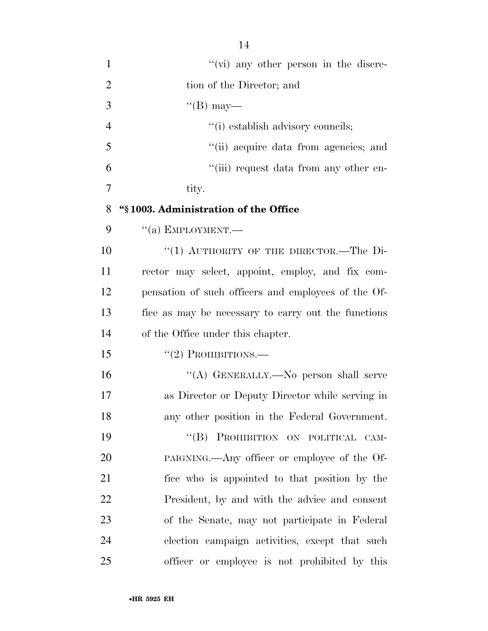| $\mathbf{1}$   | $\lq\lq$ (vi) any other person in the discre-       |
|----------------|-----------------------------------------------------|
| $\overline{2}$ | tion of the Director; and                           |
| 3              | $\lq\lq (B)$ may—                                   |
| $\overline{4}$ | "(i) establish advisory councils;                   |
| 5              | "(ii) acquire data from agencies; and               |
| 6              | "(iii) request data from any other en-              |
| $\overline{7}$ | tity.                                               |
| 8              | "§1003. Administration of the Office                |
| 9              | $``(a)$ EMPLOYMENT.—                                |
| 10             | "(1) AUTHORITY OF THE DIRECTOR.-The Di-             |
| 11             | rector may select, appoint, employ, and fix com-    |
| 12             | pensation of such officers and employees of the Of- |
| 13             | fice as may be necessary to carry out the functions |
| 14             | of the Office under this chapter.                   |
| 15             | $``(2)$ PROHIBITIONS.—                              |
| 16             | "(A) GENERALLY.—No person shall serve               |
| 17             | as Director or Deputy Director while serving in     |
| 18             | any other position in the Federal Government.       |
|                |                                                     |

19 "(B) PROHIBITION ON POLITICAL CAM- PAIGNING.—Any officer or employee of the Of- fice who is appointed to that position by the President, by and with the advice and consent of the Senate, may not participate in Federal election campaign activities, except that such officer or employee is not prohibited by this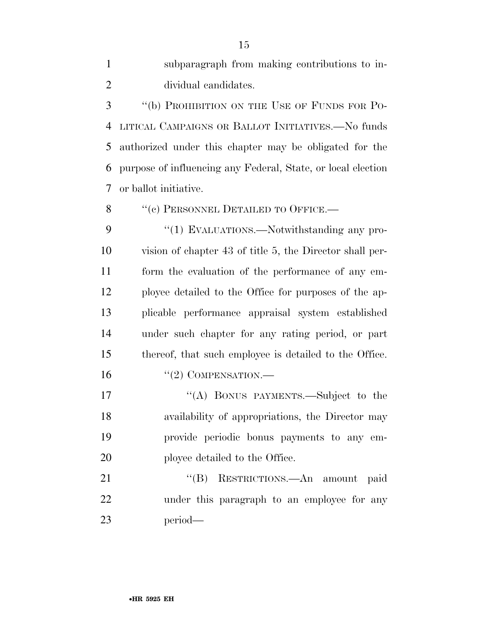subparagraph from making contributions to in-dividual candidates.

 ''(b) PROHIBITION ON THE USE OF FUNDS FOR PO- LITICAL CAMPAIGNS OR BALLOT INITIATIVES.—No funds authorized under this chapter may be obligated for the purpose of influencing any Federal, State, or local election or ballot initiative.

8 "(c) PERSONNEL DETAILED TO OFFICE.—

9 "(1) EVALUATIONS.—Notwithstanding any pro- vision of chapter 43 of title 5, the Director shall per- form the evaluation of the performance of any em- ployee detailed to the Office for purposes of the ap- plicable performance appraisal system established under such chapter for any rating period, or part thereof, that such employee is detailed to the Office. 16 "(2) COMPENSATION.—

17 "(A) BONUS PAYMENTS.—Subject to the availability of appropriations, the Director may provide periodic bonus payments to any em-20 ployee detailed to the Office.

21 "(B) RESTRICTIONS.—An amount paid under this paragraph to an employee for any period—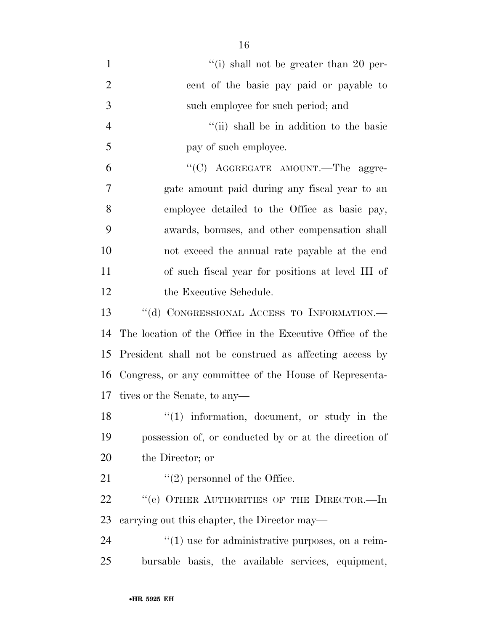| $\mathbf{1}$   | "(i) shall not be greater than 20 per-                      |
|----------------|-------------------------------------------------------------|
| $\overline{2}$ | cent of the basic pay paid or payable to                    |
| 3              | such employee for such period; and                          |
| $\overline{4}$ | "(ii) shall be in addition to the basic                     |
| 5              | pay of such employee.                                       |
| 6              | "(C) AGGREGATE AMOUNT.—The aggre-                           |
| 7              | gate amount paid during any fiscal year to an               |
| 8              | employee detailed to the Office as basic pay,               |
| 9              | awards, bonuses, and other compensation shall               |
| 10             | not exceed the annual rate payable at the end               |
| 11             | of such fiscal year for positions at level III of           |
| 12             | the Executive Schedule.                                     |
| 13             | "(d) CONGRESSIONAL ACCESS TO INFORMATION.-                  |
| 14             | The location of the Office in the Executive Office of the   |
| 15             | President shall not be construed as affecting access by     |
| 16             | Congress, or any committee of the House of Representa-      |
| 17             | tives or the Senate, to any—                                |
| 18             | $(1)$ information, document, or study in the                |
| 19             | possession of, or conducted by or at the direction of       |
| 20             | the Director; or                                            |
| 21             | $\lq(2)$ personnel of the Office.                           |
| 22             | "(e) OTHER AUTHORITIES OF THE DIRECTOR.-In                  |
| 23             | carrying out this chapter, the Director may—                |
| 24             | $\cdot\cdot(1)$ use for administrative purposes, on a reim- |
| 25             | bursable basis, the available services, equipment,          |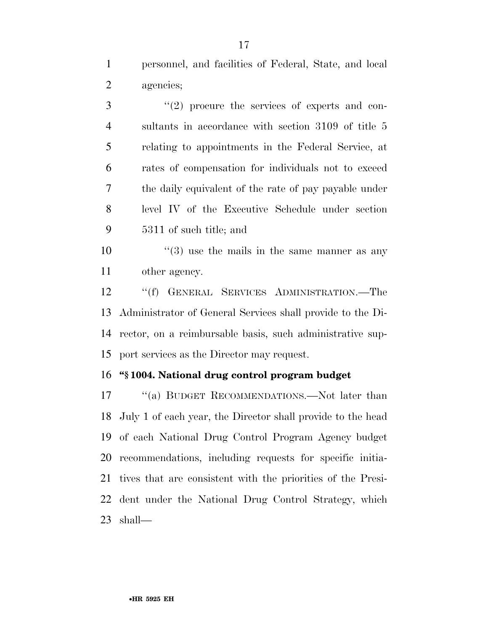personnel, and facilities of Federal, State, and local agencies;

 ''(2) procure the services of experts and con- sultants in accordance with section 3109 of title 5 relating to appointments in the Federal Service, at rates of compensation for individuals not to exceed the daily equivalent of the rate of pay payable under level IV of the Executive Schedule under section 5311 of such title; and

10  $\frac{10}{2}$   $\frac{10}{2}$  use the mails in the same manner as any other agency.

 ''(f) GENERAL SERVICES ADMINISTRATION.—The Administrator of General Services shall provide to the Di- rector, on a reimbursable basis, such administrative sup-port services as the Director may request.

### **''§ 1004. National drug control program budget**

17 "(a) BUDGET RECOMMENDATIONS.—Not later than July 1 of each year, the Director shall provide to the head of each National Drug Control Program Agency budget recommendations, including requests for specific initia- tives that are consistent with the priorities of the Presi- dent under the National Drug Control Strategy, which shall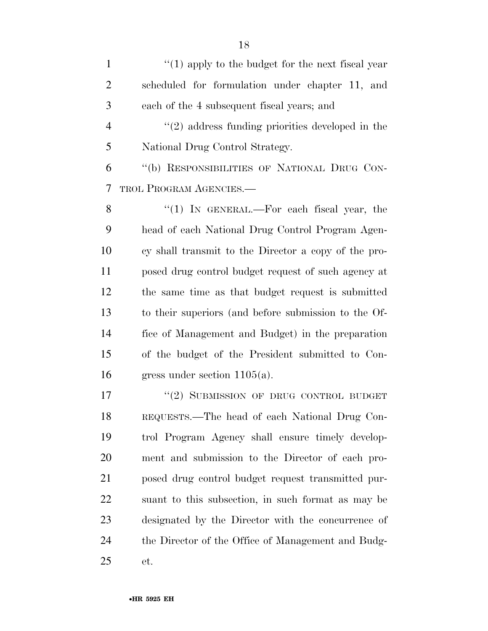1 ''(1) apply to the budget for the next fiscal year scheduled for formulation under chapter 11, and each of the 4 subsequent fiscal years; and ''(2) address funding priorities developed in the National Drug Control Strategy.

 ''(b) RESPONSIBILITIES OF NATIONAL DRUG CON-TROL PROGRAM AGENCIES.—

8 "(1) IN GENERAL.—For each fiscal year, the head of each National Drug Control Program Agen- cy shall transmit to the Director a copy of the pro- posed drug control budget request of such agency at the same time as that budget request is submitted to their superiors (and before submission to the Of- fice of Management and Budget) in the preparation of the budget of the President submitted to Con-gress under section 1105(a).

17 "(2) SUBMISSION OF DRUG CONTROL BUDGET REQUESTS.—The head of each National Drug Con- trol Program Agency shall ensure timely develop- ment and submission to the Director of each pro- posed drug control budget request transmitted pur- suant to this subsection, in such format as may be designated by the Director with the concurrence of the Director of the Office of Management and Budg-et.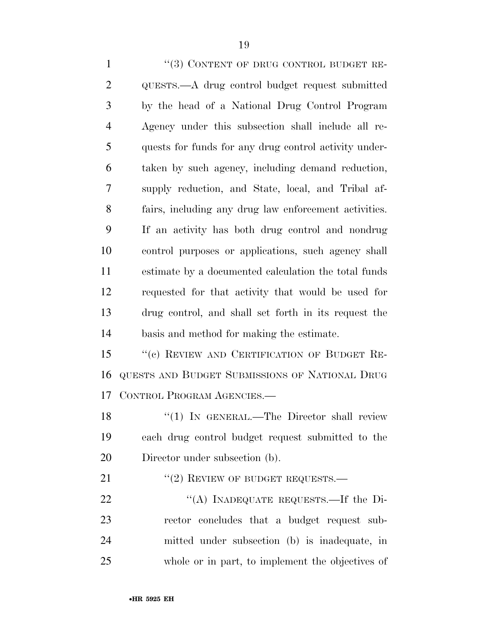1 "(3) CONTENT OF DRUG CONTROL BUDGET RE- QUESTS.—A drug control budget request submitted by the head of a National Drug Control Program Agency under this subsection shall include all re- quests for funds for any drug control activity under- taken by such agency, including demand reduction, supply reduction, and State, local, and Tribal af- fairs, including any drug law enforcement activities. If an activity has both drug control and nondrug control purposes or applications, such agency shall estimate by a documented calculation the total funds requested for that activity that would be used for drug control, and shall set forth in its request the basis and method for making the estimate. 15 "(c) REVIEW AND CERTIFICATION OF BUDGET RE-QUESTS AND BUDGET SUBMISSIONS OF NATIONAL DRUG

CONTROL PROGRAM AGENCIES.—

18 "(1) IN GENERAL.—The Director shall review each drug control budget request submitted to the Director under subsection (b).

21 "(2) REVIEW OF BUDGET REQUESTS.—

22 "(A) INADEQUATE REQUESTS.—If the Di- rector concludes that a budget request sub- mitted under subsection (b) is inadequate, in whole or in part, to implement the objectives of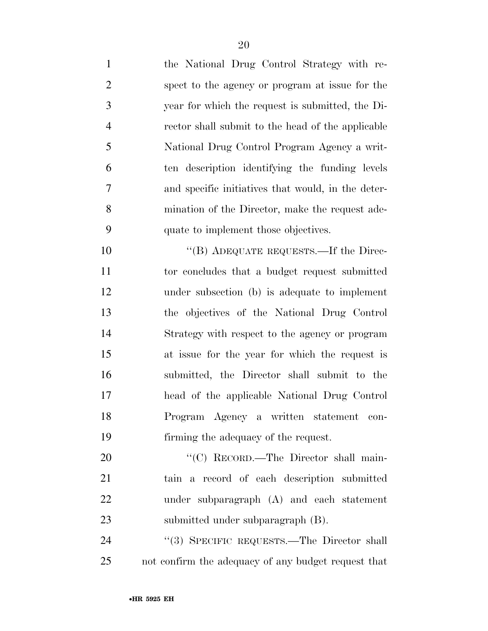| $\mathbf{1}$   | the National Drug Control Strategy with re-         |
|----------------|-----------------------------------------------------|
| $\overline{2}$ | spect to the agency or program at issue for the     |
| 3              | year for which the request is submitted, the Di-    |
| $\overline{4}$ | rector shall submit to the head of the applicable   |
| 5              | National Drug Control Program Agency a writ-        |
| 6              | ten description identifying the funding levels      |
| 7              | and specific initiatives that would, in the deter-  |
| 8              | mination of the Director, make the request ade-     |
| 9              | quate to implement those objectives.                |
| 10             | "(B) ADEQUATE REQUESTS.—If the Direc-               |
| 11             | tor concludes that a budget request submitted       |
| 12             | under subsection (b) is adequate to implement       |
| 13             | the objectives of the National Drug Control         |
| 14             | Strategy with respect to the agency or program      |
| 15             | at issue for the year for which the request is      |
| 16             | submitted, the Director shall submit to the         |
| 17             | head of the applicable National Drug Control        |
| 18             | Program Agency a written statement con-             |
| 19             | firming the adequacy of the request.                |
| 20             | "(C) RECORD.—The Director shall main-               |
| 21             | tain a record of each description submitted         |
| 22             | under subparagraph (A) and each statement           |
| 23             | submitted under subparagraph (B).                   |
| 24             | "(3) SPECIFIC REQUESTS.—The Director shall          |
| 25             | not confirm the adequacy of any budget request that |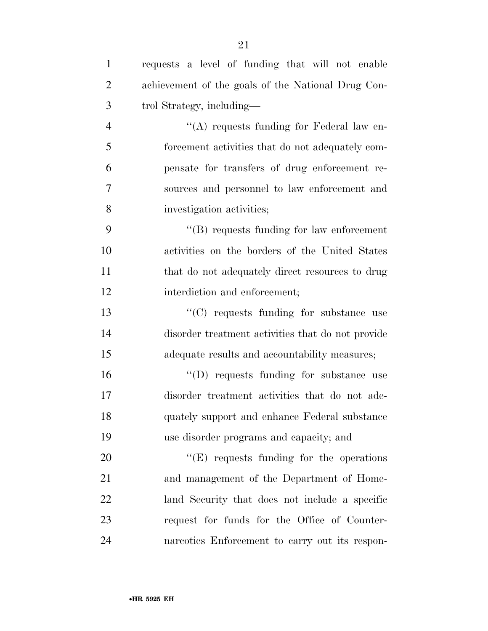| $\mathbf{1}$   | requests a level of funding that will not enable   |
|----------------|----------------------------------------------------|
| $\overline{2}$ | achievement of the goals of the National Drug Con- |
| 3              | trol Strategy, including—                          |
| $\overline{4}$ | "(A) requests funding for Federal law en-          |
| 5              | forcement activities that do not adequately com-   |
| 6              | pensate for transfers of drug enforcement re-      |
| 7              | sources and personnel to law enforcement and       |
| 8              | investigation activities;                          |
| 9              | $\lq\lq$ requests funding for law enforcement      |
| 10             | activities on the borders of the United States     |
| 11             | that do not adequately direct resources to drug    |
| 12             | interdiction and enforcement;                      |
| 13             | "(C) requests funding for substance use            |
| 14             | disorder treatment activities that do not provide  |
| 15             | adequate results and accountability measures;      |
| 16             | "(D) requests funding for substance use            |
| 17             | disorder treatment activities that do not ade-     |
| 18             | quately support and enhance Federal substance      |
| 19             | use disorder programs and capacity; and            |
| 20             | $\lq\lq(E)$ requests funding for the operations    |
| 21             | and management of the Department of Home-          |
| 22             | land Security that does not include a specific     |
| 23             | request for funds for the Office of Counter-       |
| 24             | narcotics Enforcement to carry out its respon-     |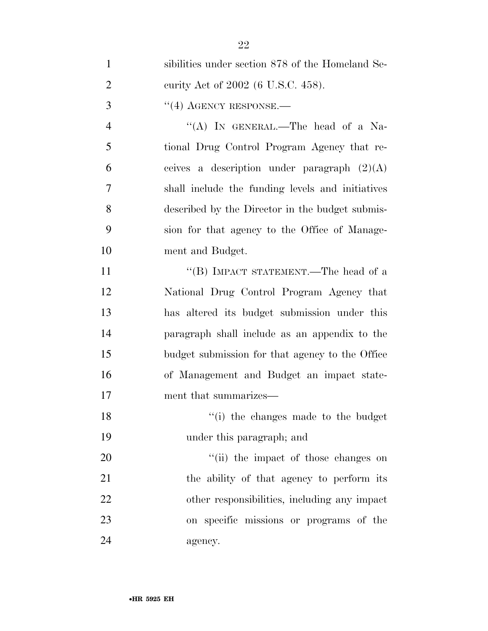| $\mathbf{1}$   | sibilities under section 878 of the Homeland Se- |
|----------------|--------------------------------------------------|
| $\overline{2}$ | curity Act of 2002 (6 U.S.C. 458).               |
| 3              | $``(4)$ AGENCY RESPONSE.—                        |
| $\overline{4}$ | "(A) IN GENERAL.—The head of a Na-               |
| 5              | tional Drug Control Program Agency that re-      |
| 6              | ceives a description under paragraph $(2)(A)$    |
| 7              | shall include the funding levels and initiatives |
| 8              | described by the Director in the budget submis-  |
| 9              | sion for that agency to the Office of Manage-    |
| 10             | ment and Budget.                                 |
| 11             | "(B) IMPACT STATEMENT.—The head of a             |
| 12             | National Drug Control Program Agency that        |
| 13             | has altered its budget submission under this     |
| 14             | paragraph shall include as an appendix to the    |
| 15             | budget submission for that agency to the Office  |
| 16             | of Management and Budget an impact state-        |
| 17             | ment that summarizes—                            |
| 18             | "(i) the changes made to the budget              |
| 19             | under this paragraph; and                        |
| 20             | "(ii) the impact of those changes on             |
| 21             | the ability of that agency to perform its        |
| 22             | other responsibilities, including any impact     |
| 23             | on specific missions or programs of the          |
| 24             | agency.                                          |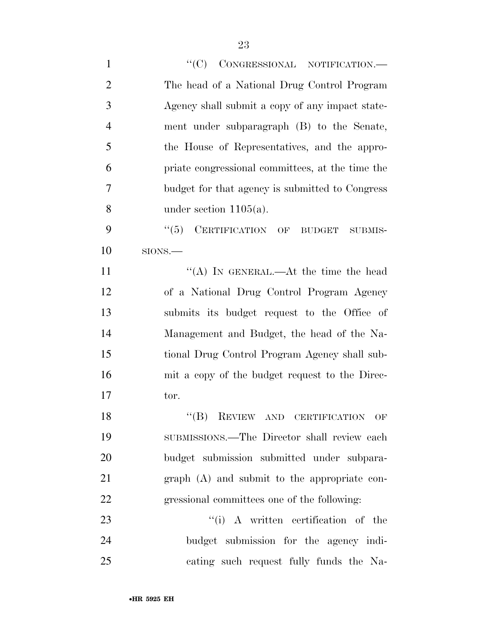| $\mathbf{1}$   | "(C) CONGRESSIONAL NOTIFICATION.-                |
|----------------|--------------------------------------------------|
| $\overline{2}$ | The head of a National Drug Control Program      |
| 3              | Agency shall submit a copy of any impact state-  |
| $\overline{4}$ | ment under subparagraph (B) to the Senate,       |
| 5              | the House of Representatives, and the appro-     |
| 6              | priate congressional committees, at the time the |
| $\overline{7}$ | budget for that agency is submitted to Congress  |
| 8              | under section $1105(a)$ .                        |
| 9              | CERTIFICATION OF BUDGET<br>``(5)<br>SUBMIS-      |
| 10             | SIONS.                                           |
| 11             | "(A) IN GENERAL.—At the time the head            |
| 12             | of a National Drug Control Program Agency        |
| 13             | submits its budget request to the Office of      |
| 14             | Management and Budget, the head of the Na-       |
| 15             | tional Drug Control Program Agency shall sub-    |
| 16             | mit a copy of the budget request to the Direc-   |
| 17             | tor.                                             |
| 18             | $``$ (B) REVIEW AND CERTIFICATION OF             |
| 19             | SUBMISSIONS.—The Director shall review each      |
| 20             | budget submission submitted under subpara-       |
| 21             | $graph(A)$ and submit to the appropriate con-    |
| 22             | gressional committees one of the following:      |
| 23             | "(i) A written certification of the              |
| 24             | budget submission for the agency indi-           |
| 25             | cating such request fully funds the Na-          |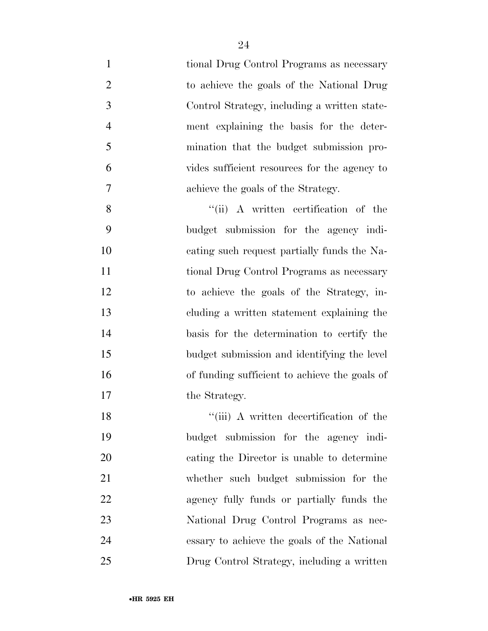| $\mathbf{1}$   | tional Drug Control Programs as necessary     |
|----------------|-----------------------------------------------|
| $\overline{2}$ | to achieve the goals of the National Drug     |
| 3              | Control Strategy, including a written state-  |
| $\overline{4}$ | ment explaining the basis for the deter-      |
| 5              | mination that the budget submission pro-      |
| 6              | vides sufficient resources for the agency to  |
| 7              | achieve the goals of the Strategy.            |
| 8              | "(ii) A written certification of the          |
| 9              | budget submission for the agency indi-        |
| 10             | cating such request partially funds the Na-   |
| 11             | tional Drug Control Programs as necessary     |
| 12             | to achieve the goals of the Strategy, in-     |
| 13             | cluding a written statement explaining the    |
| 14             | basis for the determination to certify the    |
| 15             | budget submission and identifying the level   |
| 16             | of funding sufficient to achieve the goals of |
| 17             | the Strategy.                                 |
| 18             | "(iii) A written decertification of the       |
| 19             | budget submission for the agency indi-        |
| 20             | cating the Director is unable to determine    |
| 21             | whether such budget submission for the        |
| 22             | agency fully funds or partially funds the     |
| 23             | National Drug Control Programs as nec-        |
| 24             | essary to achieve the goals of the National   |
| 25             | Drug Control Strategy, including a written    |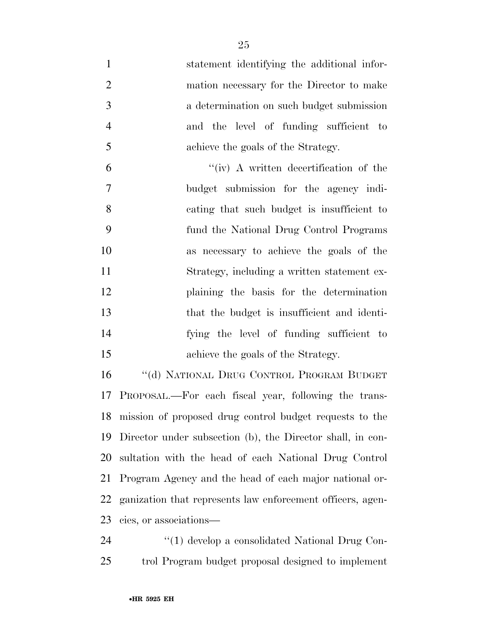statement identifying the additional infor- mation necessary for the Director to make a determination on such budget submission and the level of funding sufficient to achieve the goals of the Strategy.  $^{\prime\prime}$  (iv) A written decertification of the budget submission for the agency indi- cating that such budget is insufficient to fund the National Drug Control Programs as necessary to achieve the goals of the Strategy, including a written statement ex- plaining the basis for the determination that the budget is insufficient and identi- fying the level of funding sufficient to achieve the goals of the Strategy.

 ''(d) NATIONAL DRUG CONTROL PROGRAM BUDGET PROPOSAL.—For each fiscal year, following the trans- mission of proposed drug control budget requests to the Director under subsection (b), the Director shall, in con- sultation with the head of each National Drug Control Program Agency and the head of each major national or- ganization that represents law enforcement officers, agen-cies, or associations—

24  $\frac{1}{2}$  (1) develop a consolidated National Drug Con-trol Program budget proposal designed to implement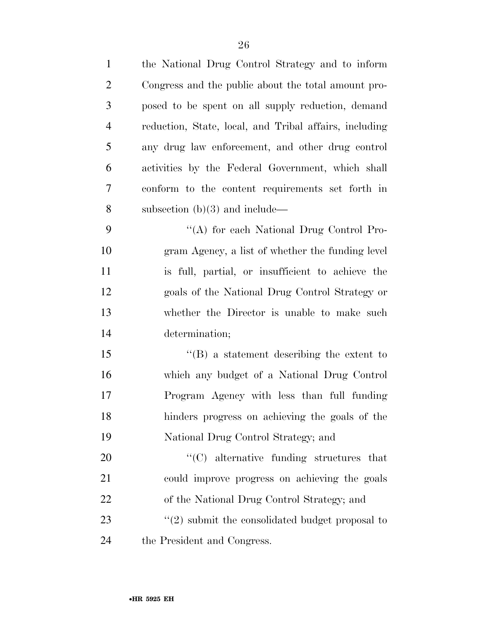| $\mathbf{1}$   | the National Drug Control Strategy and to inform                |
|----------------|-----------------------------------------------------------------|
| $\overline{2}$ | Congress and the public about the total amount pro-             |
| 3              | posed to be spent on all supply reduction, demand               |
| $\overline{4}$ | reduction, State, local, and Tribal affairs, including          |
| 5              | any drug law enforcement, and other drug control                |
| 6              | activities by the Federal Government, which shall               |
| 7              | conform to the content requirements set forth in                |
| 8              | subsection $(b)(3)$ and include—                                |
| 9              | "(A) for each National Drug Control Pro-                        |
| 10             | gram Agency, a list of whether the funding level                |
| 11             | is full, partial, or insufficient to achieve the                |
| 12             | goals of the National Drug Control Strategy or                  |
| 13             | whether the Director is unable to make such                     |
| 14             | determination;                                                  |
| 15             | $\lq\lq (B)$ a statement describing the extent to               |
| 16             | which any budget of a National Drug Control                     |
| 17             | Program Agency with less than full funding                      |
| 18             | hinders progress on achieving the goals of the                  |
| 19             | National Drug Control Strategy; and                             |
| 20             | "(C) alternative funding structures that                        |
| 21             | could improve progress on achieving the goals                   |
| 22             | of the National Drug Control Strategy; and                      |
| 23             | $\cdot\cdot\cdot(2)$ submit the consolidated budget proposal to |
| 24             | the President and Congress.                                     |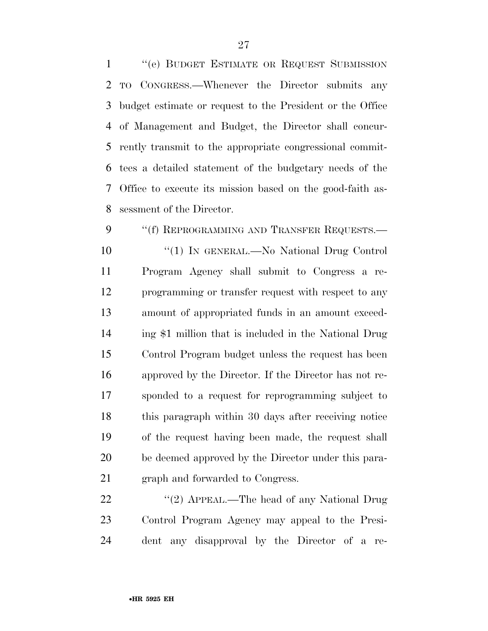''(e) BUDGET ESTIMATE OR REQUEST SUBMISSION TO CONGRESS.—Whenever the Director submits any budget estimate or request to the President or the Office of Management and Budget, the Director shall concur- rently transmit to the appropriate congressional commit- tees a detailed statement of the budgetary needs of the Office to execute its mission based on the good-faith as-sessment of the Director.

9 "(f) REPROGRAMMING AND TRANSFER REQUESTS.— ''(1) IN GENERAL.—No National Drug Control Program Agency shall submit to Congress a re- programming or transfer request with respect to any amount of appropriated funds in an amount exceed- ing \$1 million that is included in the National Drug Control Program budget unless the request has been approved by the Director. If the Director has not re- sponded to a request for reprogramming subject to this paragraph within 30 days after receiving notice of the request having been made, the request shall be deemed approved by the Director under this para-graph and forwarded to Congress.

22 "'(2) APPEAL.—The head of any National Drug Control Program Agency may appeal to the Presi-dent any disapproval by the Director of a re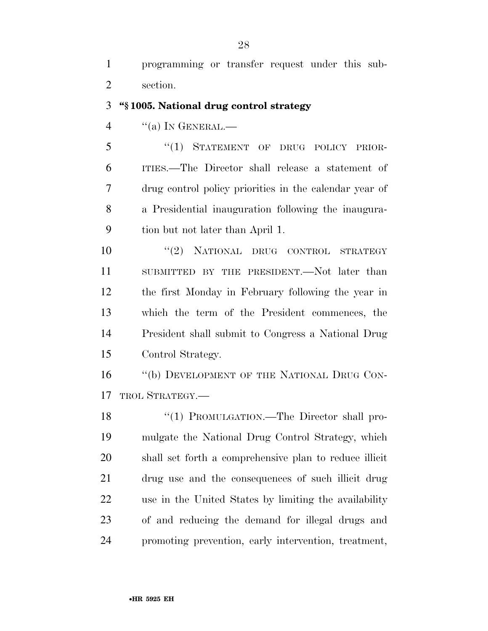programming or transfer request under this sub-section.

### **''§ 1005. National drug control strategy**

"(a) In GENERAL.—

5 "(1) STATEMENT OF DRUG POLICY PRIOR- ITIES.—The Director shall release a statement of drug control policy priorities in the calendar year of a Presidential inauguration following the inaugura-tion but not later than April 1.

 $\frac{10}{2}$  NATIONAL DRUG CONTROL STRATEGY SUBMITTED BY THE PRESIDENT.—Not later than the first Monday in February following the year in which the term of the President commences, the President shall submit to Congress a National Drug Control Strategy.

16 "(b) DEVELOPMENT OF THE NATIONAL DRUG CON-TROL STRATEGY.—

18 "(1) PROMULGATION.—The Director shall pro- mulgate the National Drug Control Strategy, which shall set forth a comprehensive plan to reduce illicit drug use and the consequences of such illicit drug use in the United States by limiting the availability of and reducing the demand for illegal drugs and promoting prevention, early intervention, treatment,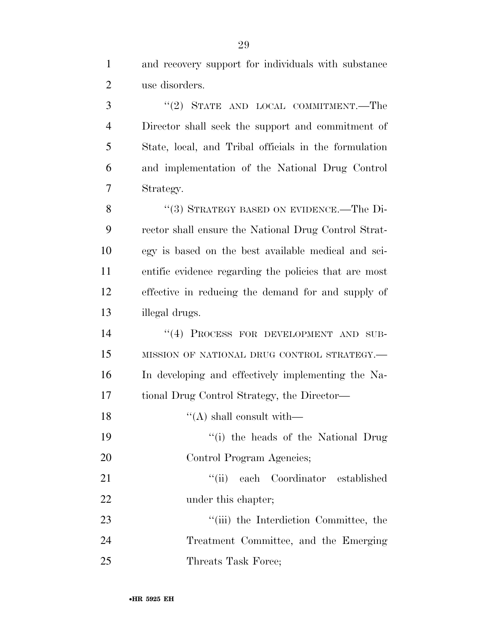3 "(2) STATE AND LOCAL COMMITMENT.—The Director shall seek the support and commitment of State, local, and Tribal officials in the formulation and implementation of the National Drug Control Strategy.

8 "(3) STRATEGY BASED ON EVIDENCE.—The Di- rector shall ensure the National Drug Control Strat- egy is based on the best available medical and sci- entific evidence regarding the policies that are most effective in reducing the demand for and supply of illegal drugs.

14 "(4) PROCESS FOR DEVELOPMENT AND SUB- MISSION OF NATIONAL DRUG CONTROL STRATEGY.— In developing and effectively implementing the Na-tional Drug Control Strategy, the Director—

- 18  $\frac{1}{2}$   $\frac{1}{2}$   $\frac{1}{2}$  shall consult with—
- ''(i) the heads of the National Drug Control Program Agencies;

21 ''(ii) each Coordinator established 22 under this chapter;

23 ''(iii) the Interdiction Committee, the Treatment Committee, and the Emerging 25 Threats Task Force;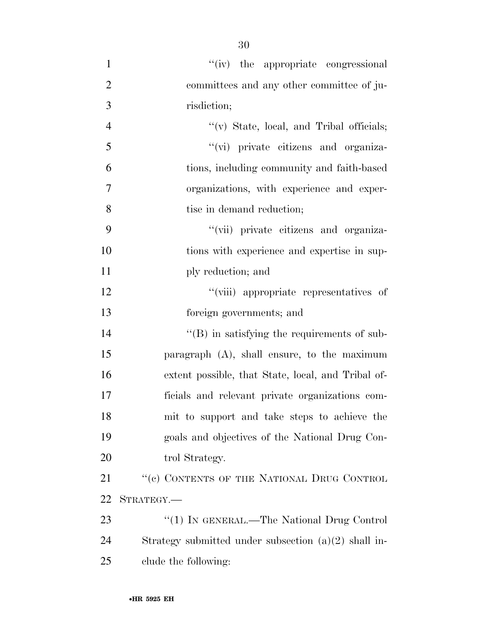| $\mathbf{1}$   | "(iv) the appropriate congressional                    |
|----------------|--------------------------------------------------------|
| $\overline{2}$ | committees and any other committee of ju-              |
| 3              | risdiction;                                            |
| $\overline{4}$ | $\lq\lq$ State, local, and Tribal officials;           |
| 5              | "(vi) private citizens and organiza-                   |
| 6              | tions, including community and faith-based             |
| 7              | organizations, with experience and exper-              |
| 8              | tise in demand reduction;                              |
| 9              | "(vii) private citizens and organiza-                  |
| 10             | tions with experience and expertise in sup-            |
| 11             | ply reduction; and                                     |
| 12             | "(viii) appropriate representatives of                 |
| 13             | foreign governments; and                               |
| 14             | $\lq\lq$ (B) in satisfying the requirements of sub-    |
| 15             | paragraph $(A)$ , shall ensure, to the maximum         |
| 16             | extent possible, that State, local, and Tribal of-     |
| 17             | ficials and relevant private organizations com-        |
| 18             | mit to support and take steps to achieve the           |
| 19             | goals and objectives of the National Drug Con-         |
| 20             | trol Strategy.                                         |
| 21             | "(c) CONTENTS OF THE NATIONAL DRUG CONTROL             |
| 22             | STRATEGY.—                                             |
| 23             | "(1) IN GENERAL.—The National Drug Control             |
| 24             | Strategy submitted under subsection $(a)(2)$ shall in- |
| 25             | clude the following:                                   |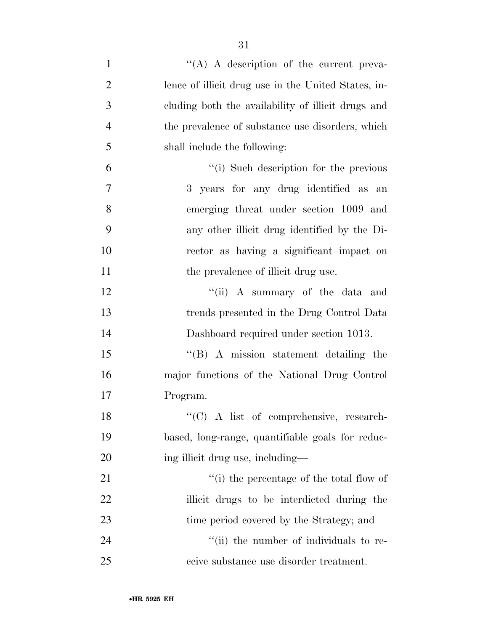| $\mathbf{1}$   | $\lq\lq$ A description of the current preva-        |
|----------------|-----------------------------------------------------|
| $\overline{2}$ | lence of illicit drug use in the United States, in- |
| 3              | cluding both the availability of illicit drugs and  |
| $\overline{4}$ | the prevalence of substance use disorders, which    |
| 5              | shall include the following:                        |
| 6              | "(i) Such description for the previous              |
| 7              | 3 years for any drug identified as an               |
| 8              | emerging threat under section 1009 and              |
| 9              | any other illicit drug identified by the Di-        |
| 10             | rector as having a significant impact on            |
| 11             | the prevalence of illicit drug use.                 |
| 12             | "(ii) A summary of the data and                     |
| 13             | trends presented in the Drug Control Data           |
| 14             | Dashboard required under section 1013.              |
| 15             | $\lq\lq (B)$ A mission statement detailing the      |
| 16             | major functions of the National Drug Control        |
| 17             | Program.                                            |
| 18             | "(C) A list of comprehensive, research-             |
| 19             | based, long-range, quantifiable goals for reduc-    |
| 20             | ing illicit drug use, including—                    |
| 21             | "(i) the percentage of the total flow of            |
| 22             | illicit drugs to be interdicted during the          |
| 23             | time period covered by the Strategy; and            |
| 24             | "(ii) the number of individuals to re-              |
| 25             | ceive substance use disorder treatment.             |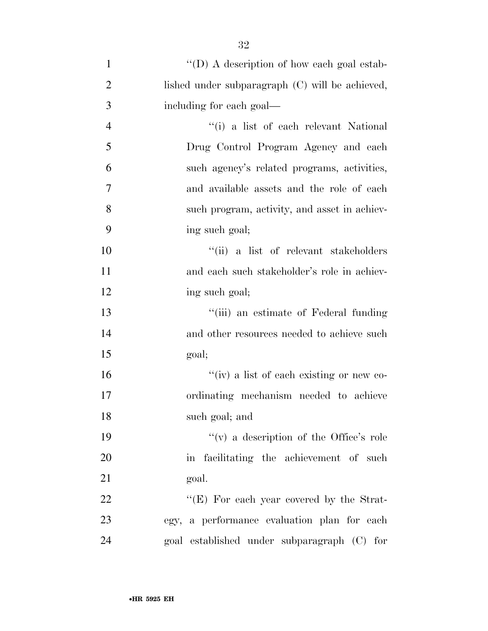| $\mathbf{1}$   | "(D) A description of how each goal estab-      |
|----------------|-------------------------------------------------|
| $\overline{2}$ | lished under subparagraph (C) will be achieved, |
| 3              | including for each goal—                        |
| $\overline{4}$ | "(i) a list of each relevant National           |
| 5              | Drug Control Program Agency and each            |
| 6              | such agency's related programs, activities,     |
| 7              | and available assets and the role of each       |
| 8              | such program, activity, and asset in achiev-    |
| 9              | ing such goal;                                  |
| 10             | "(ii) a list of relevant stakeholders           |
| 11             | and each such stakeholder's role in achiev-     |
| 12             | ing such goal;                                  |
| 13             | "(iii) an estimate of Federal funding           |
| 14             | and other resources needed to achieve such      |
| 15             | goal;                                           |
| 16             | "(iv) a list of each existing or new co-        |
| 17             | ordinating mechanism needed to achieve          |
| 18             | such goal; and                                  |
| 19             | "(v) a description of the Office's role"        |
| 20             | in facilitating the achievement of such         |
| 21             | goal.                                           |
| 22             | " $(E)$ For each year covered by the Strat-     |
| 23             | egy, a performance evaluation plan for each     |
| 24             | goal established under subparagraph (C) for     |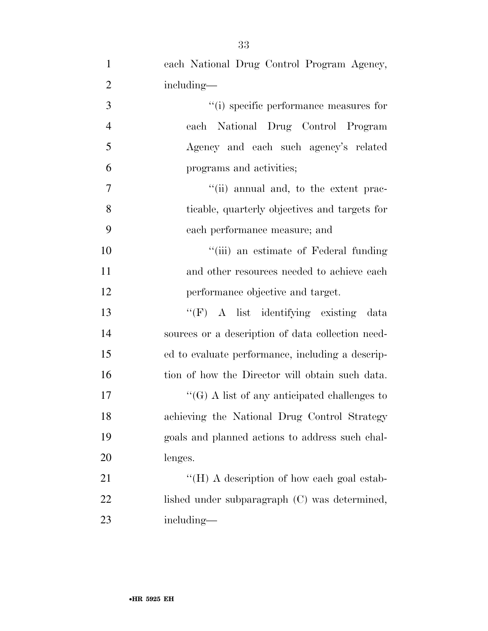| $\mathbf{1}$   | each National Drug Control Program Agency,          |
|----------------|-----------------------------------------------------|
| $\overline{2}$ | including—                                          |
| 3              | "(i) specific performance measures for              |
| $\overline{4}$ | each National Drug Control Program                  |
| 5              | Agency and each such agency's related               |
| 6              | programs and activities;                            |
| 7              | "(ii) annual and, to the extent prac-               |
| 8              | ticable, quarterly objectives and targets for       |
| 9              | each performance measure; and                       |
| 10             | "(iii) an estimate of Federal funding               |
| 11             | and other resources needed to achieve each          |
| 12             | performance objective and target.                   |
| 13             | "(F) A list identifying existing data               |
| 14             | sources or a description of data collection need-   |
| 15             | ed to evaluate performance, including a descrip-    |
| 16             | tion of how the Director will obtain such data.     |
| $17\,$         | $\lq\lq(G)$ A list of any anticipated challenges to |
| 18             | achieving the National Drug Control Strategy        |
| 19             | goals and planned actions to address such chal-     |
| 20             | lenges.                                             |
| 21             | "(H) A description of how each goal estab-          |
| 22             | lished under subparagraph (C) was determined,       |
| 23             | including—                                          |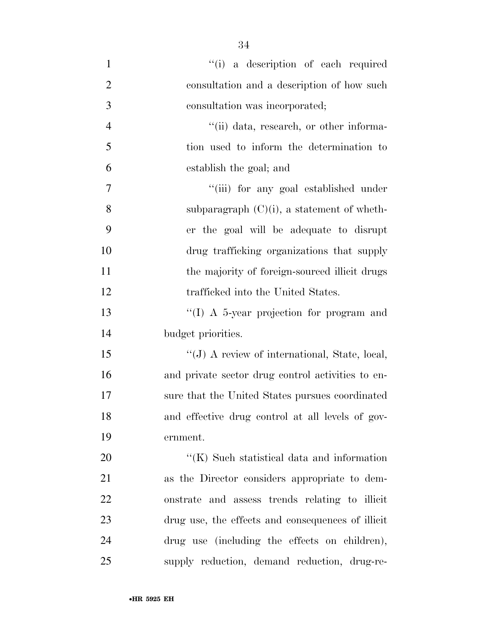1 ''(i) a description of each required consultation and a description of how such consultation was incorporated; 4 ''(ii) data, research, or other informa- tion used to inform the determination to establish the goal; and ''(iii) for any goal established under 8 subparagraph  $(C)(i)$ , a statement of wheth- er the goal will be adequate to disrupt drug trafficking organizations that supply 11 the majority of foreign-sourced illicit drugs 12 trafficked into the United States. ''(I) A 5-year projection for program and budget priorities. ''(J) A review of international, State, local, and private sector drug control activities to en- sure that the United States pursues coordinated and effective drug control at all levels of gov- ernment.  $\cdot$  (K) Such statistical data and information as the Director considers appropriate to dem- onstrate and assess trends relating to illicit drug use, the effects and consequences of illicit drug use (including the effects on children), supply reduction, demand reduction, drug-re-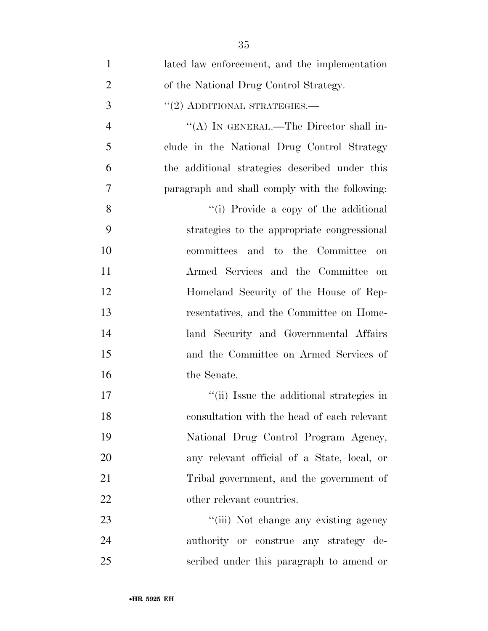| $\mathbf{1}$   | lated law enforcement, and the implementation  |
|----------------|------------------------------------------------|
| $\overline{2}$ | of the National Drug Control Strategy.         |
| 3              | $"(2)$ ADDITIONAL STRATEGIES.—                 |
| $\overline{4}$ | "(A) IN GENERAL.—The Director shall in-        |
| 5              | clude in the National Drug Control Strategy    |
| 6              | the additional strategies described under this |
| 7              | paragraph and shall comply with the following: |
| 8              | "(i) Provide a copy of the additional          |
| 9              | strategies to the appropriate congressional    |
| 10             | committees and to the Committee<br>on          |
| 11             | Armed Services and the Committee on            |
| 12             | Homeland Security of the House of Rep-         |
| 13             | resentatives, and the Committee on Home-       |
| 14             | land Security and Governmental Affairs         |
| 15             | and the Committee on Armed Services of         |
| 16             | the Senate.                                    |
| 17             | "(ii) Issue the additional strategies in       |
| 18             | consultation with the head of each relevant    |
| 19             | National Drug Control Program Agency,          |
| 20             | any relevant official of a State, local, or    |
| 21             | Tribal government, and the government of       |
| 22             | other relevant countries.                      |
| 23             | "(iii) Not change any existing agency          |
| 24             | authority or construe any strategy de-         |
| 25             | scribed under this paragraph to amend or       |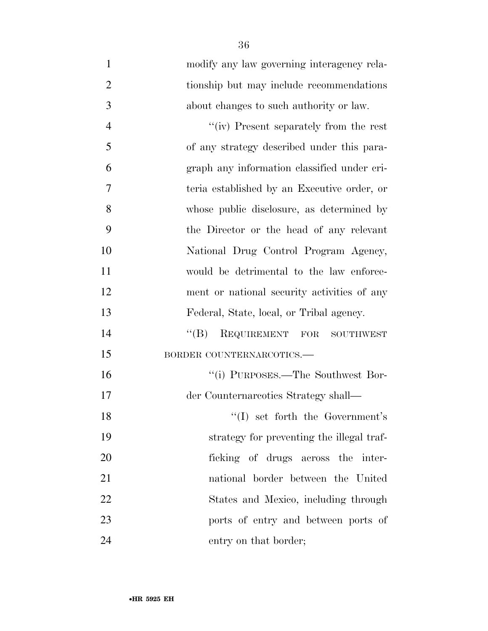| $\mathbf{1}$   | modify any law governing interagency rela-  |
|----------------|---------------------------------------------|
| $\overline{2}$ | tionship but may include recommendations    |
| 3              | about changes to such authority or law.     |
| $\overline{4}$ | "(iv) Present separately from the rest      |
| 5              | of any strategy described under this para-  |
| 6              | graph any information classified under cri- |
| 7              | teria established by an Executive order, or |
| 8              | whose public disclosure, as determined by   |
| 9              | the Director or the head of any relevant    |
| 10             | National Drug Control Program Agency,       |
| 11             | would be detrimental to the law enforce-    |
| 12             | ment or national security activities of any |
| 13             | Federal, State, local, or Tribal agency.    |
| 14             | REQUIREMENT FOR SOUTHWEST<br>$\lq\lq (B)$   |
| 15             | BORDER COUNTERNARCOTICS.                    |
| 16             | "(i) PURPOSES.—The Southwest Bor-           |
| 17             | der Counternareotics Strategy shall—        |
| 18             | $\lq\lq$ set forth the Government's         |
| 19             | strategy for preventing the illegal traf-   |
| 20             | ficking of drugs across the inter-          |
| 21             | national border between the United          |
| 22             | States and Mexico, including through        |
| 23             | ports of entry and between ports of         |
| 24             | entry on that border;                       |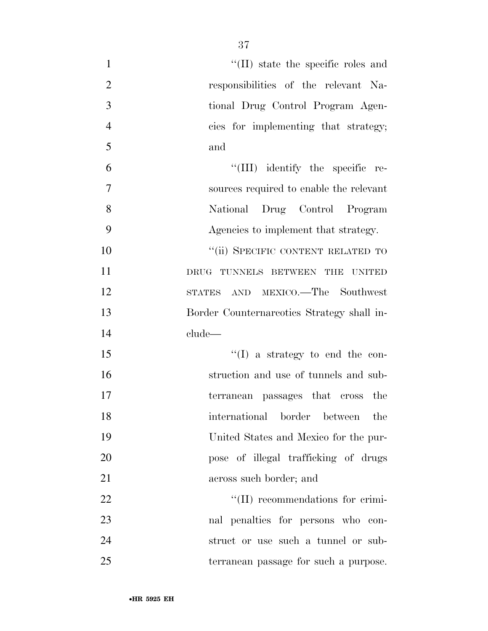| $\mathbf{1}$   | "(II) state the specific roles and         |
|----------------|--------------------------------------------|
| $\overline{2}$ | responsibilities of the relevant Na-       |
| 3              | tional Drug Control Program Agen-          |
| $\overline{4}$ | cies for implementing that strategy;       |
| 5              | and                                        |
| 6              | "(III) identify the specific re-           |
| 7              | sources required to enable the relevant    |
| 8              | National Drug Control Program              |
| 9              | Agencies to implement that strategy.       |
| 10             | "(ii) SPECIFIC CONTENT RELATED TO          |
| 11             | DRUG TUNNELS BETWEEN THE<br><b>UNITED</b>  |
| 12             | STATES AND MEXICO.—The Southwest           |
| 13             | Border Counternareotics Strategy shall in- |
| 14             | clude—                                     |
| 15             | $\lq\lq$ (I) a strategy to end the con-    |
| 16             | struction and use of tunnels and sub-      |
| 17             | terranean passages that cross the          |
| 18             | international border between<br>the        |
| 19             | United States and Mexico for the pur-      |
| 20             | pose of illegal trafficking of drugs       |
| 21             | across such border; and                    |
| 22             | $\lq\lq$ (II) recommendations for crimi-   |
| 23             | nal penalties for persons who con-         |
| 24             | struct or use such a tunnel or sub-        |
| 25             | terranean passage for such a purpose.      |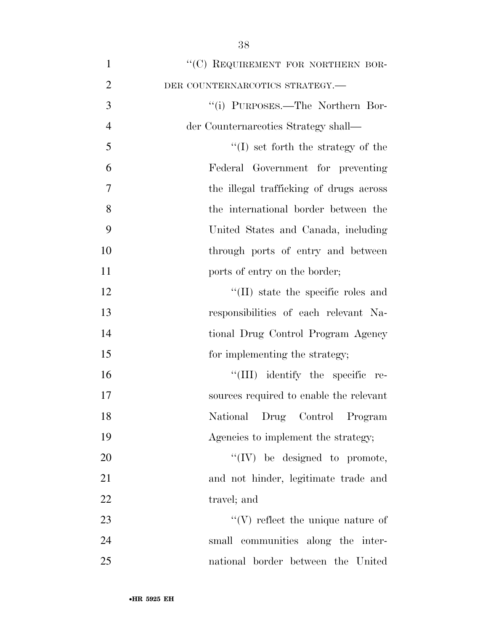| $\mathbf{1}$   | "(C) REQUIREMENT FOR NORTHERN BOR-         |
|----------------|--------------------------------------------|
| $\overline{2}$ | DER COUNTERNARCOTICS STRATEGY.-            |
| 3              | "(i) PURPOSES.—The Northern Bor-           |
| $\overline{4}$ | der Counternareotics Strategy shall—       |
| 5              | $\lq\lq$ set forth the strategy of the     |
| 6              | Federal Government for preventing          |
| 7              | the illegal trafficking of drugs across    |
| 8              | the international border between the       |
| 9              | United States and Canada, including        |
| 10             | through ports of entry and between         |
| 11             | ports of entry on the border;              |
| 12             | $\lq\lq$ (II) state the specific roles and |
| 13             | responsibilities of each relevant Na-      |
| 14             | tional Drug Control Program Agency         |
| 15             | for implementing the strategy;             |
| 16             | "(III) identify the specific re-           |
| 17             | sources required to enable the relevant    |
| 18             | National Drug Control Program              |
| 19             | Agencies to implement the strategy;        |
| 20             | $``(IV)$ be designed to promote,           |
| 21             | and not hinder, legitimate trade and       |
| 22             | travel; and                                |
| 23             | $\lq\lq (V)$ reflect the unique nature of  |
| 24             | small communities along the inter-         |
| 25             | national border between the United         |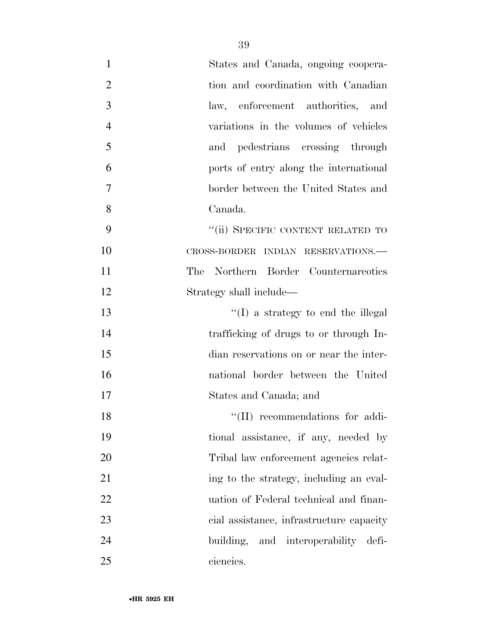| $\mathbf{1}$   | States and Canada, ongoing coopera-      |
|----------------|------------------------------------------|
| $\overline{2}$ | tion and coordination with Canadian      |
| 3              | law, enforcement authorities, and        |
| $\overline{4}$ | variations in the volumes of vehicles    |
| 5              | and pedestrians crossing through         |
| 6              | ports of entry along the international   |
| 7              | border between the United States and     |
| 8              | Canada.                                  |
| 9              | "(ii) SPECIFIC CONTENT RELATED TO        |
| 10             | CROSS-BORDER INDIAN RESERVATIONS.-       |
| 11             | The Northern Border Counternareotics     |
| 12             | Strategy shall include—                  |
| 13             | $\lq\lq$ a strategy to end the illegal   |
| 14             | trafficking of drugs to or through In-   |
| 15             | dian reservations on or near the inter-  |
| 16             | national border between the United       |
| 17             | States and Canada; and                   |
| 18             | $\lq\lq$ (II) recommendations for addi-  |
| 19             | tional assistance, if any, needed by     |
| 20             | Tribal law enforcement agencies relat-   |
| 21             | ing to the strategy, including an eval-  |
| 22             | uation of Federal technical and finan-   |
| 23             | cial assistance, infrastructure capacity |
| 24             | and interoperability defi-<br>building,  |
| 25             | ciencies.                                |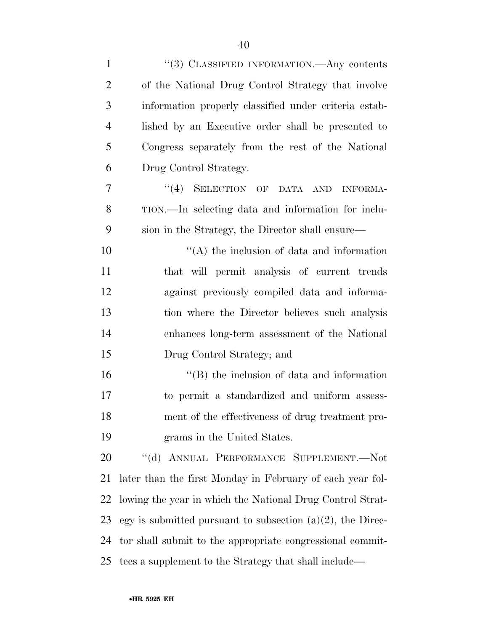| $\mathbf{1}$   | "(3) CLASSIFIED INFORMATION.—Any contents                     |
|----------------|---------------------------------------------------------------|
| $\overline{2}$ | of the National Drug Control Strategy that involve            |
| 3              | information properly classified under criteria estab-         |
| $\overline{4}$ | lished by an Executive order shall be presented to            |
| 5              | Congress separately from the rest of the National             |
| 6              | Drug Control Strategy.                                        |
| 7              | "(4) SELECTION OF DATA AND<br><b>INFORMA-</b>                 |
| 8              | TION.—In selecting data and information for inclu-            |
| 9              | sion in the Strategy, the Director shall ensure—              |
| 10             | $\lq\lq$ the inclusion of data and information                |
| 11             | that will permit analysis of current trends                   |
| 12             | against previously compiled data and informa-                 |
| 13             | tion where the Director believes such analysis                |
| 14             | enhances long-term assessment of the National                 |
| 15             | Drug Control Strategy; and                                    |
| 16             | $\lq\lq$ (B) the inclusion of data and information            |
| 17             | to permit a standardized and uniform assess-                  |
| 18             | ment of the effectiveness of drug treatment pro-              |
| 19             | grams in the United States.                                   |
| 20             | "(d) ANNUAL PERFORMANCE SUPPLEMENT.-Not                       |
| 21             | later than the first Monday in February of each year fol-     |
| 22             | lowing the year in which the National Drug Control Strat-     |
| 23             | egy is submitted pursuant to subsection $(a)(2)$ , the Direc- |
| 24             | tor shall submit to the appropriate congressional commit-     |
| 25             | tees a supplement to the Strategy that shall include—         |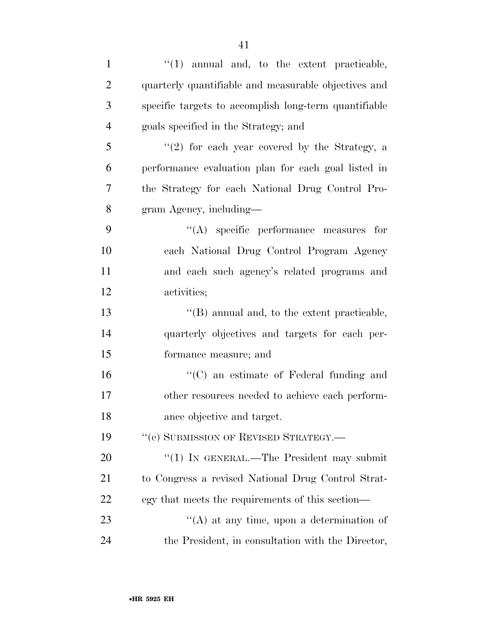| $\mathbf{1}$   | $\lq(1)$ annual and, to the extent practicable,       |
|----------------|-------------------------------------------------------|
| $\overline{2}$ | quarterly quantifiable and measurable objectives and  |
| 3              | specific targets to accomplish long-term quantifiable |
| $\overline{4}$ | goals specified in the Strategy; and                  |
| 5              | $(2)$ for each year covered by the Strategy, a        |
| 6              | performance evaluation plan for each goal listed in   |
| 7              | the Strategy for each National Drug Control Pro-      |
| 8              | gram Agency, including—                               |
| 9              | $\lq\lq$ specific performance measures for            |
| 10             | each National Drug Control Program Agency             |
| 11             | and each such agency's related programs and           |
| 12             | activities;                                           |
| 13             | $\lq\lq$ (B) annual and, to the extent practicable,   |
| 14             | quarterly objectives and targets for each per-        |
| 15             | formance measure; and                                 |
| 16             | $\lq\lq$ (C) an estimate of Federal funding and       |
| 17             | other resources needed to achieve each perform-       |
| 18             | ance objective and target.                            |
| 19             | "(e) SUBMISSION OF REVISED STRATEGY.-                 |
| 20             | "(1) IN GENERAL.—The President may submit             |
| 21             | to Congress a revised National Drug Control Strat-    |
| 22             | egy that meets the requirements of this section—      |
| 23             | "(A) at any time, upon a determination of             |
| 24             | the President, in consultation with the Director,     |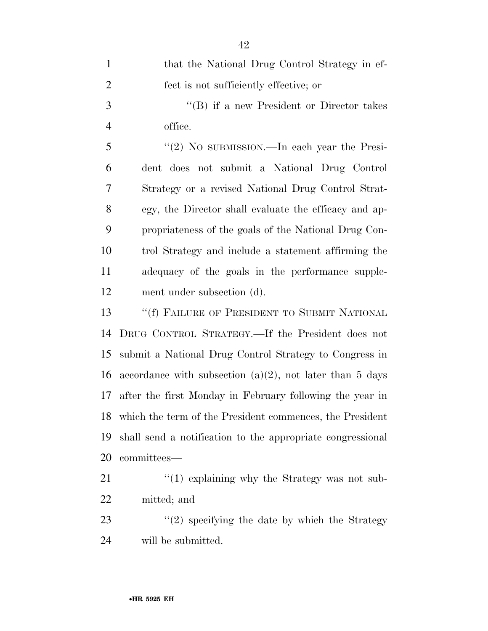| $\mathbf{1}$   | that the National Drug Control Strategy in ef-              |
|----------------|-------------------------------------------------------------|
| $\overline{2}$ | fect is not sufficiently effective; or                      |
| 3              | "(B) if a new President or Director takes                   |
| $\overline{4}$ | office.                                                     |
| 5              | "(2) No submission.—In each year the Presi-                 |
| 6              | dent does not submit a National Drug Control                |
| 7              | Strategy or a revised National Drug Control Strat-          |
| 8              | egy, the Director shall evaluate the efficacy and ap-       |
| 9              | propriateness of the goals of the National Drug Con-        |
| 10             | trol Strategy and include a statement affirming the         |
| 11             | adequacy of the goals in the performance supple-            |
| 12             | ment under subsection (d).                                  |
| 13             | "(f) FAILURE OF PRESIDENT TO SUBMIT NATIONAL                |
| 14             | DRUG CONTROL STRATEGY.—If the President does not            |
| 15             | submit a National Drug Control Strategy to Congress in      |
| 16             | accordance with subsection $(a)(2)$ , not later than 5 days |
| 17             | after the first Monday in February following the year in    |
| 18             | which the term of the President commences, the President    |
| 19             | shall send a notification to the appropriate congressional  |
| 20             | committees—                                                 |
| 21             | $\cdot$ (1) explaining why the Strategy was not sub-        |
| 22             | mitted; and                                                 |
| 23             | $"(2)$ specifying the date by which the Strategy            |
| 24             | will be submitted.                                          |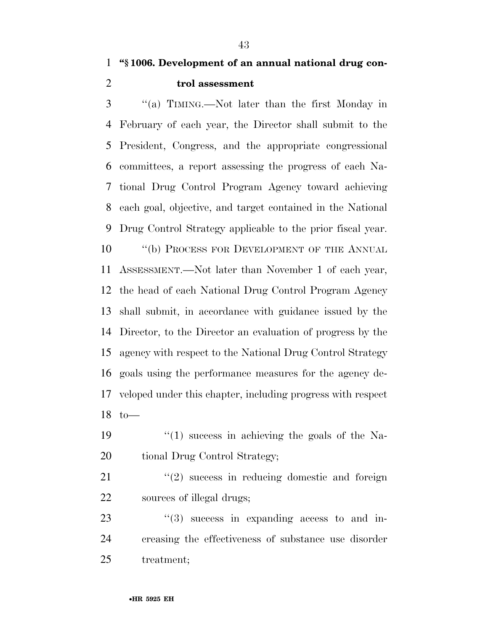**''§ 1006. Development of an annual national drug con-trol assessment** 

 ''(a) TIMING.—Not later than the first Monday in February of each year, the Director shall submit to the President, Congress, and the appropriate congressional committees, a report assessing the progress of each Na- tional Drug Control Program Agency toward achieving each goal, objective, and target contained in the National Drug Control Strategy applicable to the prior fiscal year. 10 "(b) PROCESS FOR DEVELOPMENT OF THE ANNUAL ASSESSMENT.—Not later than November 1 of each year, the head of each National Drug Control Program Agency shall submit, in accordance with guidance issued by the Director, to the Director an evaluation of progress by the agency with respect to the National Drug Control Strategy goals using the performance measures for the agency de- veloped under this chapter, including progress with respect to—

19  $\frac{1}{2}$  (1) success in achieving the goals of the Na-20 tional Drug Control Strategy;

21 "(2) success in reducing domestic and foreign sources of illegal drugs;

  $(3)$  success in expanding access to and in- creasing the effectiveness of substance use disorder treatment;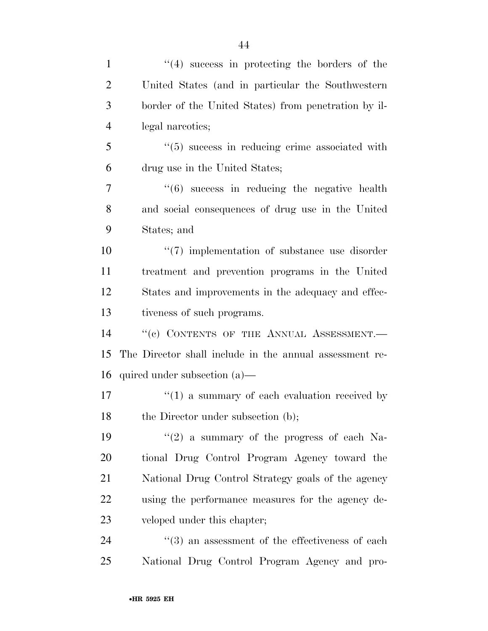| $\mathbf{1}$   | $(4)$ success in protecting the borders of the                 |
|----------------|----------------------------------------------------------------|
| $\overline{2}$ | United States (and in particular the Southwestern              |
| 3              | border of the United States) from penetration by il-           |
| $\overline{4}$ | legal narcotics;                                               |
| 5              | $\cdot\cdot\cdot(5)$ success in reducing crime associated with |
| 6              | drug use in the United States;                                 |
| 7              | $(6)$ success in reducing the negative health                  |
| 8              | and social consequences of drug use in the United              |
| 9              | States; and                                                    |
| 10             | $\lq(7)$ implementation of substance use disorder              |
| 11             | treatment and prevention programs in the United                |
| 12             | States and improvements in the adequacy and effec-             |
| 13             | tiveness of such programs.                                     |
| 14             | "(c) CONTENTS OF THE ANNUAL ASSESSMENT.-                       |
| 15             | The Director shall include in the annual assessment re-        |
| 16             | quired under subsection $(a)$ —                                |
| 17             | $\cdot$ (1) a summary of each evaluation received by           |
| 18             | the Director under subsection (b);                             |
| 19             | " $(2)$ a summary of the progress of each Na-                  |
| 20             | tional Drug Control Program Agency toward the                  |
| 21             | National Drug Control Strategy goals of the agency             |
| 22             | using the performance measures for the agency de-              |
| 23             | veloped under this chapter;                                    |
| 24             | $\cdot\cdot(3)$ an assessment of the effectiveness of each     |
| 25             | National Drug Control Program Agency and pro-                  |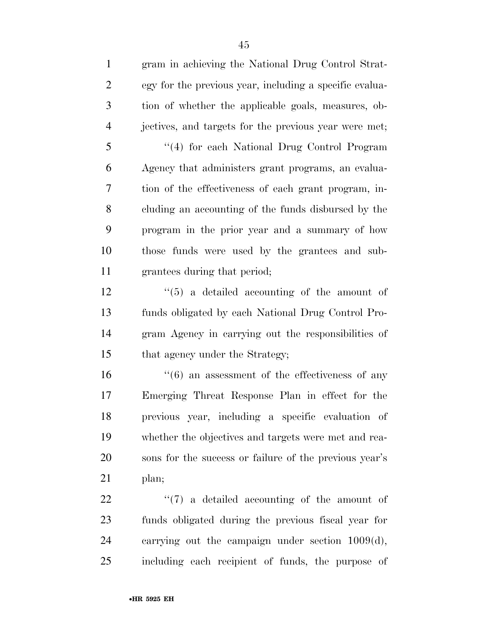gram in achieving the National Drug Control Strat- egy for the previous year, including a specific evalua- tion of whether the applicable goals, measures, ob- jectives, and targets for the previous year were met; ''(4) for each National Drug Control Program Agency that administers grant programs, an evalua- tion of the effectiveness of each grant program, in- cluding an accounting of the funds disbursed by the program in the prior year and a summary of how those funds were used by the grantees and sub- grantees during that period;  $\frac{12}{12}$  ''(5) a detailed accounting of the amount of funds obligated by each National Drug Control Pro- gram Agency in carrying out the responsibilities of 15 that agency under the Strategy; 16 ''(6) an assessment of the effectiveness of any Emerging Threat Response Plan in effect for the previous year, including a specific evaluation of whether the objectives and targets were met and rea-sons for the success or failure of the previous year's

plan;

  $\langle (7)$  a detailed accounting of the amount of funds obligated during the previous fiscal year for carrying out the campaign under section 1009(d), including each recipient of funds, the purpose of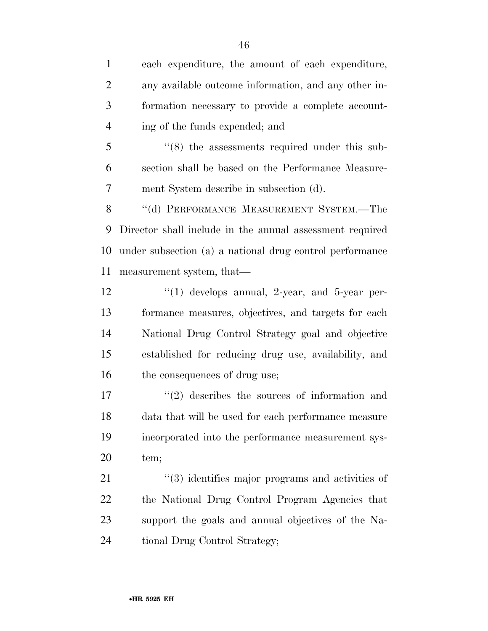each expenditure, the amount of each expenditure, any available outcome information, and any other in- formation necessary to provide a complete account- ing of the funds expended; and ''(8) the assessments required under this sub- section shall be based on the Performance Measure- ment System describe in subsection (d). 8 "(d) PERFORMANCE MEASUREMENT SYSTEM.—The Director shall include in the annual assessment required under subsection (a) a national drug control performance measurement system, that—  $\frac{12}{2}$  ''(1) develops annual, 2-year, and 5-year per- formance measures, objectives, and targets for each National Drug Control Strategy goal and objective established for reducing drug use, availability, and 16 the consequences of drug use;  $\frac{17}{2}$  describes the sources of information and data that will be used for each performance measure incorporated into the performance measurement sys- tem;  $\frac{1}{2}$  (3) identifies major programs and activities of the National Drug Control Program Agencies that support the goals and annual objectives of the Na-tional Drug Control Strategy;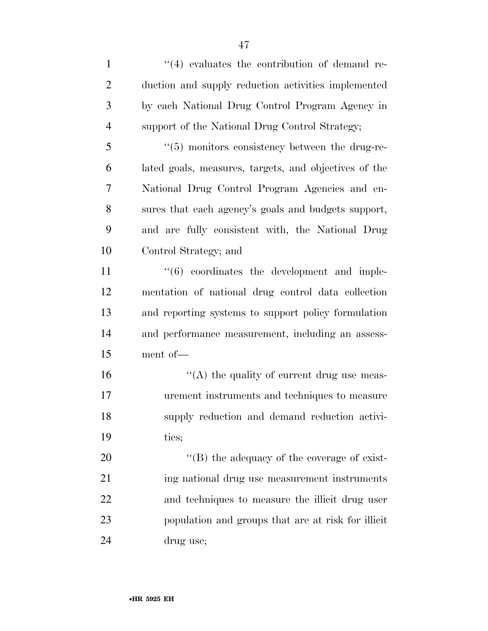1 ''(4) evaluates the contribution of demand re- duction and supply reduction activities implemented by each National Drug Control Program Agency in support of the National Drug Control Strategy; ''(5) monitors consistency between the drug-re- lated goals, measures, targets, and objectives of the National Drug Control Program Agencies and en- sures that each agency's goals and budgets support, and are fully consistent with, the National Drug Control Strategy; and  $\frac{11}{11}$  ''(6) coordinates the development and imple-

 mentation of national drug control data collection and reporting systems to support policy formulation and performance measurement, including an assess-ment of—

 $"$ (A) the quality of current drug use meas- urement instruments and techniques to measure supply reduction and demand reduction activi-ties;

 $\langle (B)$  the adequacy of the coverage of exist- ing national drug use measurement instruments and techniques to measure the illicit drug user population and groups that are at risk for illicit drug use;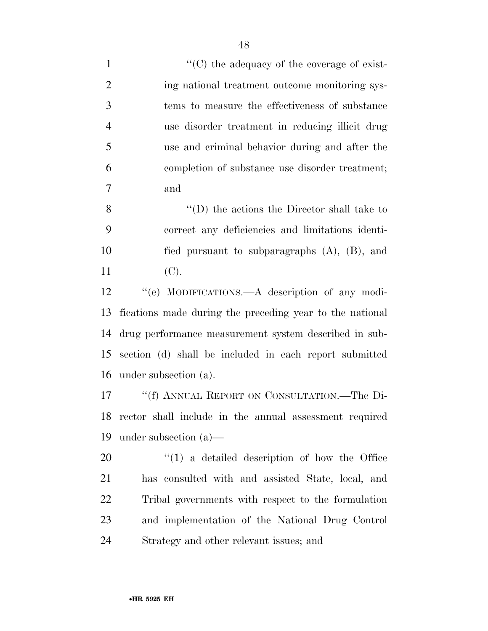$\langle ^{\prime}(C) \rangle$  the adequacy of the coverage of exist-2 ing national treatment outcome monitoring sys- tems to measure the effectiveness of substance use disorder treatment in reducing illicit drug use and criminal behavior during and after the completion of substance use disorder treatment; and

 ''(D) the actions the Director shall take to correct any deficiencies and limitations identi- fied pursuant to subparagraphs (A), (B), and (C).

12 "(e) MODIFICATIONS.—A description of any modi- fications made during the preceding year to the national drug performance measurement system described in sub- section (d) shall be included in each report submitted under subsection (a).

 ''(f) ANNUAL REPORT ON CONSULTATION.—The Di- rector shall include in the annual assessment required under subsection (a)—

 $\frac{1}{20}$  a detailed description of how the Office has consulted with and assisted State, local, and Tribal governments with respect to the formulation and implementation of the National Drug Control Strategy and other relevant issues; and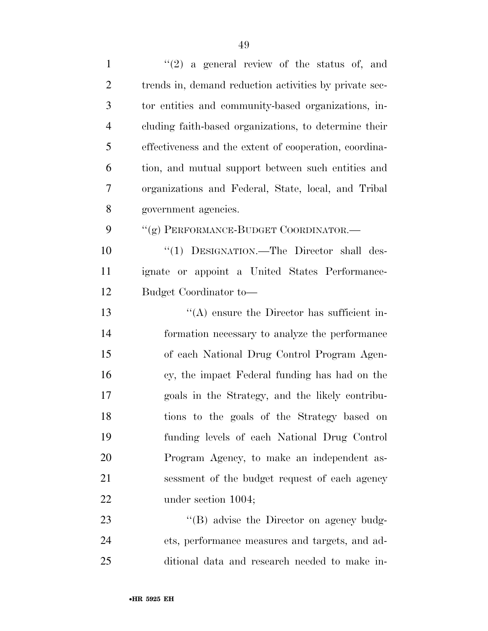| $\mathbf{1}$   | $(2)$ a general review of the status of, and           |
|----------------|--------------------------------------------------------|
| $\overline{c}$ | trends in, demand reduction activities by private sec- |
| 3              | tor entities and community-based organizations, in-    |
| $\overline{4}$ | cluding faith-based organizations, to determine their  |
| 5              | effectiveness and the extent of cooperation, coordina- |
| 6              | tion, and mutual support between such entities and     |
| 7              | organizations and Federal, State, local, and Tribal    |
| 8              | government agencies.                                   |
| 9              | "(g) PERFORMANCE-BUDGET COORDINATOR.—                  |
| 10             | "(1) DESIGNATION.—The Director shall des-              |
| 11             | ignate or appoint a United States Performance-         |
| 12             | Budget Coordinator to-                                 |
| 13             | $\lq\lq$ ensure the Director has sufficient in-        |
| 14             | formation necessary to analyze the performance         |
| 15             | of each National Drug Control Program Agen-            |
| 16             | cy, the impact Federal funding has had on the          |
| 17             | goals in the Strategy, and the likely contribu-        |
| 18             | tions to the goals of the Strategy based on            |
| 19             | funding levels of each National Drug Control           |
| 20             | Program Agency, to make an independent as-             |
| 21             | sessment of the budget request of each agency          |
| 22             | under section 1004;                                    |
| 23             | $\lq\lq (B)$ advise the Director on agency budg-       |
| 24             | ets, performance measures and targets, and ad-         |
| 25             | ditional data and research needed to make in-          |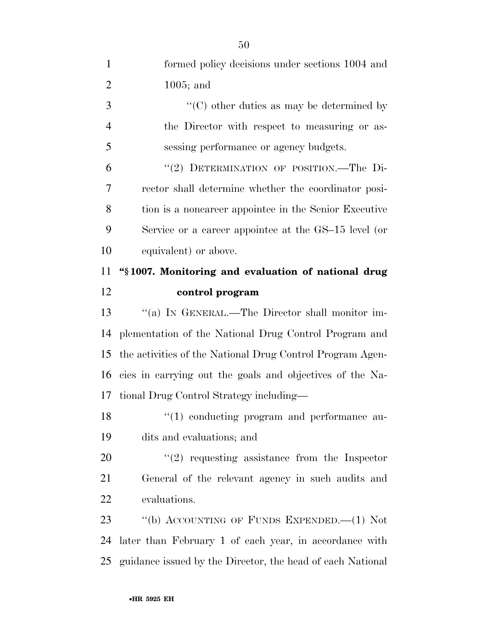| $\mathbf{1}$   | formed policy decisions under sections 1004 and            |
|----------------|------------------------------------------------------------|
| $\overline{2}$ | $1005$ ; and                                               |
| 3              | $\lq\lq$ (C) other duties as may be determined by          |
| $\overline{4}$ | the Director with respect to measuring or as-              |
| 5              | sessing performance or agency budgets.                     |
| 6              | "(2) DETERMINATION OF POSITION.-The Di-                    |
| 7              | rector shall determine whether the coordinator posi-       |
| 8              | tion is a noncareer appointee in the Senior Executive      |
| 9              | Service or a career appointee at the GS-15 level (or       |
| 10             | equivalent) or above.                                      |
| 11             | "§1007. Monitoring and evaluation of national drug         |
| 12             | control program                                            |
| 13             | "(a) IN GENERAL.—The Director shall monitor im-            |
| 14             | plementation of the National Drug Control Program and      |
| 15             | the activities of the National Drug Control Program Agen-  |
| 16             | cies in carrying out the goals and objectives of the Na-   |
| 17             | tional Drug Control Strategy including—                    |
| 18             | $"(1)$ conducting program and performance au-              |
| 19             | dits and evaluations; and                                  |
| 20             | $\lq(2)$ requesting assistance from the Inspector          |
| 21             | General of the relevant agency in such audits and          |
| 22             | evaluations.                                               |
| 23             | "(b) ACCOUNTING OF FUNDS EXPENDED. $-(1)$ Not              |
| 24             | later than February 1 of each year, in accordance with     |
| 25             | guidance issued by the Director, the head of each National |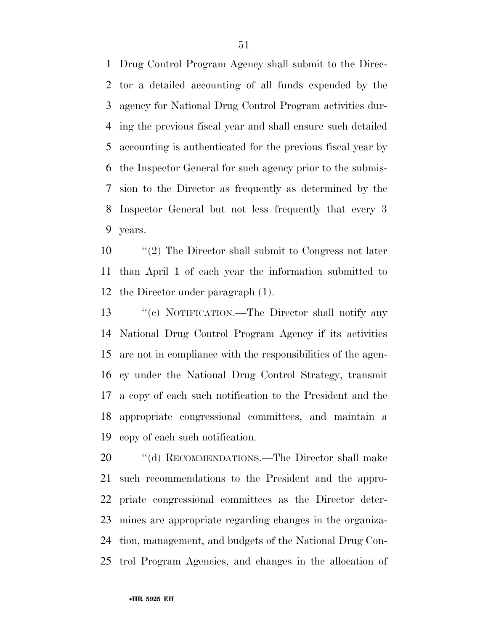Drug Control Program Agency shall submit to the Direc- tor a detailed accounting of all funds expended by the agency for National Drug Control Program activities dur- ing the previous fiscal year and shall ensure such detailed accounting is authenticated for the previous fiscal year by the Inspector General for such agency prior to the submis- sion to the Director as frequently as determined by the Inspector General but not less frequently that every 3 years.

 ''(2) The Director shall submit to Congress not later than April 1 of each year the information submitted to the Director under paragraph (1).

 ''(c) NOTIFICATION.—The Director shall notify any National Drug Control Program Agency if its activities are not in compliance with the responsibilities of the agen- cy under the National Drug Control Strategy, transmit a copy of each such notification to the President and the appropriate congressional committees, and maintain a copy of each such notification.

20 "(d) RECOMMENDATIONS.—The Director shall make such recommendations to the President and the appro- priate congressional committees as the Director deter- mines are appropriate regarding changes in the organiza- tion, management, and budgets of the National Drug Con-trol Program Agencies, and changes in the allocation of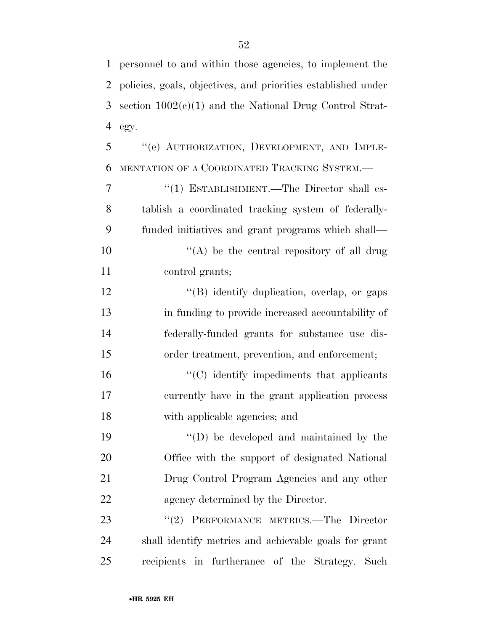| $\mathbf{1}$ | personnel to and within those agencies, to implement the      |
|--------------|---------------------------------------------------------------|
| 2            | policies, goals, objectives, and priorities established under |
| 3            | section $1002(c)(1)$ and the National Drug Control Strat-     |
| 4            | egy.                                                          |
| 5            | "(e) AUTHORIZATION, DEVELOPMENT, AND IMPLE-                   |
| 6            | MENTATION OF A COORDINATED TRACKING SYSTEM.-                  |
| 7            | "(1) ESTABLISHMENT.—The Director shall es-                    |
| 8            | tablish a coordinated tracking system of federally-           |
| 9            | funded initiatives and grant programs which shall—            |
| 10           | $\lq\lq$ be the central repository of all drug                |
| 11           | control grants;                                               |
| 12           | "(B) identify duplication, overlap, or gaps                   |
| 13           | in funding to provide increased accountability of             |
| 14           | federally-funded grants for substance use dis-                |
| 15           | order treatment, prevention, and enforcement;                 |
| 16           | $\cdot$ (C) identify impediments that applicants              |
| 17           | currently have in the grant application process               |
| 18           | with applicable agencies; and                                 |
| 19           | $\lq\lq$ be developed and maintained by the                   |
| 20           | Office with the support of designated National                |
| 21           | Drug Control Program Agencies and any other                   |
| 22           | agency determined by the Director.                            |
| 23           | "(2) PERFORMANCE METRICS.—The Director                        |
| 24           | shall identify metrics and achievable goals for grant         |
| 25           | recipients in furtherance of the Strategy. Such               |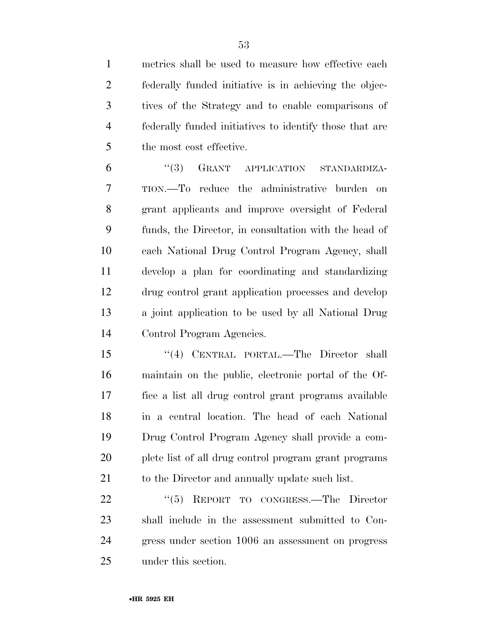metrics shall be used to measure how effective each federally funded initiative is in achieving the objec- tives of the Strategy and to enable comparisons of federally funded initiatives to identify those that are the most cost effective.

 ''(3) GRANT APPLICATION STANDARDIZA- TION.—To reduce the administrative burden on grant applicants and improve oversight of Federal funds, the Director, in consultation with the head of each National Drug Control Program Agency, shall develop a plan for coordinating and standardizing drug control grant application processes and develop a joint application to be used by all National Drug Control Program Agencies.

 ''(4) CENTRAL PORTAL.—The Director shall maintain on the public, electronic portal of the Of- fice a list all drug control grant programs available in a central location. The head of each National Drug Control Program Agency shall provide a com- plete list of all drug control program grant programs 21 to the Director and annually update such list.

22 "(5) REPORT TO CONGRESS.—The Director shall include in the assessment submitted to Con- gress under section 1006 an assessment on progress under this section.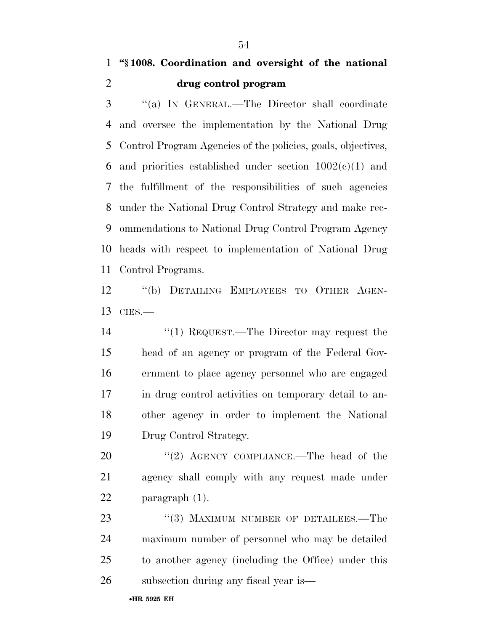## **''§ 1008. Coordination and oversight of the national drug control program**

 ''(a) IN GENERAL.—The Director shall coordinate and oversee the implementation by the National Drug Control Program Agencies of the policies, goals, objectives, 6 and priorities established under section  $1002(c)(1)$  and the fulfillment of the responsibilities of such agencies under the National Drug Control Strategy and make rec- ommendations to National Drug Control Program Agency heads with respect to implementation of National Drug Control Programs.

 ''(b) DETAILING EMPLOYEES TO OTHER AGEN-CIES.—

14 ''(1) REQUEST.—The Director may request the head of an agency or program of the Federal Gov- ernment to place agency personnel who are engaged in drug control activities on temporary detail to an- other agency in order to implement the National Drug Control Strategy.

20 "(2) AGENCY COMPLIANCE.—The head of the agency shall comply with any request made under paragraph (1).

23 "(3) MAXIMUM NUMBER OF DETAILEES.—The maximum number of personnel who may be detailed to another agency (including the Office) under this subsection during any fiscal year is—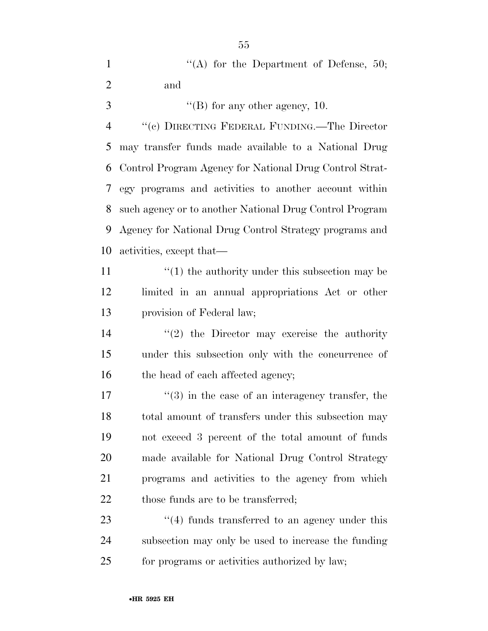|   |     |  | "(A) for the Department of Defense, $50$ ; |  |  |
|---|-----|--|--------------------------------------------|--|--|
| 2 | and |  |                                            |  |  |

''(B) for any other agency, 10.

 ''(c) DIRECTING FEDERAL FUNDING.—The Director may transfer funds made available to a National Drug Control Program Agency for National Drug Control Strat- egy programs and activities to another account within such agency or to another National Drug Control Program Agency for National Drug Control Strategy programs and activities, except that—

11  $\frac{1}{2}$  (1) the authority under this subsection may be limited in an annual appropriations Act or other provision of Federal law;

14  $\frac{1}{2}$  the Director may exercise the authority under this subsection only with the concurrence of 16 the head of each affected agency;

 $\frac{17}{2}$  ''(3) in the case of an interagency transfer, the total amount of transfers under this subsection may not exceed 3 percent of the total amount of funds made available for National Drug Control Strategy programs and activities to the agency from which 22 those funds are to be transferred;

23 ''(4) funds transferred to an agency under this subsection may only be used to increase the funding for programs or activities authorized by law;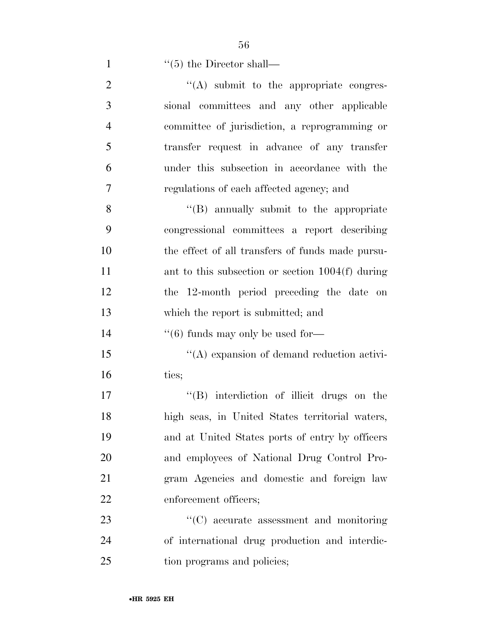56

| $\mathbf{1}$   | $\lq(5)$ the Director shall—                       |
|----------------|----------------------------------------------------|
| $\overline{2}$ | "(A) submit to the appropriate congres-            |
| 3              | sional committees and any other applicable         |
| 4              | committee of jurisdiction, a reprogramming or      |
| 5              | transfer request in advance of any transfer        |
| 6              | under this subsection in accordance with the       |
| 7              | regulations of each affected agency; and           |
| 8              | "(B) annually submit to the appropriate            |
| 9              | congressional committees a report describing       |
| 10             | the effect of all transfers of funds made pursu-   |
| 11             | ant to this subsection or section $1004(f)$ during |
| 12             | the 12-month period preceding the date on          |
| 13             | which the report is submitted; and                 |
| 14             | $\cdot\cdot$ (6) funds may only be used for-       |
| 15             | $\lq\lq$ expansion of demand reduction activi-     |
| 16             | ties;                                              |
| 17             | "(B) interdiction of illicit drugs on the          |
| 18             | high seas, in United States territorial waters,    |
| 19             | and at United States ports of entry by officers    |
| 20             | and employees of National Drug Control Pro-        |
| 21             | gram Agencies and domestic and foreign law         |
| 22             | enforcement officers;                              |

23 ''(C) accurate assessment and monitoring 24 of international drug production and interdic-25 tion programs and policies;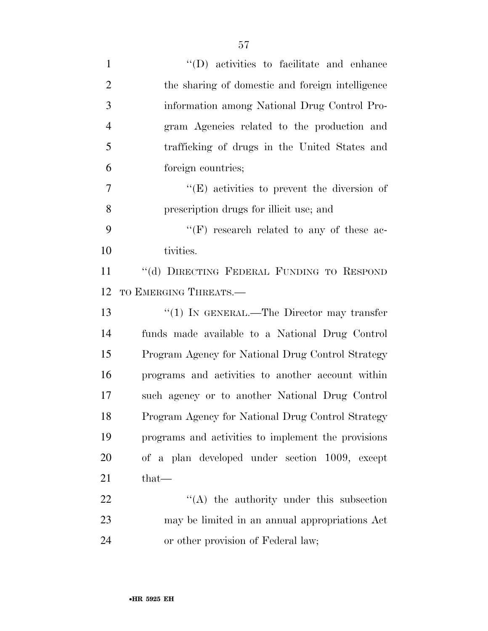| $\mathbf{1}$   | "(D) activities to facilitate and enhance           |
|----------------|-----------------------------------------------------|
| $\overline{2}$ | the sharing of domestic and foreign intelligence    |
| 3              | information among National Drug Control Pro-        |
| $\overline{4}$ | gram Agencies related to the production and         |
| 5              | trafficking of drugs in the United States and       |
| 6              | foreign countries;                                  |
| $\tau$         | $\lq\lq(E)$ activities to prevent the diversion of  |
| 8              | prescription drugs for illicit use; and             |
| 9              | $\lq\lq(F)$ research related to any of these ac-    |
| 10             | tivities.                                           |
| 11             | "(d) DIRECTING FEDERAL FUNDING TO RESPOND           |
| 12             | TO EMERGING THREATS.-                               |
| 13             | " $(1)$ IN GENERAL.—The Director may transfer       |
| 14             | funds made available to a National Drug Control     |
| 15             | Program Agency for National Drug Control Strategy   |
| 16             | programs and activities to another account within   |
| 17             | such agency or to another National Drug Control     |
| 18             | Program Agency for National Drug Control Strategy   |
| 19             | programs and activities to implement the provisions |
| 20             | of a plan developed under section 1009, except      |
| 21             | $that-$                                             |
| 22             | $\lq\lq$ the authority under this subsection        |
| 23             | may be limited in an annual appropriations Act      |
| 24             | or other provision of Federal law;                  |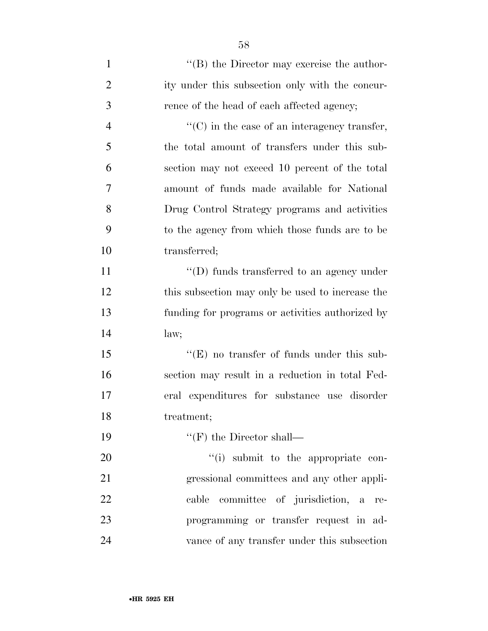| $\mathbf{1}$   | $\lq\lq$ the Director may exercise the author-       |
|----------------|------------------------------------------------------|
| $\overline{2}$ | ity under this subsection only with the concur-      |
| 3              | rence of the head of each affected agency;           |
| $\overline{4}$ | $\lq\lq$ (C) in the case of an interagency transfer, |
| 5              | the total amount of transfers under this sub-        |
| 6              | section may not exceed 10 percent of the total       |
| 7              | amount of funds made available for National          |
| 8              | Drug Control Strategy programs and activities        |
| 9              | to the agency from which those funds are to be       |
| 10             | transferred;                                         |
| 11             | $\lq\lq$ (D) funds transferred to an agency under    |
| 12             | this subsection may only be used to increase the     |
| 13             | funding for programs or activities authorized by     |
| 14             | law;                                                 |
| 15             | $\lq\lq(E)$ no transfer of funds under this sub-     |
| 16             | section may result in a reduction in total Fed-      |
| 17             | eral expenditures for substance use disorder         |
| 18             | treatment;                                           |
| 19             | $\lq\lq (F)$ the Director shall—                     |
| 20             | "(i) submit to the appropriate con-                  |
| 21             | gressional committees and any other appli-           |
| 22             | committee of jurisdiction, a<br>cable<br>re-         |
| 23             | programming or transfer request in ad-               |
| 24             | vance of any transfer under this subsection          |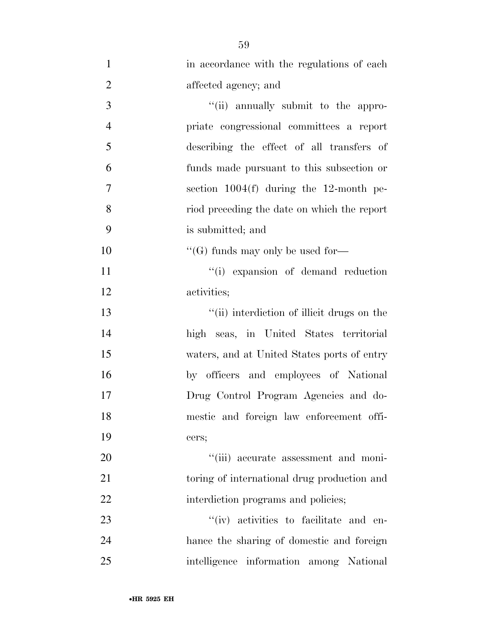| $\mathbf{1}$   | in accordance with the regulations of each  |
|----------------|---------------------------------------------|
| $\overline{2}$ | affected agency; and                        |
| 3              | "(ii) annually submit to the appro-         |
| $\overline{4}$ | priate congressional committees a report    |
| 5              | describing the effect of all transfers of   |
| 6              | funds made pursuant to this subsection or   |
| $\overline{7}$ | section $1004(f)$ during the 12-month pe-   |
| 8              | riod preceding the date on which the report |
| 9              | is submitted; and                           |
| 10             | $\lq\lq(G)$ funds may only be used for-     |
| 11             | "(i) expansion of demand reduction          |
| 12             | activities;                                 |
| 13             | "(ii) interdiction of illicit drugs on the  |
| 14             | high seas, in United States territorial     |
| 15             | waters, and at United States ports of entry |
| 16             | by officers and employees of National       |
| 17             | Drug Control Program Agencies and do-       |
| 18             | mestic and foreign law enforcement offi-    |
| 19             | cers;                                       |
| 20             | "(iii) accurate assessment and moni-        |
| 21             | toring of international drug production and |
| 22             | interdiction programs and policies;         |
| 23             | "(iv) activities to facilitate and en-      |
| 24             | hance the sharing of domestic and foreign   |
| 25             | intelligence information among National     |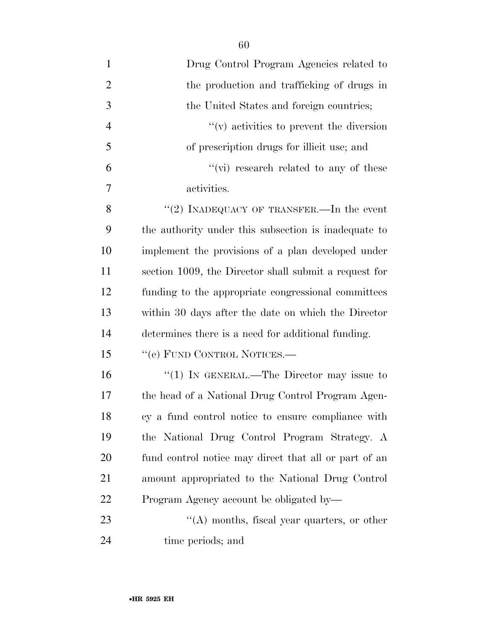- Drug Control Program Agencies related to 2 the production and trafficking of drugs in 3 the United States and foreign countries; ''(v) activities to prevent the diversion of prescription drugs for illicit use; and  $\frac{6}{10}$  ''(vi) research related to any of these activities. 8  $(2)$  INADEQUACY OF TRANSFER.—In the event the authority under this subsection is inadequate to implement the provisions of a plan developed under section 1009, the Director shall submit a request for funding to the appropriate congressional committees
- within 30 days after the date on which the Director determines there is a need for additional funding. 15 "(e) FUND CONTROL NOTICES.— 16 "(1) IN GENERAL.—The Director may issue to the head of a National Drug Control Program Agen-cy a fund control notice to ensure compliance with

 the National Drug Control Program Strategy. A fund control notice may direct that all or part of an amount appropriated to the National Drug Control Program Agency account be obligated by—

23 ''(A) months, fiscal year quarters, or other time periods; and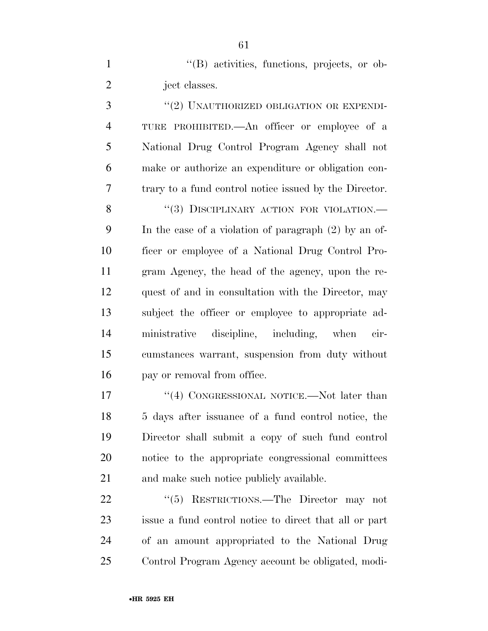''(B) activities, functions, projects, or ob-2 ject classes.

3 "(2) UNAUTHORIZED OBLIGATION OR EXPENDI- TURE PROHIBITED.—An officer or employee of a National Drug Control Program Agency shall not make or authorize an expenditure or obligation con-trary to a fund control notice issued by the Director.

8 "(3) DISCIPLINARY ACTION FOR VIOLATION. In the case of a violation of paragraph (2) by an of- ficer or employee of a National Drug Control Pro- gram Agency, the head of the agency, upon the re- quest of and in consultation with the Director, may subject the officer or employee to appropriate ad- ministrative discipline, including, when cir- cumstances warrant, suspension from duty without pay or removal from office.

17 "(4) CONGRESSIONAL NOTICE.—Not later than 5 days after issuance of a fund control notice, the Director shall submit a copy of such fund control notice to the appropriate congressional committees and make such notice publicly available.

22 "(5) RESTRICTIONS.—The Director may not issue a fund control notice to direct that all or part of an amount appropriated to the National Drug Control Program Agency account be obligated, modi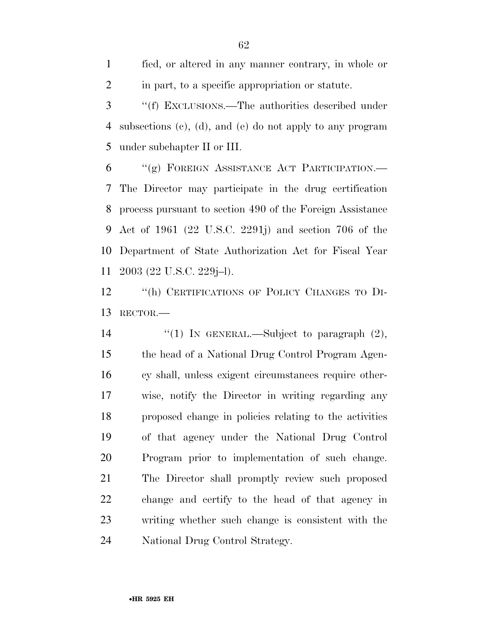fied, or altered in any manner contrary, in whole or in part, to a specific appropriation or statute.

 ''(f) EXCLUSIONS.—The authorities described under subsections (c), (d), and (e) do not apply to any program under subchapter II or III.

 ''(g) FOREIGN ASSISTANCE ACT PARTICIPATION.— The Director may participate in the drug certification process pursuant to section 490 of the Foreign Assistance Act of 1961 (22 U.S.C. 2291j) and section 706 of the Department of State Authorization Act for Fiscal Year 2003 (22 U.S.C. 229j–l).

 ''(h) CERTIFICATIONS OF POLICY CHANGES TO DI-RECTOR.—

 $\qquad$  ''(1) In GENERAL.—Subject to paragraph (2), the head of a National Drug Control Program Agen- cy shall, unless exigent circumstances require other- wise, notify the Director in writing regarding any proposed change in policies relating to the activities of that agency under the National Drug Control Program prior to implementation of such change. The Director shall promptly review such proposed change and certify to the head of that agency in writing whether such change is consistent with the National Drug Control Strategy.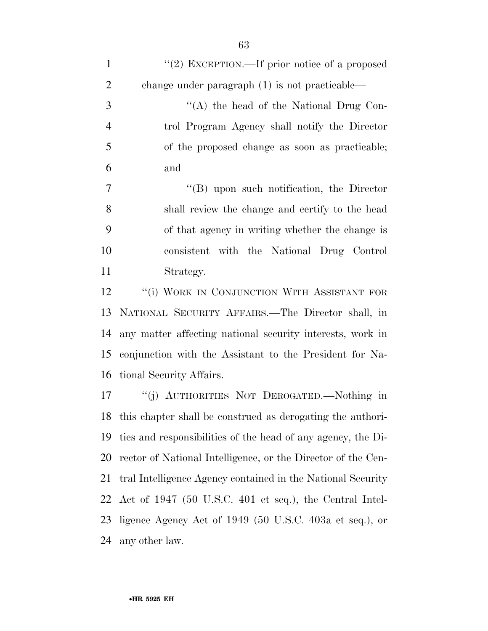1 "(2) EXCEPTION.—If prior notice of a proposed change under paragraph (1) is not practicable— 3 ''(A) the head of the National Drug Con- trol Program Agency shall notify the Director of the proposed change as soon as practicable; and  $''(B)$  upon such notification, the Director shall review the change and certify to the head of that agency in writing whether the change is consistent with the National Drug Control Strategy. 12 "(i) WORK IN CONJUNCTION WITH ASSISTANT FOR NATIONAL SECURITY AFFAIRS.—The Director shall, in any matter affecting national security interests, work in conjunction with the Assistant to the President for Na- tional Security Affairs. ''(j) AUTHORITIES NOT DEROGATED.—Nothing in this chapter shall be construed as derogating the authori- ties and responsibilities of the head of any agency, the Di-rector of National Intelligence, or the Director of the Cen-

 tral Intelligence Agency contained in the National Security Act of 1947 (50 U.S.C. 401 et seq.), the Central Intel-

 ligence Agency Act of 1949 (50 U.S.C. 403a et seq.), or any other law.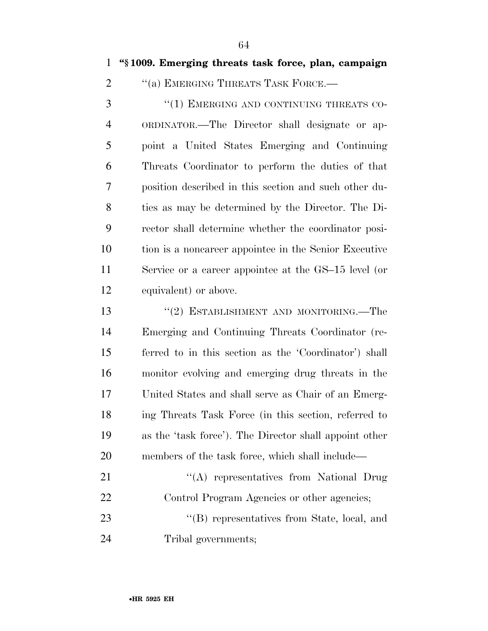2 "(a) EMERGING THREATS TASK FORCE.—

3 "(1) EMERGING AND CONTINUING THREATS CO- ORDINATOR.—The Director shall designate or ap- point a United States Emerging and Continuing Threats Coordinator to perform the duties of that position described in this section and such other du- ties as may be determined by the Director. The Di- rector shall determine whether the coordinator posi- tion is a noncareer appointee in the Senior Executive Service or a career appointee at the GS–15 level (or equivalent) or above.

13 "(2) ESTABLISHMENT AND MONITORING.—The Emerging and Continuing Threats Coordinator (re- ferred to in this section as the 'Coordinator') shall monitor evolving and emerging drug threats in the United States and shall serve as Chair of an Emerg- ing Threats Task Force (in this section, referred to as the 'task force'). The Director shall appoint other members of the task force, which shall include—

21 "(A) representatives from National Drug Control Program Agencies or other agencies; 23 "'(B) representatives from State, local, and Tribal governments;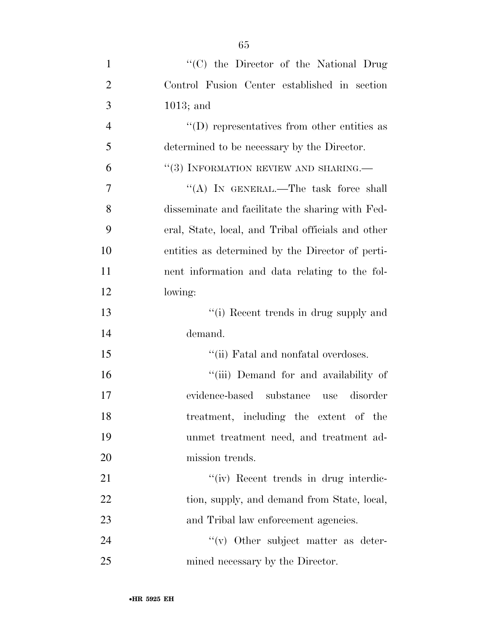| $\mathbf{1}$   | "(C) the Director of the National Drug             |
|----------------|----------------------------------------------------|
| $\overline{2}$ | Control Fusion Center established in section       |
| 3              | $1013$ ; and                                       |
| $\overline{4}$ | $\lq\lq$ ) representatives from other entities as  |
| 5              | determined to be necessary by the Director.        |
| 6              | $``(3)$ INFORMATION REVIEW AND SHARING.—           |
| 7              | "(A) IN GENERAL.—The task force shall              |
| 8              | disseminate and facilitate the sharing with Fed-   |
| 9              | eral, State, local, and Tribal officials and other |
| 10             | entities as determined by the Director of perti-   |
| 11             | nent information and data relating to the fol-     |
| 12             | lowing:                                            |
| 13             | "(i) Recent trends in drug supply and              |
| 14             | demand.                                            |
| 15             | "(ii) Fatal and nonfatal overdoses.                |
| 16             | "(iii) Demand for and availability of              |
| 17             | evidence-based substance<br>disorder<br>use        |
| 18             | treatment, including the extent of the             |
| 19             | unmet treatment need, and treatment ad-            |
| <b>20</b>      | mission trends.                                    |
| 21             | "(iv) Recent trends in drug interdic-              |
| 22             | tion, supply, and demand from State, local,        |
| 23             | and Tribal law enforcement agencies.               |
| 24             | "(v) Other subject matter as deter-                |
| 25             | mined necessary by the Director.                   |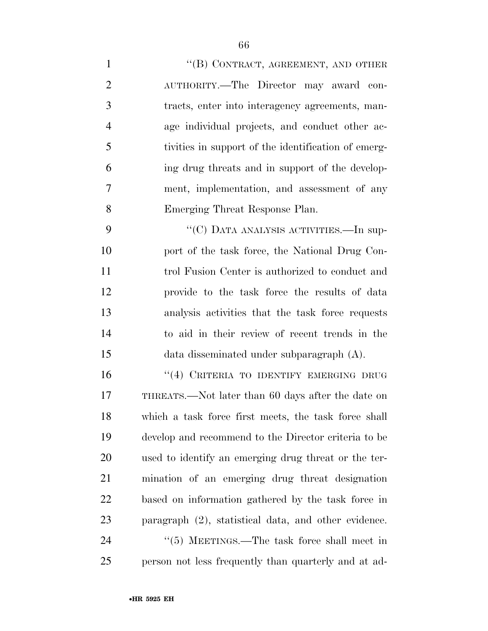- 1 "'(B) CONTRACT, AGREEMENT, AND OTHER AUTHORITY.—The Director may award con- tracts, enter into interagency agreements, man- age individual projects, and conduct other ac- tivities in support of the identification of emerg- ing drug threats and in support of the develop- ment, implementation, and assessment of any Emerging Threat Response Plan. 9 "'(C) DATA ANALYSIS ACTIVITIES.—In sup-10 port of the task force, the National Drug Con-
- trol Fusion Center is authorized to conduct and provide to the task force the results of data analysis activities that the task force requests to aid in their review of recent trends in the data disseminated under subparagraph (A).
- 16 "(4) CRITERIA TO IDENTIFY EMERGING DRUG THREATS.—Not later than 60 days after the date on which a task force first meets, the task force shall develop and recommend to the Director criteria to be used to identify an emerging drug threat or the ter- mination of an emerging drug threat designation based on information gathered by the task force in paragraph (2), statistical data, and other evidence. 24 "(5) MEETINGS.—The task force shall meet in person not less frequently than quarterly and at ad-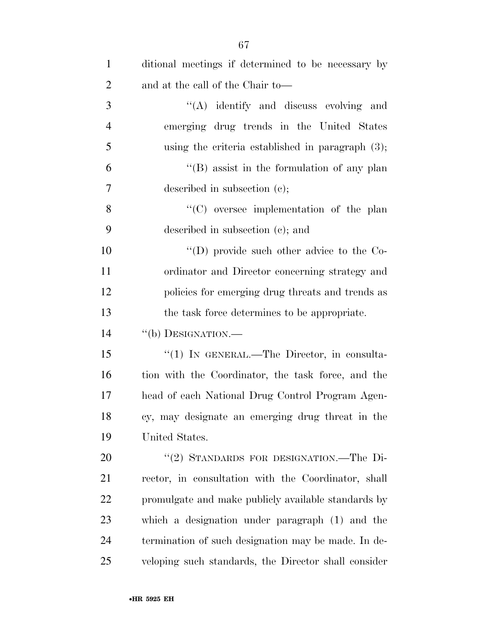| $\mathbf{1}$   | ditional meetings if determined to be necessary by   |
|----------------|------------------------------------------------------|
| $\overline{2}$ | and at the call of the Chair to—                     |
| 3              | "(A) identify and discuss evolving and               |
| $\overline{4}$ | emerging drug trends in the United States            |
| 5              | using the criteria established in paragraph $(3)$ ;  |
| 6              | "(B) assist in the formulation of any plan           |
| 7              | described in subsection $(c)$ ;                      |
| 8              | $\lq\lq$ oversee implementation of the plan          |
| 9              | described in subsection (c); and                     |
| 10             | "(D) provide such other advice to the $Co-$          |
| 11             | ordinator and Director concerning strategy and       |
| 12             | policies for emerging drug threats and trends as     |
| 13             | the task force determines to be appropriate.         |
| 14             | "(b) DESIGNATION.—                                   |
| 15             | "(1) IN GENERAL.—The Director, in consulta-          |
| 16             | tion with the Coordinator, the task force, and the   |
| 17             | head of each National Drug Control Program Agen-     |
| 18             | cy, may designate an emerging drug threat in the     |
| 19             | United States.                                       |
| 20             | "(2) STANDARDS FOR DESIGNATION.—The Di-              |
| 21             | rector, in consultation with the Coordinator, shall  |
| 22             | promulgate and make publicly available standards by  |
| 23             | which a designation under paragraph (1) and the      |
| 24             | termination of such designation may be made. In de-  |
| 25             | veloping such standards, the Director shall consider |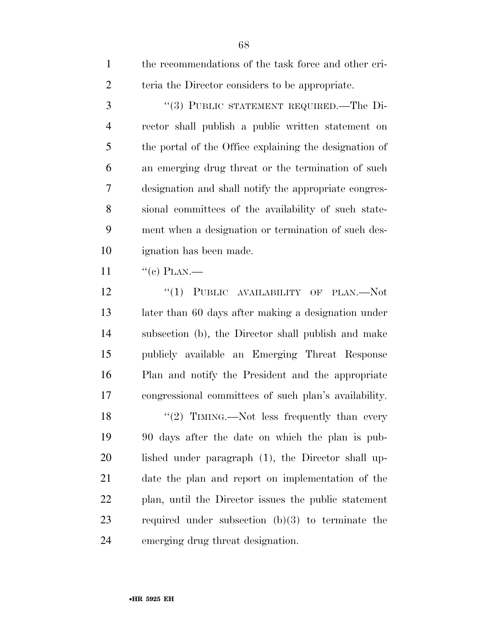| $\mathbf{1}$   | the recommendations of the task force and other cri-   |
|----------------|--------------------------------------------------------|
| $\overline{2}$ | teria the Director considers to be appropriate.        |
| 3              | "(3) PUBLIC STATEMENT REQUIRED.—The Di-                |
| $\overline{4}$ | rector shall publish a public written statement on     |
| 5              | the portal of the Office explaining the designation of |
| 6              | an emerging drug threat or the termination of such     |
| 7              | designation and shall notify the appropriate congres-  |
| 8              | sional committees of the availability of such state-   |
| 9              | ment when a designation or termination of such des-    |
| 10             | ignation has been made.                                |
| 11             | $``(c)$ PLAN.—                                         |
| 12             | "(1) PUBLIC AVAILABILITY OF PLAN.—Not                  |
| 13             | later than 60 days after making a designation under    |
| 14             | subsection (b), the Director shall publish and make    |
| 15             | publicly available an Emerging Threat Response         |
| 16             | Plan and notify the President and the appropriate      |
| 17             | congressional committees of such plan's availability.  |
| 18             | $\lq(2)$ TIMING.—Not less frequently than every        |
| 19             | 90 days after the date on which the plan is pub-       |
| 20             | lished under paragraph (1), the Director shall up-     |
| 21             | date the plan and report on implementation of the      |
| 22             | plan, until the Director issues the public statement   |
| 23             | required under subsection $(b)(3)$ to terminate the    |
| 24             | emerging drug threat designation.                      |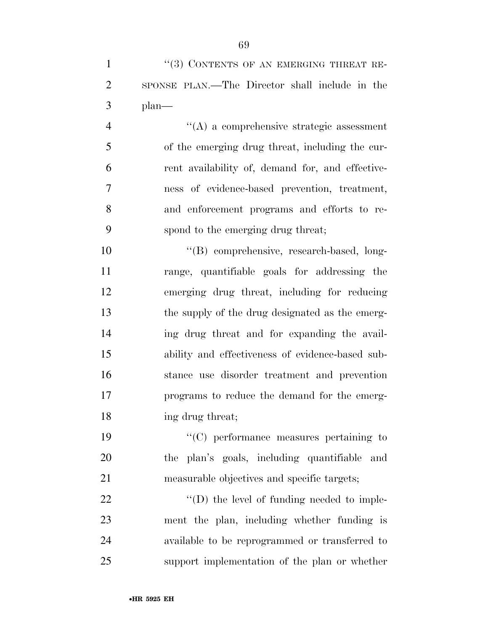| $\mathbf{1}$   | $\lq(3)$ CONTENTS OF AN EMERGING THREAT RE-    |
|----------------|------------------------------------------------|
| 2              | SPONSE PLAN.—The Director shall include in the |
|                | $3$ plan—                                      |
| $\overline{4}$ | $\lq\lq$ a comprehensive strategic assessment  |

 of the emerging drug threat, including the cur- rent availability of, demand for, and effective- ness of evidence-based prevention, treatment, and enforcement programs and efforts to re-spond to the emerging drug threat;

 $"$ (B) comprehensive, research-based, long- range, quantifiable goals for addressing the emerging drug threat, including for reducing the supply of the drug designated as the emerg- ing drug threat and for expanding the avail- ability and effectiveness of evidence-based sub- stance use disorder treatment and prevention programs to reduce the demand for the emerg-ing drug threat;

 ''(C) performance measures pertaining to the plan's goals, including quantifiable and measurable objectives and specific targets;

 $\bullet$  '(D) the level of funding needed to imple- ment the plan, including whether funding is available to be reprogrammed or transferred to support implementation of the plan or whether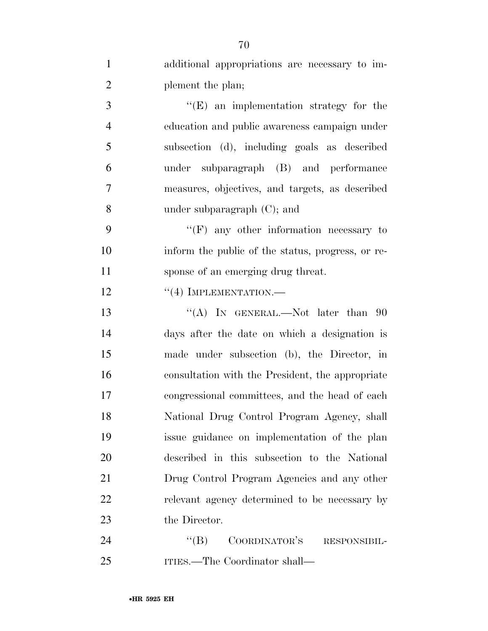| $\mathbf{1}$   | additional appropriations are necessary to im-    |
|----------------|---------------------------------------------------|
| $\overline{2}$ | plement the plan;                                 |
| 3              | $\lq\lq(E)$ an implementation strategy for the    |
| $\overline{4}$ | education and public awareness campaign under     |
| 5              | subsection (d), including goals as described      |
| 6              | under subparagraph (B) and performance            |
| 7              | measures, objectives, and targets, as described   |
| 8              | under subparagraph $(C)$ ; and                    |
| 9              | " $(F)$ any other information necessary to        |
| 10             | inform the public of the status, progress, or re- |
| 11             | sponse of an emerging drug threat.                |
| 12             | $``(4)$ IMPLEMENTATION.—                          |
| 13             | "(A) IN GENERAL.—Not later than $90$              |
| 14             | days after the date on which a designation is     |
| 15             | made under subsection (b), the Director, in       |
| 16             | consultation with the President, the appropriate  |
| 17             | congressional committees, and the head of each    |
| 18             | National Drug Control Program Agency, shall       |
| 19             | issue guidance on implementation of the plan      |
| 20             | described in this subsection to the National      |
| 21             | Drug Control Program Agencies and any other       |
| 22             | relevant agency determined to be necessary by     |
| 23             | the Director.                                     |
| 24             | ``(B)<br>COORDINATOR'S<br>RESPONSIBIL-            |
|                |                                                   |

ITIES.—The Coordinator shall—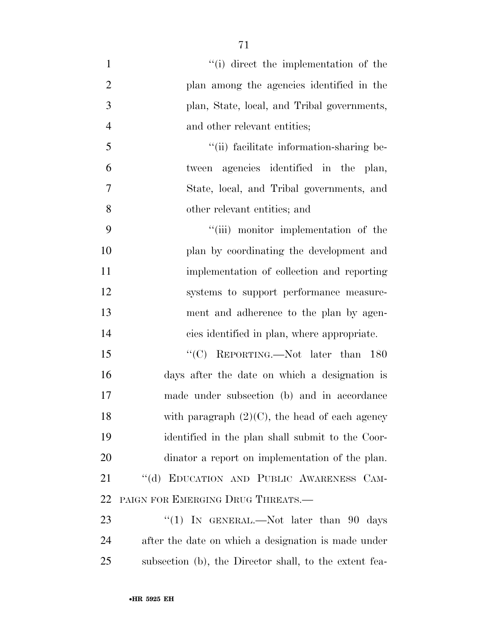- 1 ''(i) direct the implementation of the plan among the agencies identified in the plan, State, local, and Tribal governments, 4 and other relevant entities; 5 ''(ii) facilitate information-sharing be- tween agencies identified in the plan, State, local, and Tribal governments, and other relevant entities; and 9 "(iii) monitor implementation of the plan by coordinating the development and implementation of collection and reporting systems to support performance measure- ment and adherence to the plan by agen- cies identified in plan, where appropriate. 15 "'(C) REPORTING.—Not later than 180 days after the date on which a designation is made under subsection (b) and in accordance
- identified in the plan shall submit to the Coor- dinator a report on implementation of the plan. ''(d) EDUCATION AND PUBLIC AWARENESS CAM-PAIGN FOR EMERGING DRUG THREATS.—

18 with paragraph  $(2)(C)$ , the head of each agency

23 "(1) IN GENERAL.—Not later than 90 days after the date on which a designation is made under subsection (b), the Director shall, to the extent fea-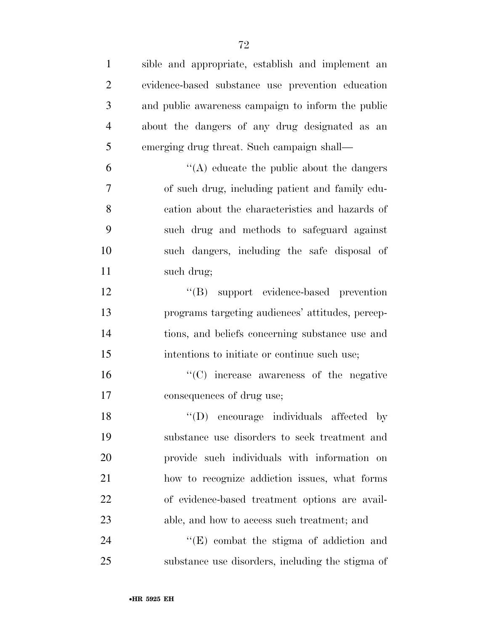sible and appropriate, establish and implement an evidence-based substance use prevention education and public awareness campaign to inform the public about the dangers of any drug designated as an emerging drug threat. Such campaign shall—  $\mathfrak{g}$   $\mathfrak{g}$   $\mathfrak{g}$  (A) educate the public about the dangers of such drug, including patient and family edu- cation about the characteristics and hazards of such drug and methods to safeguard against such dangers, including the safe disposal of such drug; 12 "(B) support evidence-based prevention programs targeting audiences' attitudes, percep- tions, and beliefs concerning substance use and intentions to initiate or continue such use; ''(C) increase awareness of the negative consequences of drug use; 18 "(D) encourage individuals affected by substance use disorders to seek treatment and provide such individuals with information on how to recognize addiction issues, what forms of evidence-based treatment options are avail- able, and how to access such treatment; and 24 ''(E) combat the stigma of addiction and substance use disorders, including the stigma of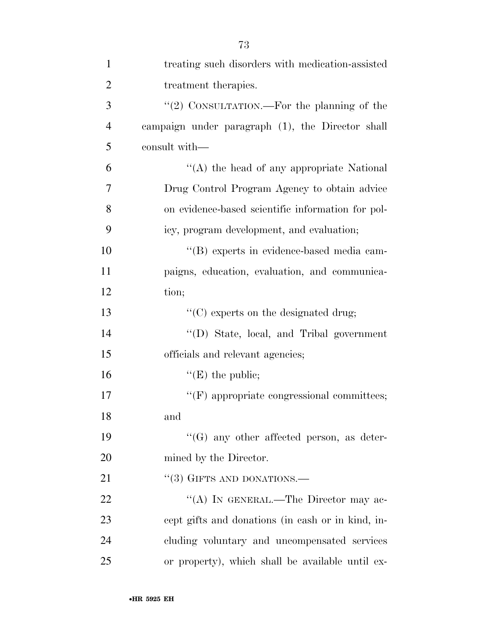| $\mathbf{1}$   | treating such disorders with medication-assisted  |
|----------------|---------------------------------------------------|
| $\overline{2}$ | treatment therapies.                              |
| 3              | "(2) CONSULTATION.—For the planning of the        |
| $\overline{4}$ | campaign under paragraph (1), the Director shall  |
| 5              | consult with—                                     |
| 6              | $\lq\lq$ the head of any appropriate National     |
| 7              | Drug Control Program Agency to obtain advice      |
| 8              | on evidence-based scientific information for pol- |
| 9              | icy, program development, and evaluation;         |
| 10             | "(B) experts in evidence-based media cam-         |
| 11             | paigns, education, evaluation, and communica-     |
| 12             | tion;                                             |
| 13             | "(C) experts on the designated drug;              |
| 14             | "(D) State, local, and Tribal government          |
| 15             | officials and relevant agencies;                  |
| 16             | $\lq\lq(E)$ the public;                           |
| 17             | $\lq\lq(F)$ appropriate congressional committees; |
| 18             | and                                               |
| 19             | $\lq\lq(G)$ any other affected person, as deter-  |
| 20             | mined by the Director.                            |
| 21             | $\cdot\cdot$ (3) GIFTS AND DONATIONS.—            |
| 22             | "(A) IN GENERAL.—The Director may ac-             |
| 23             | cept gifts and donations (in eash or in kind, in- |
| 24             | cluding voluntary and uncompensated services      |
| 25             | or property), which shall be available until ex-  |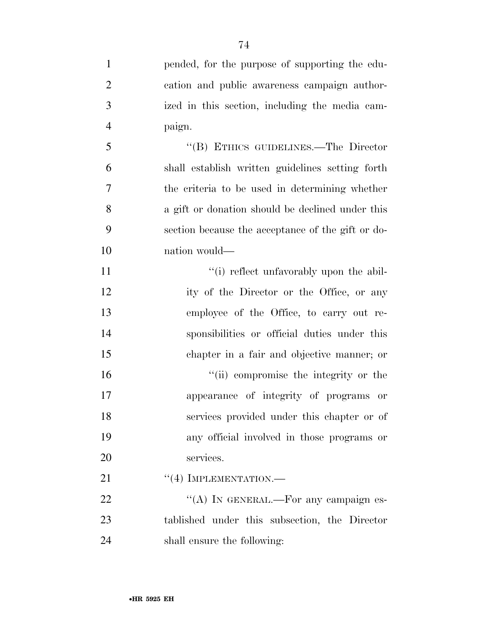| $\mathbf{1}$   | pended, for the purpose of supporting the edu-    |
|----------------|---------------------------------------------------|
| $\overline{2}$ | cation and public awareness campaign author-      |
| 3              | ized in this section, including the media cam-    |
| $\overline{4}$ | paign.                                            |
| 5              | "(B) ETHICS GUIDELINES.—The Director              |
| 6              | shall establish written guidelines setting forth  |
| 7              | the criteria to be used in determining whether    |
| 8              | a gift or donation should be declined under this  |
| 9              | section because the acceptance of the gift or do- |
| 10             | nation would—                                     |
| 11             | "(i) reflect unfavorably upon the abil-           |
| 12             | ity of the Director or the Office, or any         |
| 13             | employee of the Office, to carry out re-          |
| 14             | sponsibilities or official duties under this      |
| 15             | chapter in a fair and objective manner; or        |
| 16             | "(ii) compromise the integrity or the             |
| 17             | appearance of integrity of programs or            |
| 18             | services provided under this chapter or of        |
| 19             | any official involved in those programs or        |
| 20             | services.                                         |
| 21             | $``(4)$ IMPLEMENTATION.—                          |
| 22             | "(A) IN GENERAL.—For any campaign es-             |
| 23             | tablished under this subsection, the Director     |
|                |                                                   |

shall ensure the following: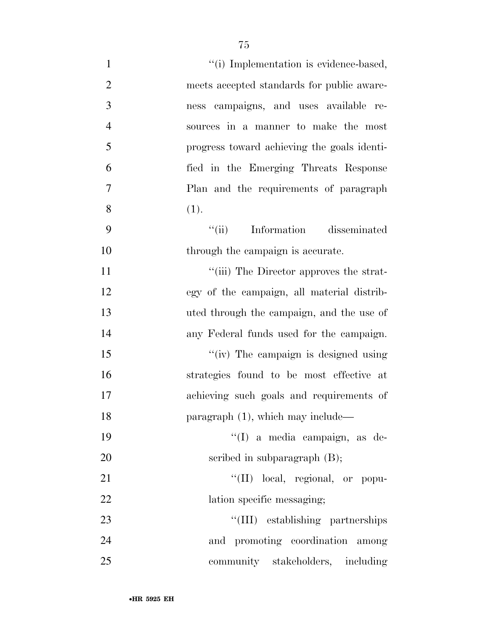| $\mathbf{1}$   | "(i) Implementation is evidence-based,      |
|----------------|---------------------------------------------|
| $\overline{2}$ | meets accepted standards for public aware-  |
| 3              | campaigns, and uses available re-<br>ness   |
| $\overline{4}$ | sources in a manner to make the most        |
| 5              | progress toward achieving the goals identi- |
| 6              | fied in the Emerging Threats Response       |
| $\tau$         | Plan and the requirements of paragraph      |
| 8              | (1).                                        |
| 9              | ``(ii)<br>Information disseminated          |
| 10             | through the campaign is accurate.           |
| 11             | "(iii) The Director approves the strat-     |
| 12             | egy of the campaign, all material distrib-  |
| 13             | uted through the campaign, and the use of   |
| 14             | any Federal funds used for the campaign.    |
| 15             | "(iv) The campaign is designed using        |
| 16             | strategies found to be most effective at    |
| 17             | achieving such goals and requirements of    |
| 18             | paragraph (1), which may include—           |
| 19             | "(I) a media campaign, as de-               |
| 20             | scribed in subparagraph $(B)$ ;             |
| 21             | "(II) local, regional, or popu-             |
| 22             | lation specific messaging;                  |
| 23             | "(III) establishing partnerships            |
| 24             | and promoting coordination among            |
| 25             | community stakeholders, including           |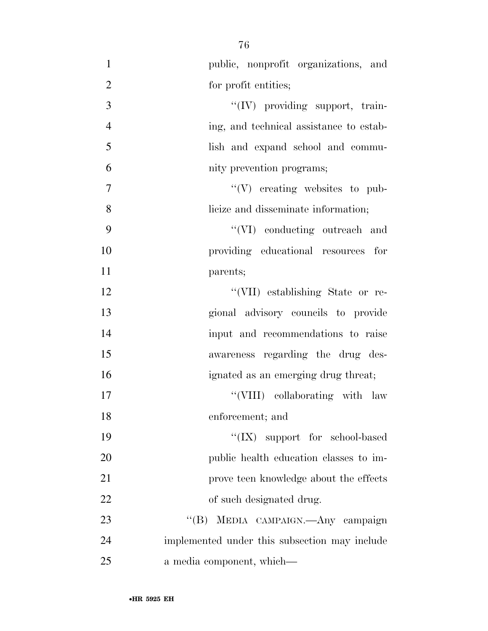| $\mathbf{1}$   | public, nonprofit organizations, and          |
|----------------|-----------------------------------------------|
| $\overline{2}$ | for profit entities;                          |
| 3              | "(IV) providing support, train-               |
| $\overline{4}$ | ing, and technical assistance to estab-       |
| 5              | lish and expand school and commu-             |
| 6              | nity prevention programs;                     |
| 7              | $\lq\lq(V)$ creating websites to pub-         |
| 8              | licize and disseminate information;           |
| 9              | "(VI) conducting outreach and                 |
| 10             | providing educational resources for           |
| 11             | parents;                                      |
| 12             | "(VII) establishing State or re-              |
| 13             | gional advisory councils to provide           |
| 14             | input and recommendations to raise            |
| 15             | awareness regarding the drug des-             |
| 16             | ignated as an emerging drug threat;           |
| 17             | "(VIII) collaborating with law                |
| 18             | enforcement; and                              |
| 19             | " $(IX)$ support for school-based             |
| 20             | public health education classes to im-        |
| 21             | prove teen knowledge about the effects        |
| 22             | of such designated drug.                      |
| 23             | "(B) MEDIA CAMPAIGN.—Any campaign             |
| 24             | implemented under this subsection may include |
| 25             | a media component, which—                     |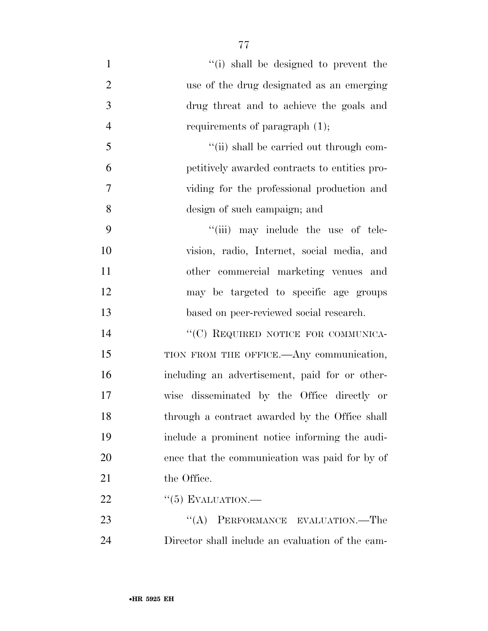1 ''(i) shall be designed to prevent the use of the drug designated as an emerging drug threat and to achieve the goals and 4 requirements of paragraph  $(1)$ ;  $\frac{1}{10}$  shall be carried out through com- petitively awarded contracts to entities pro- viding for the professional production and design of such campaign; and  $\frac{4}{\text{iii}}$  may include the use of tele- vision, radio, Internet, social media, and other commercial marketing venues and may be targeted to specific age groups based on peer-reviewed social research.

14 "(C) REQUIRED NOTICE FOR COMMUNICA-15 TION FROM THE OFFICE.—Any communication, 16 including an advertisement, paid for or other-17 wise disseminated by the Office directly or 18 through a contract awarded by the Office shall 19 include a prominent notice informing the audi-20 ence that the communication was paid for by of 21 the Office.

22  $(5)$  EVALUATION.—

23 "(A) PERFORMANCE EVALUATION.—The 24 Director shall include an evaluation of the cam-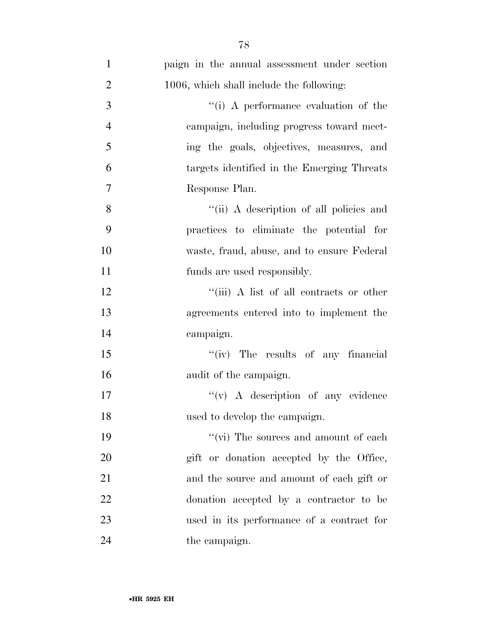| $\mathbf{1}$   | paign in the annual assessment under section |
|----------------|----------------------------------------------|
| $\overline{2}$ | 1006, which shall include the following:     |
| 3              | "(i) A performance evaluation of the         |
| $\overline{4}$ | campaign, including progress toward meet-    |
| 5              | ing the goals, objectives, measures, and     |
| 6              | targets identified in the Emerging Threats   |
| $\tau$         | Response Plan.                               |
| 8              | "(ii) A description of all policies and      |
| 9              | practices to eliminate the potential for     |
| 10             | waste, fraud, abuse, and to ensure Federal   |
| 11             | funds are used responsibly.                  |
| 12             | "(iii) A list of all contracts or other      |
| 13             | agreements entered into to implement the     |
| 14             | campaign.                                    |
| 15             | "(iv) The results of any financial           |
| 16             | audit of the campaign.                       |
| 17             | $\lq\lq$ (v) A description of any evidence   |
| 18             | used to develop the campaign.                |
| 19             | "(vi) The sources and amount of each         |
| 20             | gift or donation accepted by the Office,     |
| 21             | and the source and amount of each gift or    |
| 22             | donation accepted by a contractor to be      |
| 23             | used in its performance of a contract for    |
| 24             | the campaign.                                |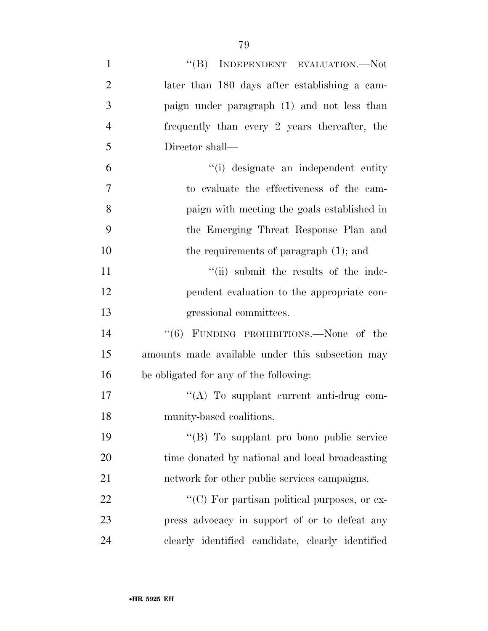| $\mathbf{1}$   | "(B) INDEPENDENT EVALUATION.—Not                 |
|----------------|--------------------------------------------------|
| $\overline{2}$ | later than 180 days after establishing a cam-    |
| 3              | paign under paragraph (1) and not less than      |
| $\overline{4}$ | frequently than every 2 years thereafter, the    |
| 5              | Director shall—                                  |
| 6              | "(i) designate an independent entity             |
| 7              | to evaluate the effectiveness of the cam-        |
| 8              | paign with meeting the goals established in      |
| 9              | the Emerging Threat Response Plan and            |
| 10             | the requirements of paragraph $(1)$ ; and        |
| 11             | "(ii) submit the results of the inde-            |
| 12             | pendent evaluation to the appropriate con-       |
| 13             | gressional committees.                           |
| 14             | "(6) FUNDING PROHIBITIONS.—None of the           |
| 15             | amounts made available under this subsection may |
| 16             | be obligated for any of the following:           |
| 17             | $\lq\lq$ . To supplant current anti-drug com-    |
| 18             | munity-based coalitions.                         |
| 19             | "(B) To supplant pro bono public service         |
| 20             | time donated by national and local broadcasting  |
| 21             | network for other public services campaigns.     |
| 22             | "(C) For partisan political purposes, or ex-     |
| 23             | press advocacy in support of or to defeat any    |
| 24             | clearly identified candidate, clearly identified |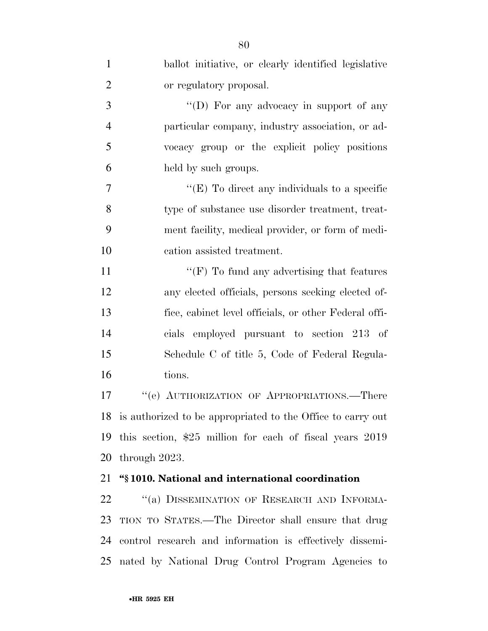| $\mathbf{1}$   | ballot initiative, or clearly identified legislative           |
|----------------|----------------------------------------------------------------|
| $\overline{2}$ | or regulatory proposal.                                        |
| 3              | "(D) For any advocacy in support of any                        |
| $\overline{4}$ | particular company, industry association, or ad-               |
| 5              | vocacy group or the explicit policy positions                  |
| 6              | held by such groups.                                           |
| $\overline{7}$ | " $(E)$ To direct any individuals to a specific                |
| 8              | type of substance use disorder treatment, treat-               |
| 9              | ment facility, medical provider, or form of medi-              |
| 10             | cation assisted treatment.                                     |
| 11             | " $(F)$ To fund any advertising that features"                 |
| 12             | any elected officials, persons seeking elected of-             |
| 13             | fice, cabinet level officials, or other Federal offi-          |
| 14             | cials employed pursuant to section 213 of                      |
| 15             | Schedule C of title 5, Code of Federal Regula-                 |
| 16             | tions.                                                         |
| 17             | "(e) AUTHORIZATION OF APPROPRIATIONS.—There                    |
|                | 18 is authorized to be appropriated to the Office to carry out |
| 19             | this section, $$25$ million for each of fiscal years $2019$    |
| 20             | through 2023.                                                  |
| 21             | "§1010. National and international coordination                |
| 22             | "(a) DISSEMINATION OF RESEARCH AND INFORMA-                    |
| 23             | TION TO STATES.—The Director shall ensure that drug            |
| 24             | control research and information is effectively dissemi-       |
| 25             | nated by National Drug Control Program Agencies to             |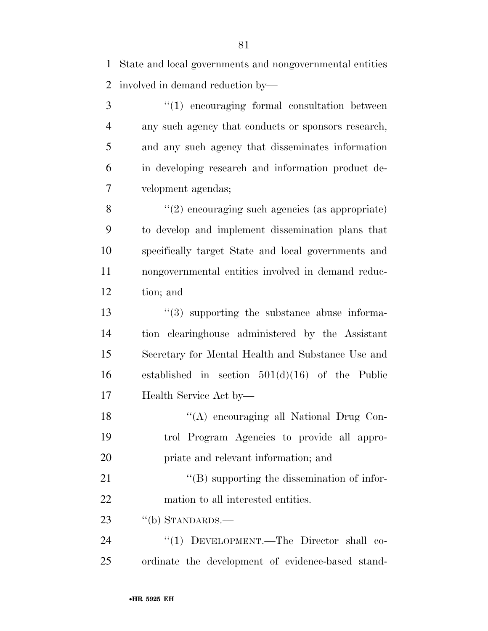State and local governments and nongovernmental entities involved in demand reduction by—

3 "(1) encouraging formal consultation between any such agency that conducts or sponsors research, and any such agency that disseminates information in developing research and information product de-velopment agendas;

 ''(2) encouraging such agencies (as appropriate) to develop and implement dissemination plans that specifically target State and local governments and nongovernmental entities involved in demand reduc-tion; and

 $\frac{13}{2}$   $\frac{13}{2}$  supporting the substance abuse informa- tion clearinghouse administered by the Assistant Secretary for Mental Health and Substance Use and established in section 501(d)(16) of the Public Health Service Act by—

 ''(A) encouraging all National Drug Con- trol Program Agencies to provide all appro-priate and relevant information; and

21 ''(B) supporting the dissemination of infor-mation to all interested entities.

23 "(b) STANDARDS.—

24 "(1) DEVELOPMENT.—The Director shall co-ordinate the development of evidence-based stand-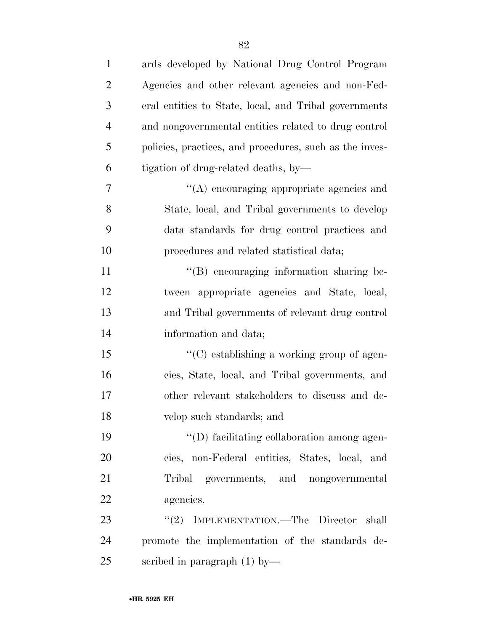| $\mathbf{1}$   | ards developed by National Drug Control Program         |
|----------------|---------------------------------------------------------|
| $\overline{2}$ | Agencies and other relevant agencies and non-Fed-       |
| 3              | eral entities to State, local, and Tribal governments   |
| $\overline{4}$ | and nongovernmental entities related to drug control    |
| 5              | policies, practices, and procedures, such as the inves- |
| 6              | tigation of drug-related deaths, by-                    |
| 7              | $\lq\lq$ encouraging appropriate agencies and           |
| 8              | State, local, and Tribal governments to develop         |
| 9              | data standards for drug control practices and           |
| 10             | procedures and related statistical data;                |
| 11             | "(B) encouraging information sharing be-                |
| 12             | tween appropriate agencies and State, local,            |
| 13             | and Tribal governments of relevant drug control         |
| 14             | information and data;                                   |
| 15             | $\cdot$ (C) establishing a working group of agen-       |
| 16             | cies, State, local, and Tribal governments, and         |
| 17             | other relevant stakeholders to discuss and de-          |
| 18             | velop such standards; and                               |
| 19             | "(D) facilitating collaboration among agen-             |
| 20             | cies, non-Federal entities, States, local, and          |
| 21             | Tribal governments, and nongovernmental                 |
| 22             | agencies.                                               |
| 23             | IMPLEMENTATION.—The Director shall<br>(2)               |
| 24             | promote the implementation of the standards de-         |
| 25             | scribed in paragraph $(1)$ by-                          |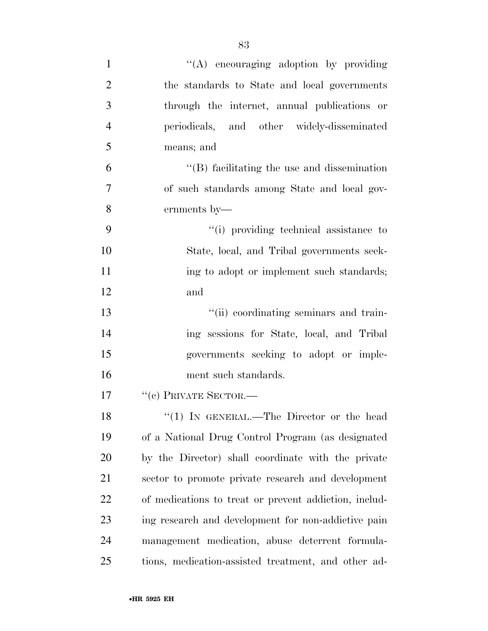| $\mathbf{1}$   | "(A) encouraging adoption by providing                |
|----------------|-------------------------------------------------------|
| $\overline{2}$ | the standards to State and local governments          |
| 3              | through the internet, annual publications or          |
| $\overline{4}$ | periodicals, and other widely-disseminated            |
| 5              | means; and                                            |
| 6              | $\lq\lq$ facilitating the use and dissemination       |
| $\overline{7}$ | of such standards among State and local gov-          |
| 8              | ernments by-                                          |
| 9              | "(i) providing technical assistance to                |
| 10             | State, local, and Tribal governments seek-            |
| 11             | ing to adopt or implement such standards;             |
| 12             | and                                                   |
| 13             | "(ii) coordinating seminars and train-                |
| 14             | ing sessions for State, local, and Tribal             |
| 15             | governments seeking to adopt or imple-                |
| 16             | ment such standards.                                  |
| 17             | $``(c)$ PRIVATE SECTOR.—                              |
| 18             | $\lq(1)$ IN GENERAL.—The Director or the head         |
| 19             | of a National Drug Control Program (as designated     |
| 20             | by the Director) shall coordinate with the private    |
| 21             | sector to promote private research and development    |
| 22             | of medications to treat or prevent addiction, includ- |
| 23             | ing research and development for non-addictive pain   |
| 24             | management medication, abuse deterrent formula-       |
| 25             | tions, medication-assisted treatment, and other ad-   |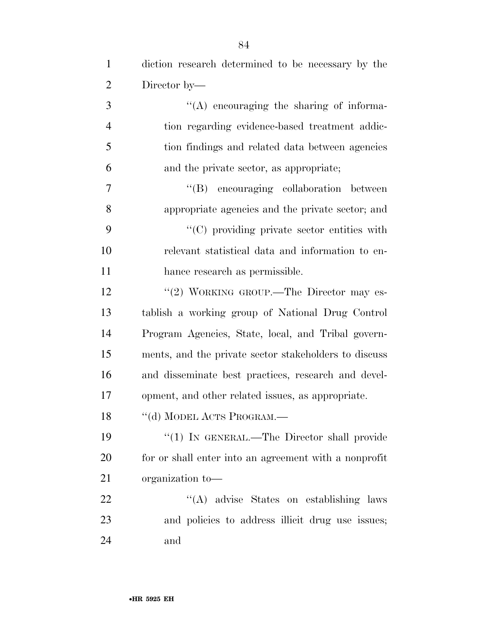| $\mathbf{1}$   | diction research determined to be necessary by the    |
|----------------|-------------------------------------------------------|
| 2              | Director by—                                          |
| 3              | $\lq\lq$ encouraging the sharing of informa-          |
| $\overline{4}$ | tion regarding evidence-based treatment addic-        |
| 5              | tion findings and related data between agencies       |
| 6              | and the private sector, as appropriate;               |
| 7              | "(B) encouraging collaboration between                |
| 8              | appropriate agencies and the private sector; and      |
| 9              | $\lq\lq$ (C) providing private sector entities with   |
| 10             | relevant statistical data and information to en-      |
| 11             | hance research as permissible.                        |
| 12             | "(2) WORKING GROUP.—The Director may es-              |
| 13             | tablish a working group of National Drug Control      |
| 14             | Program Agencies, State, local, and Tribal govern-    |
| 15             | ments, and the private sector stakeholders to discuss |
| 16             | and disseminate best practices, research and devel-   |
| 17             | opment, and other related issues, as appropriate.     |
| 18             | "(d) MODEL ACTS PROGRAM.-                             |
| 19             | "(1) IN GENERAL.—The Director shall provide           |
| 20             | for or shall enter into an agreement with a nonprofit |
| 21             | organization to-                                      |
| 22             | "(A) advise States on establishing laws               |
| 23             | and policies to address illicit drug use issues;      |
| 24             | and                                                   |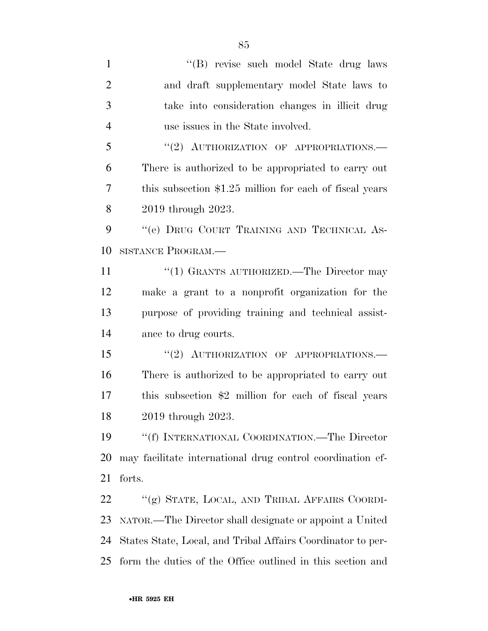1 ''(B) revise such model State drug laws and draft supplementary model State laws to take into consideration changes in illicit drug use issues in the State involved. 5 "(2) AUTHORIZATION OF APPROPRIATIONS.— There is authorized to be appropriated to carry out this subsection \$1.25 million for each of fiscal years 2019 through 2023. 9 "'(e) DRUG COURT TRAINING AND TECHNICAL AS- SISTANCE PROGRAM.— 11 ''(1) GRANTS AUTHORIZED.—The Director may make a grant to a nonprofit organization for the purpose of providing training and technical assist- ance to drug courts. 15 "(2) AUTHORIZATION OF APPROPRIATIONS.— There is authorized to be appropriated to carry out this subsection \$2 million for each of fiscal years 2019 through 2023. ''(f) INTERNATIONAL COORDINATION.—The Director may facilitate international drug control coordination ef- forts. ''(g) STATE, LOCAL, AND TRIBAL AFFAIRS COORDI- NATOR.—The Director shall designate or appoint a United States State, Local, and Tribal Affairs Coordinator to per-form the duties of the Office outlined in this section and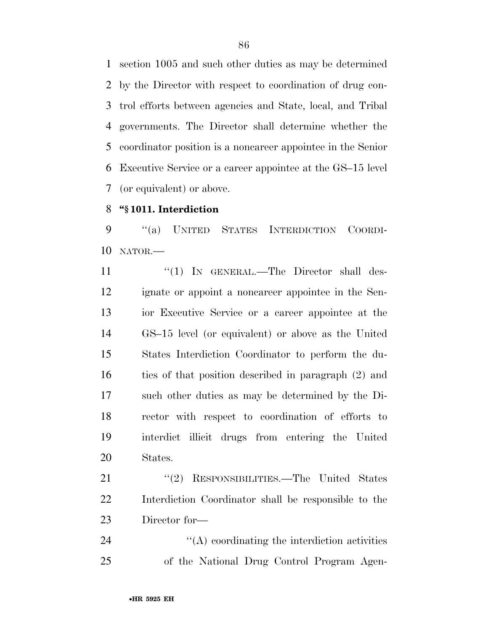section 1005 and such other duties as may be determined by the Director with respect to coordination of drug con- trol efforts between agencies and State, local, and Tribal governments. The Director shall determine whether the coordinator position is a noncareer appointee in the Senior Executive Service or a career appointee at the GS–15 level (or equivalent) or above.

## **''§ 1011. Interdiction**

 ''(a) UNITED STATES INTERDICTION COORDI-NATOR.—

11 "(1) IN GENERAL.—The Director shall des- ignate or appoint a noncareer appointee in the Sen- ior Executive Service or a career appointee at the GS–15 level (or equivalent) or above as the United States Interdiction Coordinator to perform the du- ties of that position described in paragraph (2) and such other duties as may be determined by the Di- rector with respect to coordination of efforts to interdict illicit drugs from entering the United States.

21 "(2) RESPONSIBILITIES.—The United States Interdiction Coordinator shall be responsible to the Director for—

24  $\langle A \rangle$  coordinating the interdiction activities of the National Drug Control Program Agen-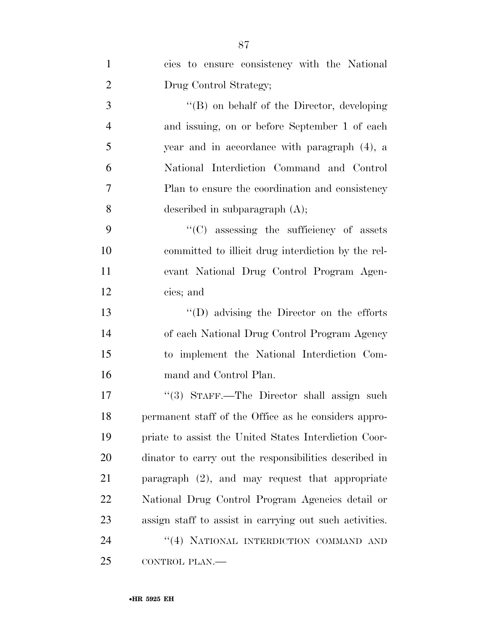| $\mathbf{1}$   | cies to ensure consistency with the National            |
|----------------|---------------------------------------------------------|
| $\overline{2}$ | Drug Control Strategy;                                  |
| 3              | $\lq\lq (B)$ on behalf of the Director, developing      |
| $\overline{4}$ | and issuing, on or before September 1 of each           |
| 5              | year and in accordance with paragraph (4), a            |
| 6              | National Interdiction Command and Control               |
| 7              | Plan to ensure the coordination and consistency         |
| 8              | described in subparagraph $(A)$ ;                       |
| 9              | $\cdot$ (C) assessing the sufficiency of assets         |
| 10             | committed to illicit drug interdiction by the rel-      |
| 11             | evant National Drug Control Program Agen-               |
| 12             | cies; and                                               |
| 13             | $\lq\lq$ advising the Director on the efforts           |
| 14             | of each National Drug Control Program Agency            |
| 15             | to implement the National Interdiction Com-             |
| 16             | mand and Control Plan.                                  |
| 17             | "(3) STAFF.—The Director shall assign such              |
| 18             | permanent staff of the Office as he considers appro-    |
| 19             | priate to assist the United States Interdiction Coor-   |
| 20             | dinator to carry out the responsibilities described in  |
| 21             | paragraph $(2)$ , and may request that appropriate      |
| 22             | National Drug Control Program Agencies detail or        |
| 23             | assign staff to assist in carrying out such activities. |
| 24             | "(4) NATIONAL INTERDICTION COMMAND AND                  |
| 25             | CONTROL PLAN.-                                          |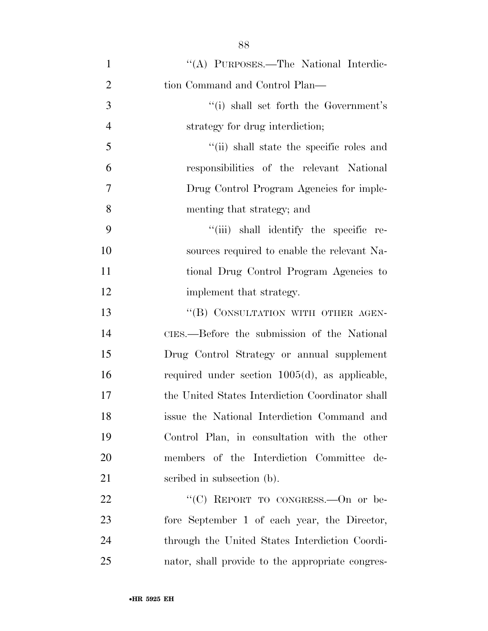| $\mathbf{1}$   | "(A) PURPOSES.—The National Interdic-             |
|----------------|---------------------------------------------------|
| $\overline{2}$ | tion Command and Control Plan—                    |
| 3              | "(i) shall set forth the Government's             |
| $\overline{4}$ | strategy for drug interdiction;                   |
| 5              | "(ii) shall state the specific roles and          |
| 6              | responsibilities of the relevant National         |
| 7              | Drug Control Program Agencies for imple-          |
| 8              | menting that strategy; and                        |
| 9              | "(iii) shall identify the specific re-            |
| 10             | sources required to enable the relevant Na-       |
| 11             | tional Drug Control Program Agencies to           |
| 12             | implement that strategy.                          |
| 13             | "(B) CONSULTATION WITH OTHER AGEN-                |
| 14             | CIES.—Before the submission of the National       |
| 15             | Drug Control Strategy or annual supplement        |
| 16             | required under section $1005(d)$ , as applicable, |
| 17             | the United States Interdiction Coordinator shall  |
| 18             | issue the National Interdiction Command and       |
| 19             | Control Plan, in consultation with the other      |
| 20             | members of the Interdiction Committee de-         |
| 21             | scribed in subsection (b).                        |
| 22             | "(C) REPORT TO CONGRESS. - On or be-              |
| 23             | fore September 1 of each year, the Director,      |
| 24             | through the United States Interdiction Coordi-    |
| 25             | nator, shall provide to the appropriate congres-  |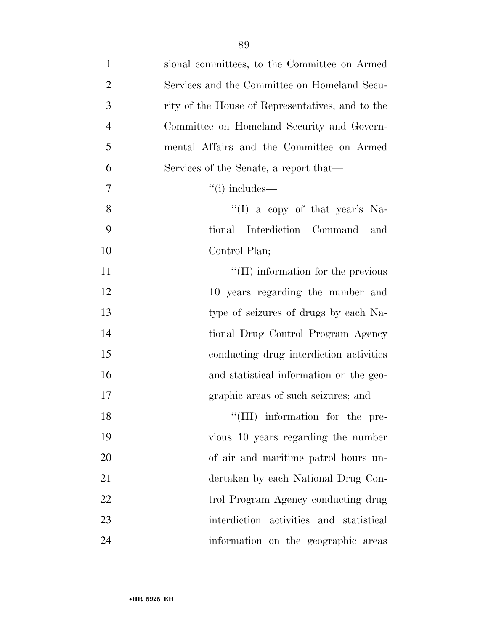| $\mathbf{1}$   | sional committees, to the Committee on Armed     |
|----------------|--------------------------------------------------|
| $\overline{2}$ | Services and the Committee on Homeland Secu-     |
| 3              | rity of the House of Representatives, and to the |
| $\overline{4}$ | Committee on Homeland Security and Govern-       |
| 5              | mental Affairs and the Committee on Armed        |
| 6              | Services of the Senate, a report that—           |
| $\overline{7}$ | $``(i)$ includes—                                |
| 8              | "(I) a copy of that year's Na-                   |
| 9              | Interdiction Command<br>tional<br>and            |
| 10             | Control Plan;                                    |
| 11             | $\lq$ (II) information for the previous          |
| 12             | 10 years regarding the number and                |
| 13             | type of seizures of drugs by each Na-            |
| 14             | tional Drug Control Program Agency               |
| 15             | conducting drug interdiction activities          |
| 16             | and statistical information on the geo-          |
| 17             | graphic areas of such seizures; and              |
| 18             | "(III) information for the pre-                  |
| 19             | vious 10 years regarding the number              |
| 20             | of air and maritime patrol hours un-             |
| 21             | dertaken by each National Drug Con-              |
| 22             | trol Program Agency conducting drug              |
| 23             | interdiction activities and statistical          |
| 24             | information on the geographic areas              |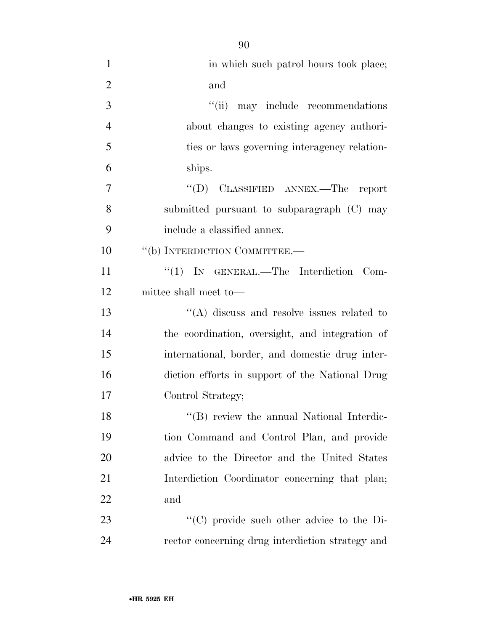| $\mathbf{1}$   | in which such patrol hours took place;            |
|----------------|---------------------------------------------------|
| $\overline{2}$ | and                                               |
| 3              | "(ii) may include recommendations                 |
| $\overline{4}$ | about changes to existing agency authori-         |
| 5              | ties or laws governing interagency relation-      |
| 6              | ships.                                            |
| 7              | "(D) CLASSIFIED ANNEX.—The report                 |
| 8              | submitted pursuant to subparagraph (C) may        |
| 9              | include a classified annex.                       |
| 10             | "(b) INTERDICTION COMMITTEE.-                     |
| 11             | " $(1)$ IN GENERAL.—The Interdiction Com-         |
| 12             | mittee shall meet to—                             |
| 13             | $\cdot$ (A) discuss and resolve issues related to |
| 14             | the coordination, oversight, and integration of   |
| 15             | international, border, and domestic drug inter-   |
| 16             | diction efforts in support of the National Drug   |
| 17             | Control Strategy;                                 |
| 18             | "(B) review the annual National Interdic-         |
| 19             | tion Command and Control Plan, and provide        |
| 20             | advice to the Director and the United States      |
| 21             | Interdiction Coordinator concerning that plan;    |
| 22             | and                                               |
| 23             | "(C) provide such other advice to the Di-         |
| 24             | rector concerning drug interdiction strategy and  |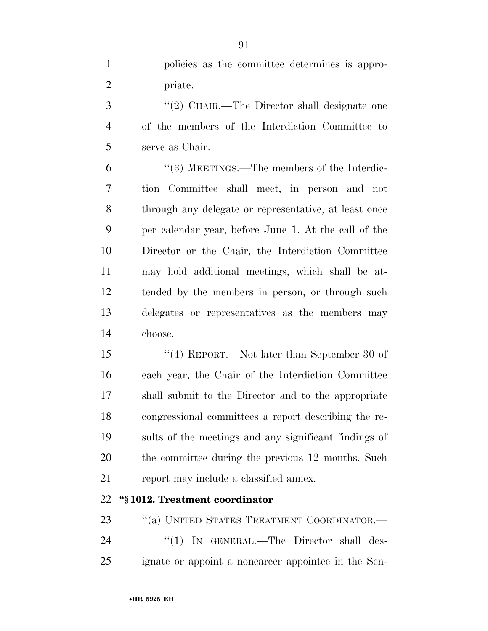policies as the committee determines is appro-priate.

3 "(2) CHAIR.—The Director shall designate one of the members of the Interdiction Committee to serve as Chair.

 ''(3) MEETINGS.—The members of the Interdic- tion Committee shall meet, in person and not through any delegate or representative, at least once per calendar year, before June 1. At the call of the Director or the Chair, the Interdiction Committee may hold additional meetings, which shall be at- tended by the members in person, or through such delegates or representatives as the members may choose.

 ''(4) REPORT.—Not later than September 30 of each year, the Chair of the Interdiction Committee shall submit to the Director and to the appropriate congressional committees a report describing the re- sults of the meetings and any significant findings of the committee during the previous 12 months. Such 21 report may include a classified annex.

## **''§ 1012. Treatment coordinator**

23 "(a) UNITED STATES TREATMENT COORDINATOR.— 24 "(1) IN GENERAL.—The Director shall des-ignate or appoint a noncareer appointee in the Sen-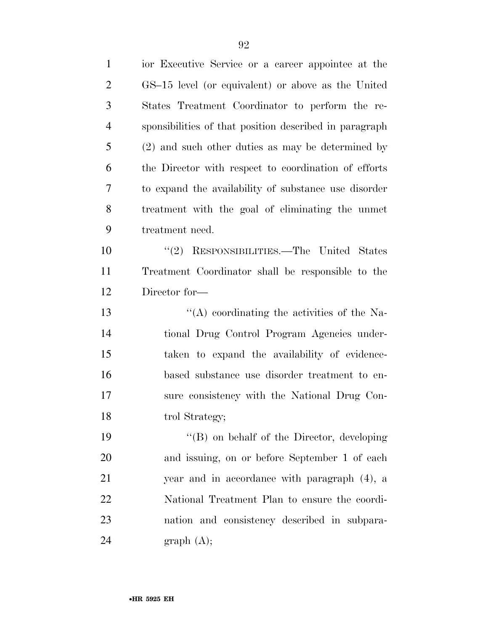| 1              | ior Executive Service or a career appointee at the     |
|----------------|--------------------------------------------------------|
| $\overline{2}$ | GS-15 level (or equivalent) or above as the United     |
| 3              | States Treatment Coordinator to perform the re-        |
| $\overline{4}$ | sponsibilities of that position described in paragraph |
| 5              | (2) and such other duties as may be determined by      |
| 6              | the Director with respect to coordination of efforts   |
| 7              | to expand the availability of substance use disorder   |
| 8              | treatment with the goal of eliminating the unmet       |
| 9              | treatment need.                                        |
| 10             | "(2) RESPONSIBILITIES.—The United States               |
| 11             | Treatment Coordinator shall be responsible to the      |
| 12             | Director for-                                          |
| 13             | $\lq\lq$ coordinating the activities of the Na-        |
| 14             | tional Drug Control Program Agencies under-            |
| 15             | taken to expand the availability of evidence-          |
| 16             | based substance use disorder treatment to en-          |
| 17             | sure consistency with the National Drug Con-           |
| 18             | trol Strategy;                                         |
| 19             | $\lq\lq (B)$ on behalf of the Director, developing     |
| 20             | and issuing, on or before September 1 of each          |
| 21             | year and in accordance with paragraph (4), a           |
| 22             | National Treatment Plan to ensure the coordi-          |
| 23             | nation and consistency described in subpara-           |
| 24             | graph(A);                                              |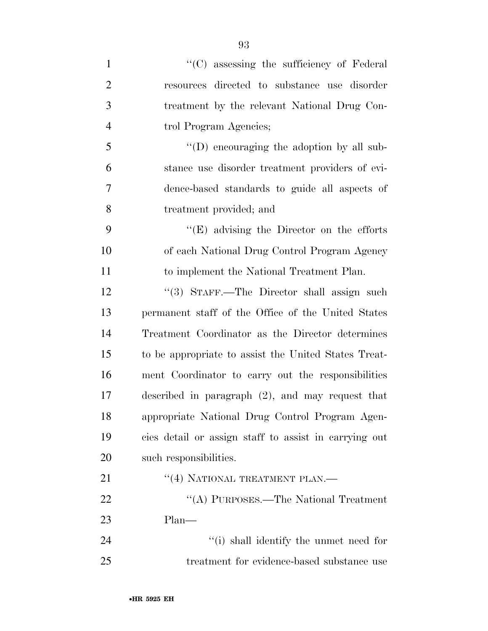| $\mathbf{1}$   | "(C) assessing the sufficiency of Federal             |
|----------------|-------------------------------------------------------|
| $\overline{2}$ | resources directed to substance use disorder          |
| 3              | treatment by the relevant National Drug Con-          |
| $\overline{4}$ | trol Program Agencies;                                |
| 5              | $\lq\lq$ (D) encouraging the adoption by all sub-     |
| 6              | stance use disorder treatment providers of evi-       |
| 7              | dence-based standards to guide all aspects of         |
| 8              | treatment provided; and                               |
| 9              | $\lq\lq(E)$ advising the Director on the efforts      |
| 10             | of each National Drug Control Program Agency          |
| 11             | to implement the National Treatment Plan.             |
| 12             | "(3) STAFF.—The Director shall assign such            |
| 13             | permanent staff of the Office of the United States    |
| 14             | Treatment Coordinator as the Director determines      |
| 15             | to be appropriate to assist the United States Treat-  |
| 16             | ment Coordinator to carry out the responsibilities    |
| 17             | described in paragraph $(2)$ , and may request that   |
| 18             | appropriate National Drug Control Program Agen-       |
| 19             | cies detail or assign staff to assist in carrying out |
| 20             | such responsibilities.                                |
| 21             | "(4) NATIONAL TREATMENT PLAN.—                        |
| 22             | "(A) PURPOSES.—The National Treatment                 |
| 23             | $Plan-$                                               |
| 24             | "(i) shall identify the unmet need for                |
| 25             | treatment for evidence-based substance use            |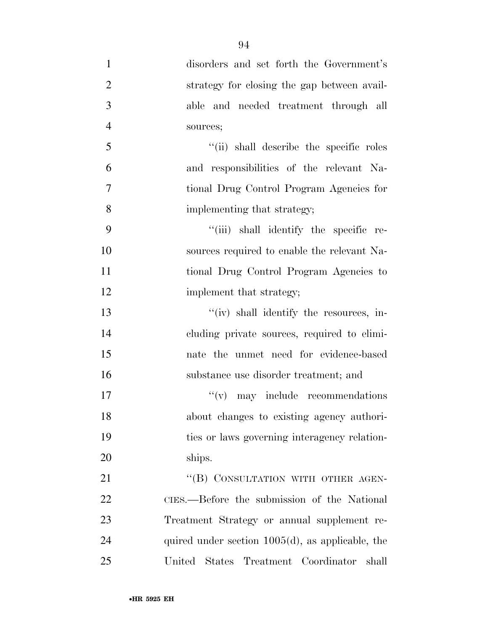| $\mathbf{1}$   | disorders and set forth the Government's            |
|----------------|-----------------------------------------------------|
| $\overline{2}$ | strategy for closing the gap between avail-         |
| 3              | able and needed treatment through all               |
| $\overline{4}$ | sources;                                            |
| 5              | "(ii) shall describe the specific roles             |
| 6              | and responsibilities of the relevant Na-            |
| $\overline{7}$ | tional Drug Control Program Agencies for            |
| 8              | implementing that strategy;                         |
| 9              | "(iii) shall identify the specific re-              |
| 10             | sources required to enable the relevant Na-         |
| 11             | tional Drug Control Program Agencies to             |
| 12             | implement that strategy;                            |
| 13             | "(iv) shall identify the resources, in-             |
| 14             | cluding private sources, required to elimi-         |
| 15             | nate the unmet need for evidence-based              |
| 16             | substance use disorder treatment; and               |
| 17             | $f'(v)$ may include recommendations                 |
| 18             | about changes to existing agency authori-           |
| 19             | ties or laws governing interagency relation-        |
| 20             | ships.                                              |
| 21             | "(B) CONSULTATION WITH OTHER AGEN-                  |
| 22             | CIES.—Before the submission of the National         |
| 23             | Treatment Strategy or annual supplement re-         |
| 24             | quired under section $1005(d)$ , as applicable, the |
| 25             | United States Treatment Coordinator<br>shall        |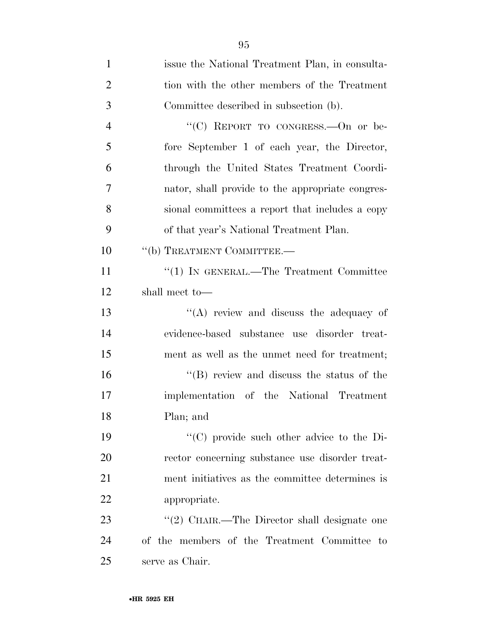| $\mathbf{1}$   | issue the National Treatment Plan, in consulta-  |
|----------------|--------------------------------------------------|
| $\overline{2}$ | tion with the other members of the Treatment     |
| 3              | Committee described in subsection (b).           |
| $\overline{4}$ | "(C) REPORT TO CONGRESS. - On or be-             |
| 5              | fore September 1 of each year, the Director,     |
| 6              | through the United States Treatment Coordi-      |
| 7              | nator, shall provide to the appropriate congres- |
| 8              | sional committees a report that includes a copy  |
| 9              | of that year's National Treatment Plan.          |
| 10             | "(b) TREATMENT COMMITTEE.-                       |
| 11             | "(1) IN GENERAL.—The Treatment Committee         |
| 12             | shall meet to-                                   |
| 13             | $\lq\lq$ review and discuss the adequacy of      |
| 14             | evidence-based substance use disorder treat-     |
| 15             | ment as well as the unmet need for treatment;    |
| 16             | $\lq\lq$ review and discuss the status of the    |
| 17             | implementation of the National Treatment         |
| 18             | Plan; and                                        |
| 19             | "(C) provide such other advice to the Di-        |
| 20             | rector concerning substance use disorder treat-  |
| 21             | ment initiatives as the committee determines is  |
| 22             | appropriate.                                     |
| 23             | "(2) CHAIR.—The Director shall designate one     |
| 24             | of the members of the Treatment Committee to     |
| 25             | serve as Chair.                                  |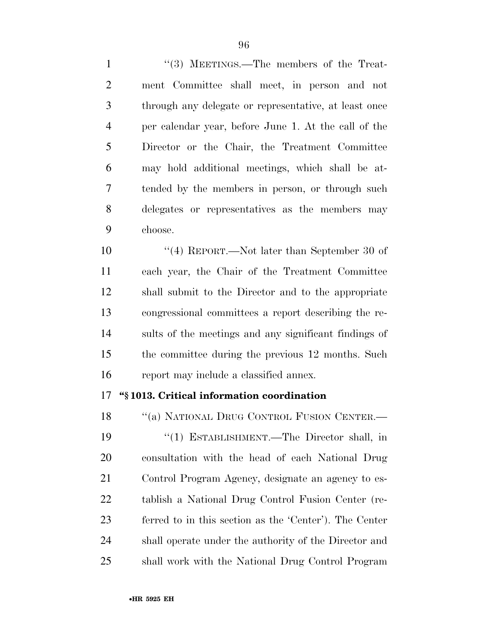1 "(3) MEETINGS.—The members of the Treat- ment Committee shall meet, in person and not through any delegate or representative, at least once per calendar year, before June 1. At the call of the Director or the Chair, the Treatment Committee may hold additional meetings, which shall be at- tended by the members in person, or through such delegates or representatives as the members may choose.

 ''(4) REPORT.—Not later than September 30 of each year, the Chair of the Treatment Committee shall submit to the Director and to the appropriate congressional committees a report describing the re- sults of the meetings and any significant findings of the committee during the previous 12 months. Such report may include a classified annex.

## **''§ 1013. Critical information coordination**

18 "(a) NATIONAL DRUG CONTROL FUSION CENTER.— ''(1) ESTABLISHMENT.—The Director shall, in consultation with the head of each National Drug Control Program Agency, designate an agency to es- tablish a National Drug Control Fusion Center (re- ferred to in this section as the 'Center'). The Center shall operate under the authority of the Director and shall work with the National Drug Control Program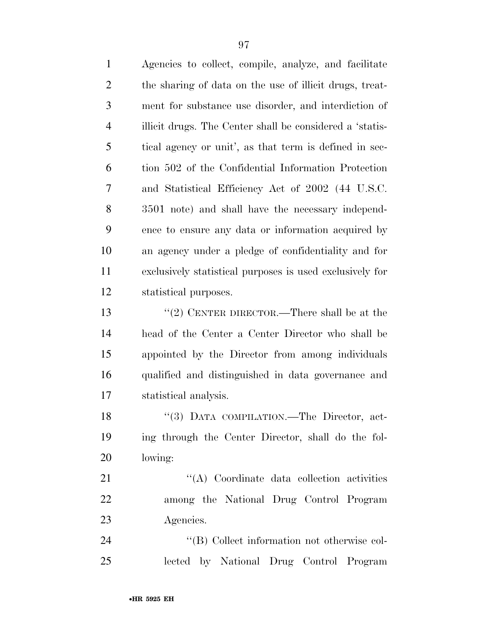Agencies to collect, compile, analyze, and facilitate the sharing of data on the use of illicit drugs, treat- ment for substance use disorder, and interdiction of illicit drugs. The Center shall be considered a 'statis- tical agency or unit', as that term is defined in sec- tion 502 of the Confidential Information Protection and Statistical Efficiency Act of 2002 (44 U.S.C. 3501 note) and shall have the necessary independ- ence to ensure any data or information acquired by an agency under a pledge of confidentiality and for exclusively statistical purposes is used exclusively for statistical purposes. ''(2) CENTER DIRECTOR.—There shall be at the head of the Center a Center Director who shall be appointed by the Director from among individuals qualified and distinguished in data governance and statistical analysis. 18 "(3) DATA COMPILATION.—The Director, act- ing through the Center Director, shall do the fol- lowing: 21 ''(A) Coordinate data collection activities among the National Drug Control Program Agencies.  $\langle (B) \rangle$  Collect information not otherwise col-

lected by National Drug Control Program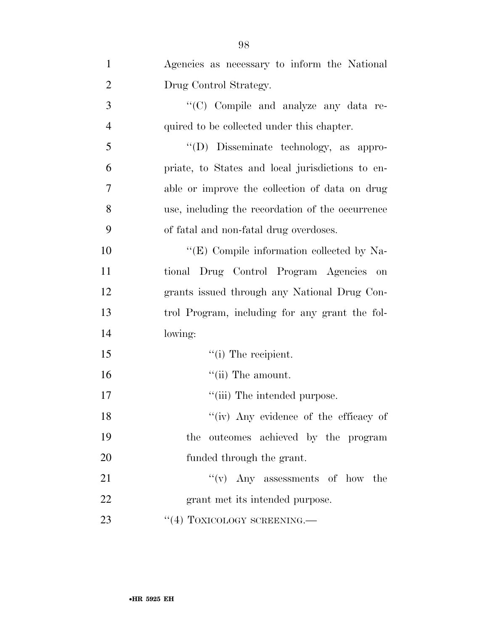| $\mathbf{1}$   | Agencies as necessary to inform the National     |
|----------------|--------------------------------------------------|
| $\overline{2}$ | Drug Control Strategy.                           |
| 3              | "(C) Compile and analyze any data re-            |
| $\overline{4}$ | quired to be collected under this chapter.       |
| 5              | "(D) Disseminate technology, as appro-           |
| 6              | priate, to States and local jurisdictions to en- |
| 7              | able or improve the collection of data on drug   |
| 8              | use, including the recordation of the occurrence |
| 9              | of fatal and non-fatal drug overdoses.           |
| 10             | "(E) Compile information collected by Na-        |
| 11             | tional Drug Control Program Agencies<br>on       |
| 12             | grants issued through any National Drug Con-     |
| 13             | trol Program, including for any grant the fol-   |
| 14             | lowing:                                          |
| 15             | $\lq$ <sup>"</sup> (i) The recipient.            |
| 16             | $``$ (ii) The amount.                            |
| 17             | "(iii) The intended purpose.                     |
| 18             | "(iv) Any evidence of the efficacy of            |
| 19             | the outcomes achieved by the program             |
| 20             | funded through the grant.                        |
| 21             | $f'(v)$ Any assessments of how the               |
| 22             | grant met its intended purpose.                  |
| 23             | $``(4)$ TOXICOLOGY SCREENING.—                   |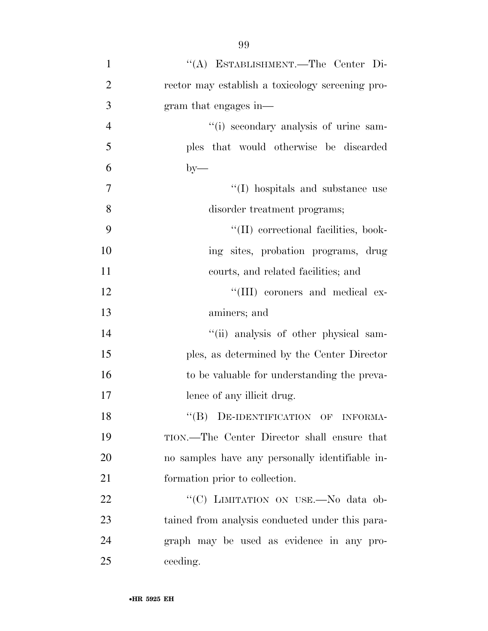''(A) ESTABLISHMENT.—The Center Di- rector may establish a toxicology screening pro- gram that engages in— ''(i) secondary analysis of urine sam- ples that would otherwise be discarded  $6 \qquad \qquad \text{by} \qquad$  $''(I)$  hospitals and substance use disorder treatment programs;  $\frac{1}{2}$  (II) correctional facilities, book-10 ing sites, probation programs, drug courts, and related facilities; and  $\text{``(III)}$  coroners and medical ex- aminers; and  $"$ (ii) analysis of other physical sam- ples, as determined by the Center Director 16 to be valuable for understanding the preva-17 lence of any illicit drug. 18 "(B) DE-IDENTIFICATION OF INFORMA- TION.—The Center Director shall ensure that no samples have any personally identifiable in- formation prior to collection. 22 "'(C) LIMITATION ON USE.—No data ob- tained from analysis conducted under this para- graph may be used as evidence in any pro-25 ceeding.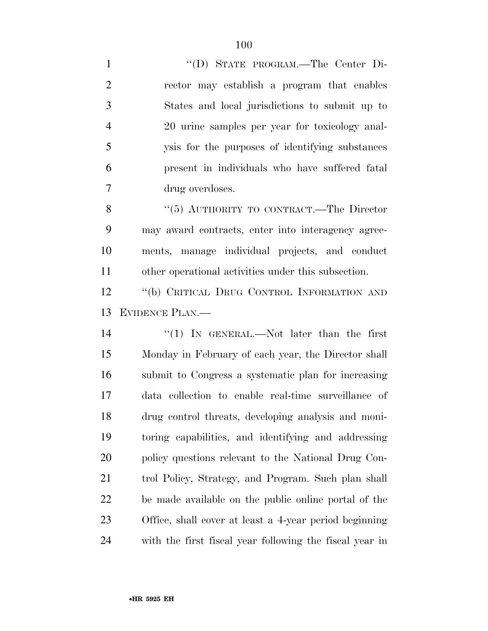''(D) STATE PROGRAM.—The Center Di- rector may establish a program that enables States and local jurisdictions to submit up to 20 urine samples per year for toxicology anal- ysis for the purposes of identifying substances present in individuals who have suffered fatal drug overdoses. 8 "(5) AUTHORITY TO CONTRACT.—The Director may award contracts, enter into interagency agree-

 ments, manage individual projects, and conduct other operational activities under this subsection.

 ''(b) CRITICAL DRUG CONTROL INFORMATION AND EVIDENCE PLAN.—

14 ''(1) In GENERAL.—Not later than the first Monday in February of each year, the Director shall submit to Congress a systematic plan for increasing data collection to enable real-time surveillance of drug control threats, developing analysis and moni- toring capabilities, and identifying and addressing policy questions relevant to the National Drug Con- trol Policy, Strategy, and Program. Such plan shall be made available on the public online portal of the Office, shall cover at least a 4-year period beginning with the first fiscal year following the fiscal year in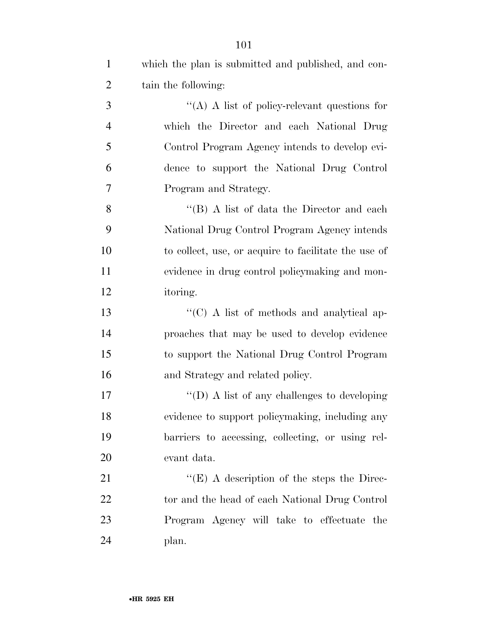| $\mathbf{1}$   | which the plan is submitted and published, and con-  |
|----------------|------------------------------------------------------|
| $\overline{2}$ | tain the following:                                  |
| 3              | "(A) A list of policy-relevant questions for         |
| $\overline{4}$ | which the Director and each National Drug            |
| 5              | Control Program Agency intends to develop evi-       |
| 6              | dence to support the National Drug Control           |
| 7              | Program and Strategy.                                |
| 8              | "(B) A list of data the Director and each            |
| 9              | National Drug Control Program Agency intends         |
| 10             | to collect, use, or acquire to facilitate the use of |
| 11             | evidence in drug control policymaking and mon-       |
| 12             | itoring.                                             |
| 13             | "(C) A list of methods and analytical ap-            |
| 14             | proaches that may be used to develop evidence        |
| 15             | to support the National Drug Control Program         |
| 16             | and Strategy and related policy.                     |
| 17             | "(D) A list of any challenges to developing          |
| 18             | evidence to support policymaking, including any      |
| 19             | barriers to accessing, collecting, or using rel-     |
| 20             | evant data.                                          |
| 21             | " $(E)$ A description of the steps the Direc-        |
| 22             | tor and the head of each National Drug Control       |
| 23             | Program Agency will take to effectuate the           |
| 24             | plan.                                                |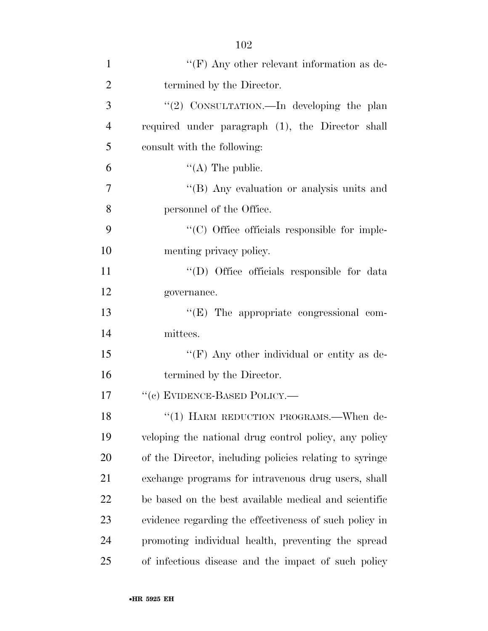| $\mathbf{1}$   | "(F) Any other relevant information as de-              |
|----------------|---------------------------------------------------------|
| $\overline{2}$ | termined by the Director.                               |
| 3              | "(2) CONSULTATION.—In developing the plan               |
| $\overline{4}$ | required under paragraph (1), the Director shall        |
| 5              | consult with the following:                             |
| 6              | $\lq\lq$ (A) The public.                                |
| $\overline{7}$ | "(B) Any evaluation or analysis units and               |
| 8              | personnel of the Office.                                |
| 9              | "(C) Office officials responsible for imple-            |
| 10             | menting privacy policy.                                 |
| 11             | "(D) Office officials responsible for data              |
| 12             | governance.                                             |
| 13             | $\lq\lq$ (E) The appropriate congressional com-         |
| 14             | mittees.                                                |
| 15             | "(F) Any other individual or entity as de-              |
| 16             | termined by the Director.                               |
| 17             | "(c) EVIDENCE-BASED POLICY.—                            |
| 18             | "(1) HARM REDUCTION PROGRAMS.—When de-                  |
| 19             | veloping the national drug control policy, any policy   |
| 20             | of the Director, including policies relating to syringe |
| 21             | exchange programs for intravenous drug users, shall     |
| 22             | be based on the best available medical and scientific   |
| 23             | evidence regarding the effectiveness of such policy in  |
| 24             | promoting individual health, preventing the spread      |
| 25             | of infectious disease and the impact of such policy     |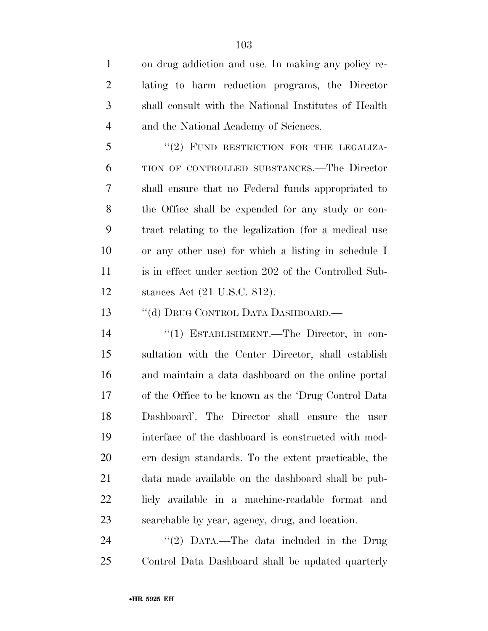on drug addiction and use. In making any policy re- lating to harm reduction programs, the Director shall consult with the National Institutes of Health and the National Academy of Sciences.

5 "(2) FUND RESTRICTION FOR THE LEGALIZA- TION OF CONTROLLED SUBSTANCES.—The Director shall ensure that no Federal funds appropriated to the Office shall be expended for any study or con- tract relating to the legalization (for a medical use or any other use) for which a listing in schedule I is in effect under section 202 of the Controlled Sub-stances Act (21 U.S.C. 812).

13 "(d) DRUG CONTROL DATA DASHBOARD.—

 ''(1) ESTABLISHMENT.—The Director, in con- sultation with the Center Director, shall establish and maintain a data dashboard on the online portal of the Office to be known as the 'Drug Control Data Dashboard'. The Director shall ensure the user interface of the dashboard is constructed with mod- ern design standards. To the extent practicable, the data made available on the dashboard shall be pub- licly available in a machine-readable format and searchable by year, agency, drug, and location.

24 "(2) DATA.—The data included in the Drug Control Data Dashboard shall be updated quarterly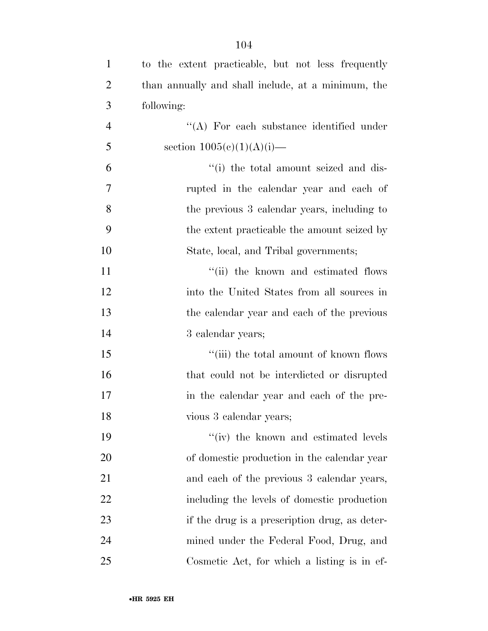| $\mathbf{1}$   | to the extent practicable, but not less frequently |
|----------------|----------------------------------------------------|
| $\overline{2}$ | than annually and shall include, at a minimum, the |
| 3              | following:                                         |
| $\overline{4}$ | "(A) For each substance identified under           |
| 5              | section $1005(c)(1)(A)(i)$ —                       |
| 6              | "(i) the total amount seized and dis-              |
| 7              | rupted in the calendar year and each of            |
| 8              | the previous 3 calendar years, including to        |
| 9              | the extent practicable the amount seized by        |
| 10             | State, local, and Tribal governments;              |
| 11             | "(ii) the known and estimated flows                |
| 12             | into the United States from all sources in         |
| 13             | the calendar year and each of the previous         |
| 14             | 3 calendar years;                                  |
| 15             | "(iii) the total amount of known flows             |
| 16             | that could not be interdicted or disrupted         |
| 17             | in the calendar year and each of the pre-          |
| 18             | vious 3 calendar years;                            |
| 19             | "(iv) the known and estimated levels               |
| 20             | of domestic production in the calendar year        |
| 21             | and each of the previous 3 calendar years,         |
| 22             | including the levels of domestic production        |
| 23             | if the drug is a prescription drug, as deter-      |
| 24             | mined under the Federal Food, Drug, and            |
| 25             | Cosmetic Act, for which a listing is in ef-        |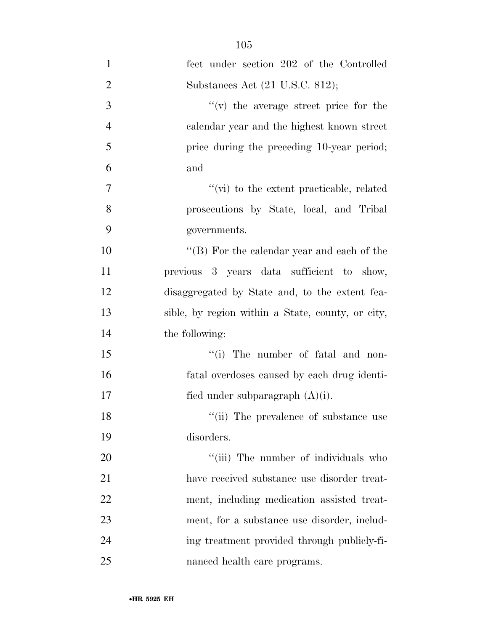| $\mathbf{1}$   | fect under section 202 of the Controlled          |
|----------------|---------------------------------------------------|
| $\overline{2}$ | Substances Act (21 U.S.C. 812);                   |
| 3              | $f'(v)$ the average street price for the          |
| $\overline{4}$ | calendar year and the highest known street        |
| 5              | price during the preceding 10-year period;        |
| 6              | and                                               |
| $\tau$         | $\lq\lq$ (vi) to the extent practicable, related  |
| 8              | prosecutions by State, local, and Tribal          |
| 9              | governments.                                      |
| 10             | "(B) For the calendar year and each of the        |
| 11             | previous 3 years data sufficient to show,         |
| 12             | disaggregated by State and, to the extent fea-    |
| 13             | sible, by region within a State, county, or city, |
| 14             | the following:                                    |
| 15             | "(i) The number of fatal and non-                 |
| 16             | fatal overdoses caused by each drug identi-       |
| 17             | fied under subparagraph $(A)(i)$ .                |
| 18             | "(ii) The prevalence of substance use             |
| 19             | disorders.                                        |
| 20             | "(iii) The number of individuals who              |
| 21             | have received substance use disorder treat-       |
| 22             | ment, including medication assisted treat-        |
| 23             | ment, for a substance use disorder, includ-       |
| 24             | ing treatment provided through publicly-fi-       |
| 25             | nanced health care programs.                      |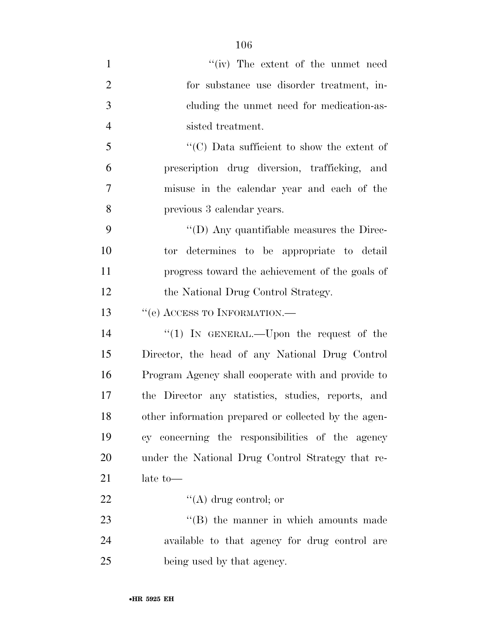| $\mathbf{1}$   | "(iv) The extent of the unmet need                   |
|----------------|------------------------------------------------------|
| $\overline{2}$ | for substance use disorder treatment, in-            |
| 3              | cluding the unmet need for medication-as-            |
| $\overline{4}$ | sisted treatment.                                    |
| 5              | "(C) Data sufficient to show the extent of           |
| 6              | prescription drug diversion, trafficking, and        |
| 7              | misuse in the calendar year and each of the          |
| 8              | previous 3 calendar years.                           |
| 9              | $\lq\lq$ (D) Any quantifiable measures the Direc-    |
| 10             | tor determines to be appropriate to detail           |
| 11             | progress toward the achievement of the goals of      |
| 12             | the National Drug Control Strategy.                  |
| 13             | "(e) ACCESS TO INFORMATION.—                         |
| 14             | "(1) IN GENERAL.—Upon the request of the             |
| 15             | Director, the head of any National Drug Control      |
| 16             | Program Agency shall cooperate with and provide to   |
| 17             | the Director any statistics, studies, reports, and   |
| 18             | other information prepared or collected by the agen- |
| 19             | cy concerning the responsibilities of the agency     |
| 20             | under the National Drug Control Strategy that re-    |
| 21             | late to-                                             |
| 22             | $\lq\lq(A)$ drug control; or                         |
| 23             | $\lq\lq$ the manner in which amounts made            |
| 24             | available to that agency for drug control are        |
| 25             | being used by that agency.                           |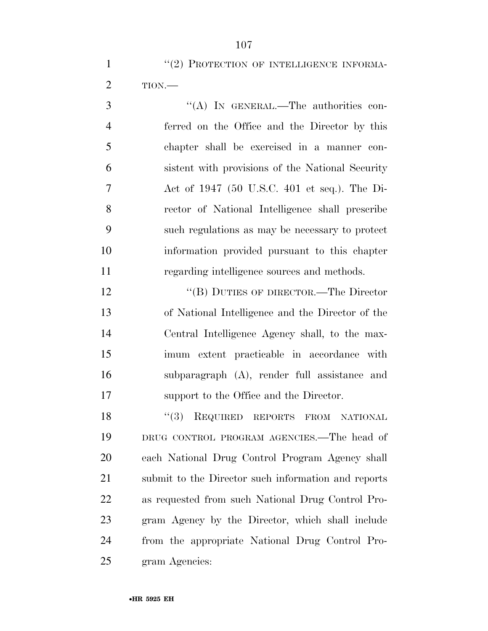3 "(A) In GENERAL.—The authorities con- ferred on the Office and the Director by this chapter shall be exercised in a manner con- sistent with provisions of the National Security Act of 1947 (50 U.S.C. 401 et seq.). The Di- rector of National Intelligence shall prescribe such regulations as may be necessary to protect information provided pursuant to this chapter regarding intelligence sources and methods.

12 "(B) DUTIES OF DIRECTOR.—The Director of National Intelligence and the Director of the Central Intelligence Agency shall, to the max- imum extent practicable in accordance with subparagraph (A), render full assistance and support to the Office and the Director.

18 "(3) REQUIRED REPORTS FROM NATIONAL DRUG CONTROL PROGRAM AGENCIES.—The head of each National Drug Control Program Agency shall submit to the Director such information and reports as requested from such National Drug Control Pro- gram Agency by the Director, which shall include from the appropriate National Drug Control Pro-gram Agencies: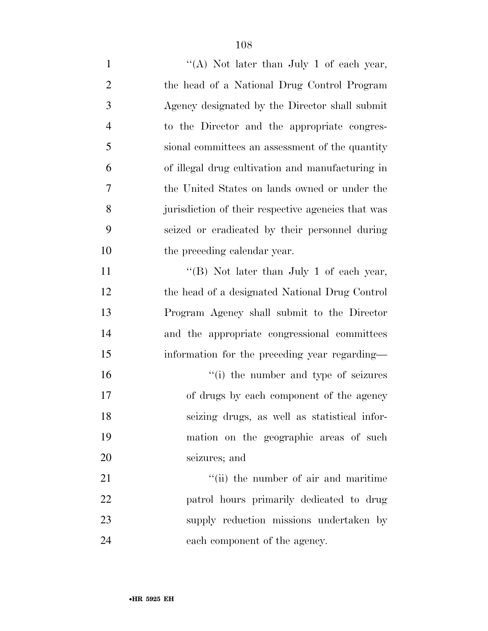| $\mathbf{1}$   | "(A) Not later than July 1 of each year,           |
|----------------|----------------------------------------------------|
| $\overline{2}$ | the head of a National Drug Control Program        |
| 3              | Agency designated by the Director shall submit     |
| $\overline{4}$ | to the Director and the appropriate congres-       |
| 5              | sional committees an assessment of the quantity    |
| 6              | of illegal drug cultivation and manufacturing in   |
| 7              | the United States on lands owned or under the      |
| 8              | jurisdiction of their respective agencies that was |
| 9              | seized or eradicated by their personnel during     |
| 10             | the preceding calendar year.                       |
| 11             | "(B) Not later than July 1 of each year,           |
| 12             | the head of a designated National Drug Control     |
| 13             | Program Agency shall submit to the Director        |
| 14             | and the appropriate congressional committees       |
| 15             | information for the preceding year regarding—      |
| 16             | "(i) the number and type of seizures               |
| 17             | of drugs by each component of the agency           |
| 18             | seizing drugs, as well as statistical infor-       |
| 19             | mation on the geographic areas of such             |
| 20             | seizures; and                                      |
| 21             | "(ii) the number of air and maritime               |
| 22             | patrol hours primarily dedicated to drug           |
| 23             | supply reduction missions undertaken by            |
| 24             | each component of the agency.                      |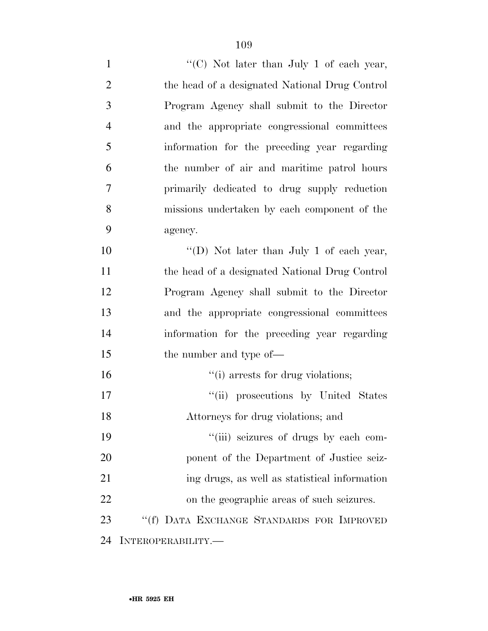1 ''(C) Not later than July 1 of each year, the head of a designated National Drug Control Program Agency shall submit to the Director and the appropriate congressional committees information for the preceding year regarding the number of air and maritime patrol hours primarily dedicated to drug supply reduction missions undertaken by each component of the agency. 10 "'(D) Not later than July 1 of each year,

 the head of a designated National Drug Control Program Agency shall submit to the Director and the appropriate congressional committees information for the preceding year regarding 15 the number and type of—

 $\frac{1}{10}$  arrests for drug violations;  $"$ (ii) prosecutions by United States Attorneys for drug violations; and  $"$ (iii) seizures of drugs by each com-ponent of the Department of Justice seiz-

 ing drugs, as well as statistical information on the geographic areas of such seizures.

 ''(f) DATA EXCHANGE STANDARDS FOR IMPROVED INTEROPERABILITY.—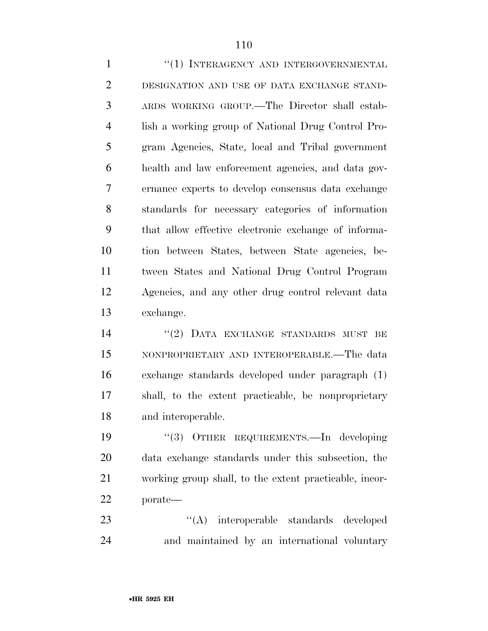1 "(1) INTERAGENCY AND INTERGOVERNMENTAL DESIGNATION AND USE OF DATA EXCHANGE STAND- ARDS WORKING GROUP.—The Director shall estab- lish a working group of National Drug Control Pro- gram Agencies, State, local and Tribal government health and law enforcement agencies, and data gov- ernance experts to develop consensus data exchange standards for necessary categories of information that allow effective electronic exchange of informa- tion between States, between State agencies, be- tween States and National Drug Control Program Agencies, and any other drug control relevant data exchange.

14 ''(2) DATA EXCHANGE STANDARDS MUST BE NONPROPRIETARY AND INTEROPERABLE.—The data exchange standards developed under paragraph (1) shall, to the extent practicable, be nonproprietary and interoperable.

 ''(3) OTHER REQUIREMENTS.—In developing data exchange standards under this subsection, the working group shall, to the extent practicable, incor-porate—

23 ''(A) interoperable standards developed and maintained by an international voluntary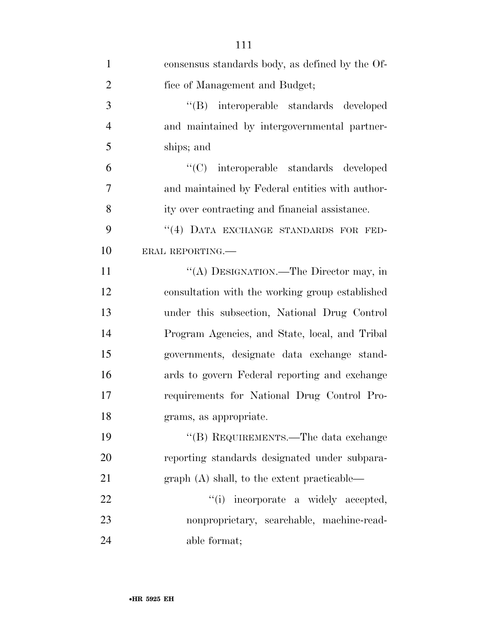| $\mathbf{1}$   | consensus standards body, as defined by the Of- |
|----------------|-------------------------------------------------|
| $\overline{2}$ | fice of Management and Budget;                  |
| 3              | "(B) interoperable standards developed          |
| $\overline{4}$ | and maintained by intergovernmental partner-    |
| 5              | ships; and                                      |
| 6              | "(C) interoperable standards developed          |
| 7              | and maintained by Federal entities with author- |
| 8              | ity over contracting and financial assistance.  |
| 9              | "(4) DATA EXCHANGE STANDARDS FOR FED-           |
| 10             | ERAL REPORTING.                                 |
| 11             | "(A) DESIGNATION.—The Director may, in          |
| 12             | consultation with the working group established |
| 13             | under this subsection, National Drug Control    |
| 14             | Program Agencies, and State, local, and Tribal  |
| 15             | governments, designate data exchange stand-     |
| 16             | ards to govern Federal reporting and exchange   |
| 17             | requirements for National Drug Control Pro-     |
| 18             | grams, as appropriate.                          |
| 19             | $\lq\lq (B)$ REQUIREMENTS.—The data exchange    |
| 20             | reporting standards designated under subpara-   |
| 21             | $graph(A)$ shall, to the extent practicable—    |
| 22             | "(i) incorporate a widely accepted,             |
| 23             | nonproprietary, searchable, machine-read-       |
| 24             | able format;                                    |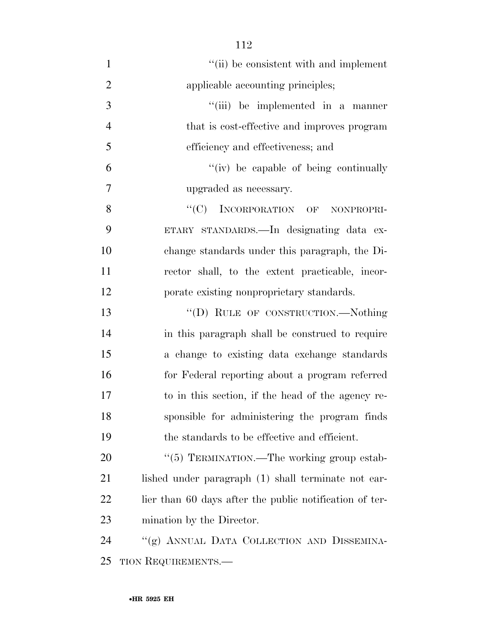$''(ii)$  be consistent with and implement 2 applicable accounting principles; 3 ''(iii) be implemented in a manner that is cost-effective and improves program efficiency and effectiveness; and ''(iv) be capable of being continually upgraded as necessary. 8 "(C) INCORPORATION OF NONPROPRI- ETARY STANDARDS.—In designating data ex- change standards under this paragraph, the Di- rector shall, to the extent practicable, incor- porate existing nonproprietary standards. 13 "(D) RULE OF CONSTRUCTION.—Nothing in this paragraph shall be construed to require a change to existing data exchange standards for Federal reporting about a program referred to in this section, if the head of the agency re- sponsible for administering the program finds the standards to be effective and efficient. 20 "(5) TERMINATION.—The working group estab-21 lished under paragraph (1) shall terminate not ear-22 lier than 60 days after the public notification of ter-mination by the Director.

 ''(g) ANNUAL DATA COLLECTION AND DISSEMINA-TION REQUIREMENTS.—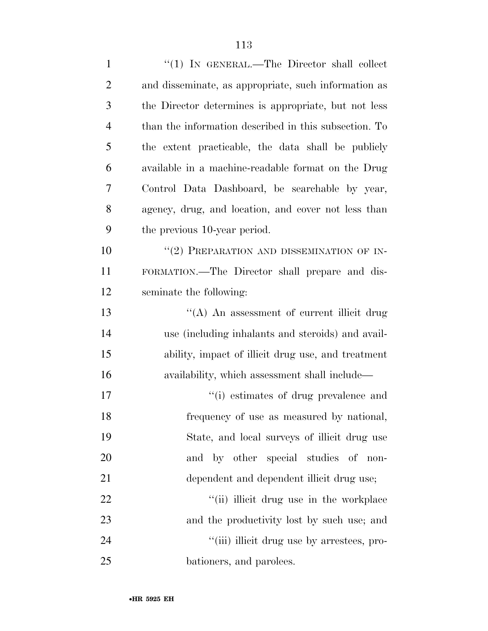| $\mathbf{1}$   | "(1) IN GENERAL.—The Director shall collect           |
|----------------|-------------------------------------------------------|
| $\overline{2}$ | and disseminate, as appropriate, such information as  |
| 3              | the Director determines is appropriate, but not less  |
| $\overline{4}$ | than the information described in this subsection. To |
| 5              | the extent practicable, the data shall be publicly    |
| 6              | available in a machine-readable format on the Drug    |
| 7              | Control Data Dashboard, be searchable by year,        |
| 8              | agency, drug, and location, and cover not less than   |
| 9              | the previous 10-year period.                          |
| 10             | "(2) PREPARATION AND DISSEMINATION OF IN-             |
| 11             | FORMATION.—The Director shall prepare and dis-        |
| 12             | seminate the following:                               |
| 13             | $\lq\lq$ An assessment of current illicit drug        |
| 14             | use (including inhalants and steroids) and avail-     |
| 15             | ability, impact of illicit drug use, and treatment    |
| 16             | availability, which assessment shall include—         |
| 17             | "(i) estimates of drug prevalence and                 |
| 18             | frequency of use as measured by national,             |
| 19             | State, and local surveys of illicit drug use          |
| 20             | and by other special studies of non-                  |
| 21             | dependent and dependent illicit drug use;             |
| 22             | "(ii) illicit drug use in the workplace               |
| 23             | and the productivity lost by such use; and            |
| 24             | "(iii) illicit drug use by arrestees, pro-            |
| 25             | bationers, and parolees.                              |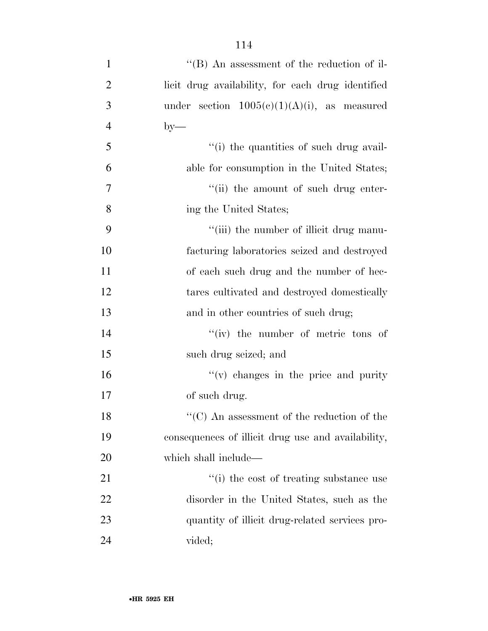1 ''(B) An assessment of the reduction of il- licit drug availability, for each drug identified 3 under section  $1005(c)(1)(A)(i)$ , as measured  $4 \text{ by}$ — ''(i) the quantities of such drug avail- able for consumption in the United States;  $''(ii)$  the amount of such drug enter- ing the United States; 9 ''(iii) the number of illicit drug manu- facturing laboratories seized and destroyed of each such drug and the number of hec- tares cultivated and destroyed domestically 13 and in other countries of such drug; 14 ''(iv) the number of metric tons of such drug seized; and ''(v) changes in the price and purity of such drug. 18 ''(C) An assessment of the reduction of the consequences of illicit drug use and availability, which shall include—  $\frac{1}{2}$  (i) the cost of treating substance use disorder in the United States, such as the quantity of illicit drug-related services pro-vided;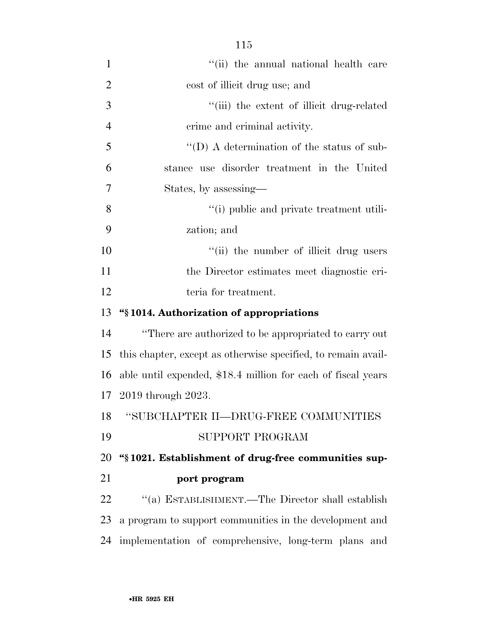1 ''(ii) the annual national health care cost of illicit drug use; and  $\frac{1}{1}$  the extent of illicit drug-related crime and criminal activity. ''(D) A determination of the status of sub- stance use disorder treatment in the United States, by assessing— ''(i) public and private treatment utili- zation; and  $"$ (ii) the number of illicit drug users the Director estimates meet diagnostic cri-12 teria for treatment. **''§ 1014. Authorization of appropriations**  ''There are authorized to be appropriated to carry out this chapter, except as otherwise specified, to remain avail- able until expended, \$18.4 million for each of fiscal years 2019 through 2023. ''SUBCHAPTER II—DRUG-FREE COMMUNITIES SUPPORT PROGRAM **''§ 1021. Establishment of drug-free communities sup- port program**  ''(a) ESTABLISHMENT.—The Director shall establish a program to support communities in the development and

implementation of comprehensive, long-term plans and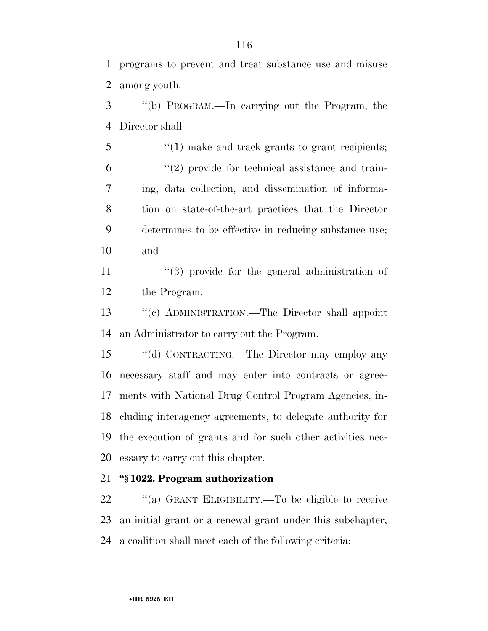programs to prevent and treat substance use and misuse among youth.

 ''(b) PROGRAM.—In carrying out the Program, the Director shall—

5 "(1) make and track grants to grant recipients;  $(2)$  provide for technical assistance and train- ing, data collection, and dissemination of informa- tion on state-of-the-art practices that the Director determines to be effective in reducing substance use; and

11 ''(3) provide for the general administration of the Program.

 ''(c) ADMINISTRATION.—The Director shall appoint an Administrator to carry out the Program.

 ''(d) CONTRACTING.—The Director may employ any necessary staff and may enter into contracts or agree- ments with National Drug Control Program Agencies, in- cluding interagency agreements, to delegate authority for the execution of grants and for such other activities nec-essary to carry out this chapter.

## **''§ 1022. Program authorization**

 ''(a) GRANT ELIGIBILITY.—To be eligible to receive an initial grant or a renewal grant under this subchapter, a coalition shall meet each of the following criteria: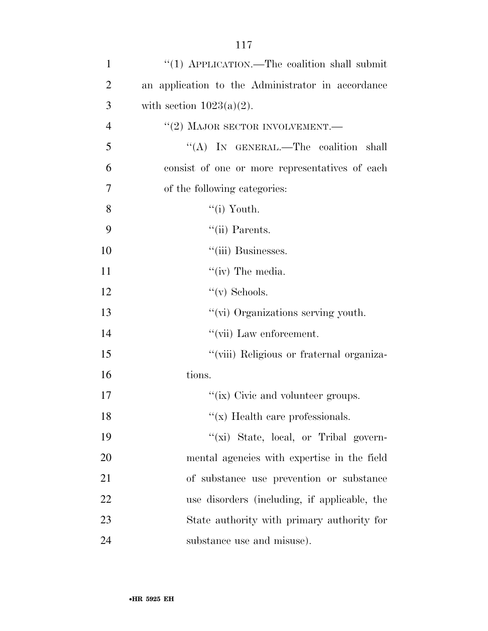| $\mathbf{1}$   | "(1) APPLICATION.—The coalition shall submit      |
|----------------|---------------------------------------------------|
| $\overline{2}$ | an application to the Administrator in accordance |
| 3              | with section $1023(a)(2)$ .                       |
| $\overline{4}$ | $``(2)$ MAJOR SECTOR INVOLVEMENT.                 |
| 5              | "(A) IN GENERAL.—The coalition shall              |
| 6              | consist of one or more representatives of each    |
| 7              | of the following categories:                      |
| 8              | $\lq$ <sup>"</sup> (i) Youth.                     |
| 9              | $``$ (ii) Parents.                                |
| 10             | "(iii) Businesses.                                |
| 11             | " $(iv)$ The media.                               |
| 12             | $\lq\lq$ (v) Schools.                             |
| 13             | "(vi) Organizations serving youth.                |
| 14             | "(vii) Law enforcement.                           |
| 15             | "(viii) Religious or fraternal organiza-          |
| 16             | tions.                                            |
| 17             | "(ix) Civic and volunteer groups.                 |
| 18             | "(x) Health care professionals.                   |
| 19             | "(xi) State, local, or Tribal govern-             |
| 20             | mental agencies with expertise in the field       |
| 21             | of substance use prevention or substance          |
| 22             | use disorders (including, if applicable, the      |
| 23             | State authority with primary authority for        |
| 24             | substance use and misuse).                        |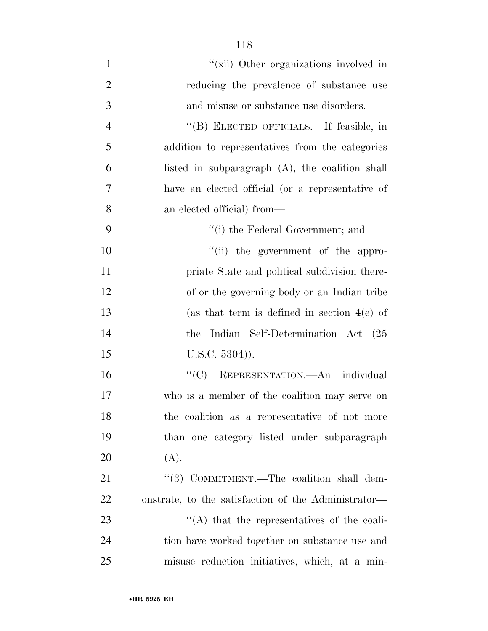- 1  $''(\n\chiii)$  Other organizations involved in 2 reducing the prevalence of substance use and misuse or substance use disorders. ''(B) ELECTED OFFICIALS.—If feasible, in addition to representatives from the categories listed in subparagraph (A), the coalition shall have an elected official (or a representative of an elected official) from— 9 ''(i) the Federal Government; and 10  $"$ (ii) the government of the appro-**priate State and political subdivision there-** of or the governing body or an Indian tribe (as that term is defined in section 4(e) of the Indian Self-Determination Act (25 15 U.S.C. 5304)). ''(C) REPRESENTATION.—An individual who is a member of the coalition may serve on
- the coalition as a representative of not more than one category listed under subparagraph (A). 21 "(3) COMMITMENT.—The coalition shall dem-

 onstrate, to the satisfaction of the Administrator—  $\langle (A)$  that the representatives of the coali- tion have worked together on substance use and misuse reduction initiatives, which, at a min-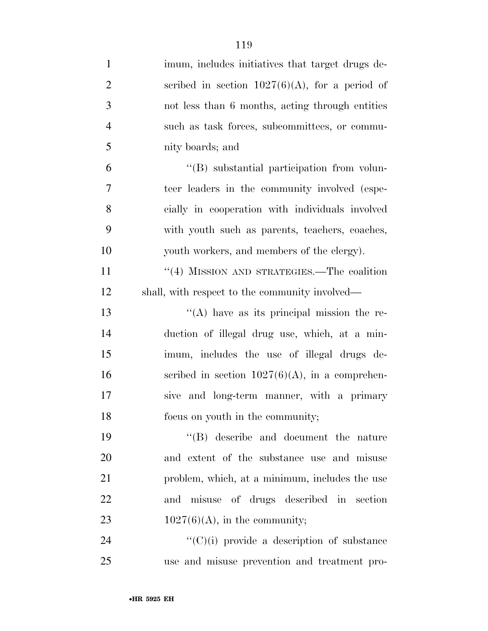| $\mathbf{1}$   | imum, includes initiatives that target drugs de-   |
|----------------|----------------------------------------------------|
| $\overline{2}$ | scribed in section $1027(6)(A)$ , for a period of  |
| 3              | not less than 6 months, acting through entities    |
| $\overline{4}$ | such as task forces, subcommittees, or commu-      |
| 5              | nity boards; and                                   |
| 6              | "(B) substantial participation from volun-         |
| 7              | teer leaders in the community involved (espe-      |
| 8              | cially in cooperation with individuals involved    |
| 9              | with youth such as parents, teachers, coaches,     |
| 10             | youth workers, and members of the clergy).         |
| 11             | "(4) MISSION AND STRATEGIES.—The coalition         |
| 12             | shall, with respect to the community involved—     |
| 13             | $\lq\lq$ have as its principal mission the re-     |
| 14             | duction of illegal drug use, which, at a min-      |
| 15             | imum, includes the use of illegal drugs de-        |
| 16             | scribed in section $1027(6)(A)$ , in a comprehen-  |
| 17             | sive and long-term manner, with a primary          |
| 18             | focus on youth in the community;                   |
| 19             | "(B) describe and document the nature              |
| 20             | and extent of the substance use and misuse         |
| 21             | problem, which, at a minimum, includes the use     |
| 22             | and misuse of drugs described in section           |
| 23             | $1027(6)(A)$ , in the community;                   |
| 24             | $\lq\lq$ (C)(i) provide a description of substance |
| 25             | use and misuse prevention and treatment pro-       |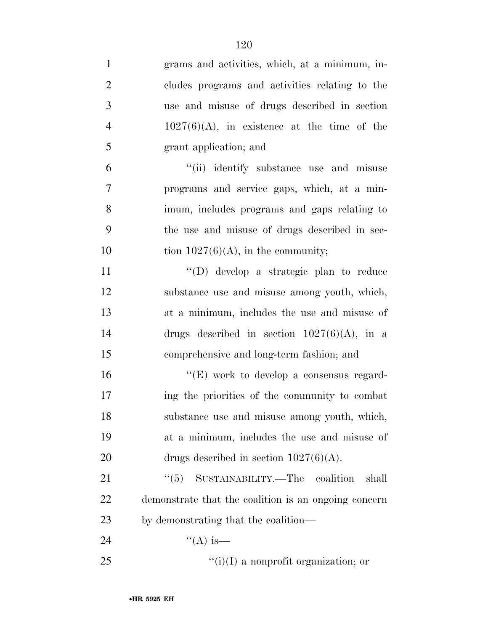| $\mathbf{1}$   | grams and activities, which, at a minimum, in-       |
|----------------|------------------------------------------------------|
| $\overline{2}$ | cludes programs and activities relating to the       |
| 3              | use and misuse of drugs described in section         |
| $\overline{4}$ | $1027(6)(A)$ , in existence at the time of the       |
| 5              | grant application; and                               |
| 6              | "(ii) identify substance use and misuse              |
| $\overline{7}$ | programs and service gaps, which, at a min-          |
| 8              | imum, includes programs and gaps relating to         |
| 9              | the use and misuse of drugs described in sec-        |
| 10             | tion $1027(6)(A)$ , in the community;                |
| 11             | $\lq\lq$ (D) develop a strategic plan to reduce      |
| 12             | substance use and misuse among youth, which,         |
| 13             | at a minimum, includes the use and misuse of         |
| 14             | drugs described in section $1027(6)(A)$ , in a       |
| 15             | comprehensive and long-term fashion; and             |
| 16             | " $(E)$ work to develop a consensus regard-          |
| 17             | ing the priorities of the community to combat        |
| 18             | substance use and misuse among youth, which,         |
| 19             | at a minimum, includes the use and misuse of         |
| 20             | drugs described in section $1027(6)(A)$ .            |
| 21             | "(5) SUSTAINABILITY.—The coalition<br>shall          |
| 22             | demonstrate that the coalition is an ongoing concern |
| 23             | by demonstrating that the coalition—                 |
| 24             | "(A) is—                                             |
| 25             | $\lq\lq(i)(I)$ a nonprofit organization; or          |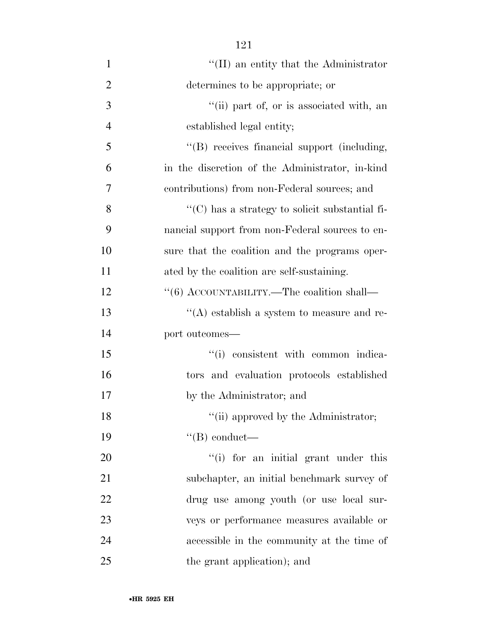| $\mathbf{1}$   | $\lq\lq$ (II) an entity that the Administrator                      |
|----------------|---------------------------------------------------------------------|
| $\overline{2}$ | determines to be appropriate; or                                    |
| 3              | "(ii) part of, or is associated with, an                            |
| $\overline{4}$ | established legal entity;                                           |
| 5              | "(B) receives financial support (including,                         |
| 6              | in the discretion of the Administrator, in-kind                     |
| 7              | contributions) from non-Federal sources; and                        |
| 8              | $\lq\lq$ <sup>"</sup> (C) has a strategy to solicit substantial fi- |
| 9              | nancial support from non-Federal sources to en-                     |
| 10             | sure that the coalition and the programs oper-                      |
| 11             | ated by the coalition are self-sustaining.                          |
| 12             | "(6) ACCOUNTABILITY.—The coalition shall—                           |
| 13             | $\lq\lq$ establish a system to measure and re-                      |
| 14             | port outcomes-                                                      |
| 15             | "(i) consistent with common indica-                                 |
| 16             | tors and evaluation protocols established                           |
| 17             | by the Administrator; and                                           |
| 18             | "(ii) approved by the Administrator;                                |
| 19             | $\lq\lq (B)$ conduct—                                               |
| 20             | "(i) for an initial grant under this                                |
| 21             | subchapter, an initial benchmark survey of                          |
| 22             | drug use among youth (or use local sur-                             |
| 23             | veys or performance measures available or                           |
| 24             | accessible in the community at the time of                          |
| 25             | the grant application); and                                         |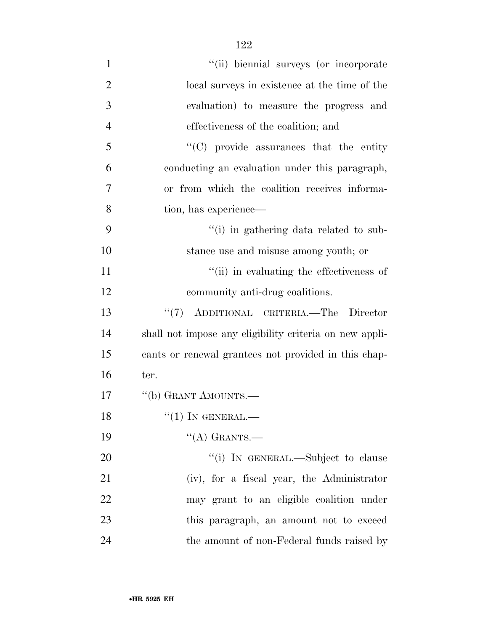| $\mathbf{1}$   | "(ii) biennial surveys (or incorporate                  |
|----------------|---------------------------------------------------------|
| $\overline{2}$ | local surveys in existence at the time of the           |
| 3              | evaluation) to measure the progress and                 |
| $\overline{4}$ | effectiveness of the coalition; and                     |
| 5              | "(C) provide assurances that the entity                 |
| 6              | conducting an evaluation under this paragraph,          |
| 7              | or from which the coalition receives informa-           |
| 8              | tion, has experience—                                   |
| 9              | "(i) in gathering data related to sub-                  |
| 10             | stance use and misuse among youth; or                   |
| 11             | "(ii) in evaluating the effectiveness of                |
| 12             | community anti-drug coalitions.                         |
| 13             | "(7) ADDITIONAL CRITERIA.—The Director                  |
| 14             | shall not impose any eligibility criteria on new appli- |
| 15             | cants or renewal grantees not provided in this chap-    |
| 16             | ter.                                                    |
| 17             | "(b) GRANT AMOUNTS.—                                    |
| 18             | $``(1)$ IN GENERAL.—                                    |
| 19             | $\lq\lq$ (A) GRANTS.                                    |
| 20             | "(i) IN GENERAL.—Subject to clause                      |
| 21             | (iv), for a fiscal year, the Administrator              |
| 22             | may grant to an eligible coalition under                |
| 23             | this paragraph, an amount not to exceed                 |
| 24             | the amount of non-Federal funds raised by               |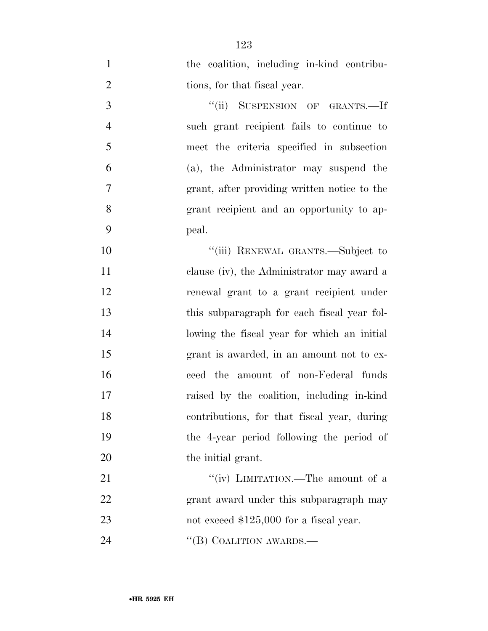the coalition, including in-kind contribu-2 tions, for that fiscal year. 3 "(ii) SUSPENSION OF GRANTS.—If such grant recipient fails to continue to meet the criteria specified in subsection (a), the Administrator may suspend the grant, after providing written notice to the grant recipient and an opportunity to ap- peal. 10 "(iii) RENEWAL GRANTS.—Subject to clause (iv), the Administrator may award a renewal grant to a grant recipient under this subparagraph for each fiscal year fol- lowing the fiscal year for which an initial grant is awarded, in an amount not to ex- ceed the amount of non-Federal funds raised by the coalition, including in-kind contributions, for that fiscal year, during the 4-year period following the period of 20 the initial grant. 21 ""(iv) LIMITATION.—The amount of a grant award under this subparagraph may 23 not exceed \$125,000 for a fiscal year.

24 "(B) COALITION AWARDS.—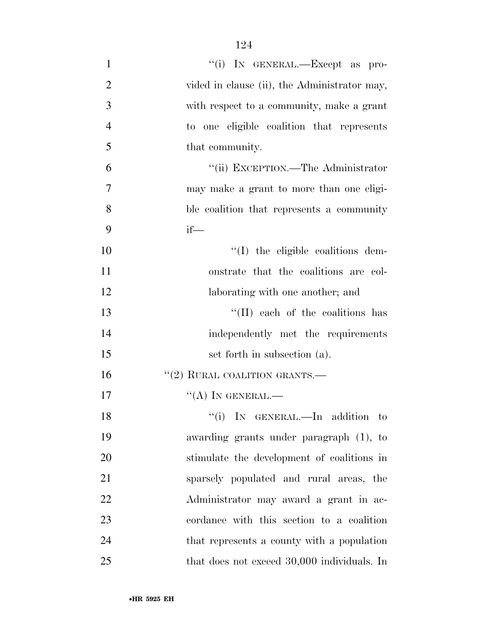| $\mathbf{1}$   | "(i) IN GENERAL.—Except as pro-              |
|----------------|----------------------------------------------|
| $\overline{2}$ | vided in clause (ii), the Administrator may, |
| 3              | with respect to a community, make a grant    |
| $\overline{4}$ | to one eligible coalition that represents    |
| 5              | that community.                              |
| 6              | "(ii) EXCEPTION.—The Administrator           |
| 7              | may make a grant to more than one eligi-     |
| 8              | ble coalition that represents a community    |
| 9              | $if$ —                                       |
| 10             | $\lq\lq$ the eligible coalitions dem-        |
| 11             | onstrate that the coalitions are col-        |
| 12             | laborating with one another; and             |
| 13             | "(II) each of the coalitions has             |
| 14             | independently met the requirements           |
| 15             | set forth in subsection (a).                 |
| 16             | $``(2)$ RURAL COALITION GRANTS.—             |
| 17             | $\lq\lq (A)$ In GENERAL.—                    |
| 18             | "(i) IN GENERAL.—In addition<br>$\mathbf{t}$ |
| 19             | awarding grants under paragraph (1), to      |
| 20             | stimulate the development of coalitions in   |
| 21             | sparsely populated and rural areas, the      |
| 22             | Administrator may award a grant in ac-       |
| 23             | cordance with this section to a coalition    |
| 24             | that represents a county with a population   |
| 25             | that does not exceed 30,000 individuals. In  |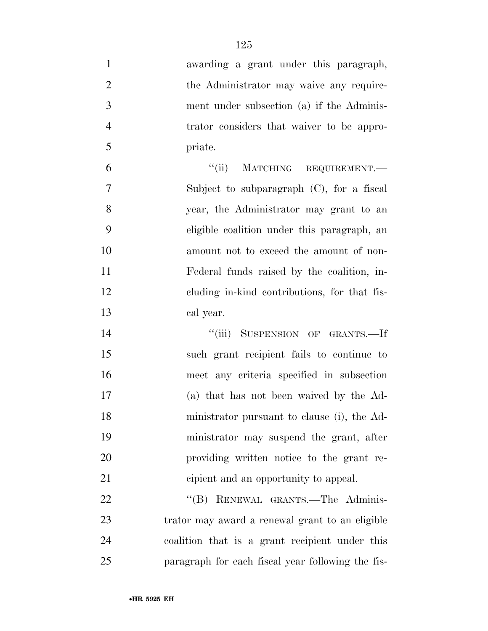| $\mathbf{1}$   | awarding a grant under this paragraph,            |
|----------------|---------------------------------------------------|
| $\overline{2}$ | the Administrator may waive any require-          |
| 3              | ment under subsection (a) if the Adminis-         |
| $\overline{4}$ | trator considers that waiver to be appro-         |
| 5              | priate.                                           |
| 6              | "(ii) MATCHING REQUIREMENT.—                      |
| 7              | Subject to subparagraph $(C)$ , for a fiscal      |
| 8              | year, the Administrator may grant to an           |
| 9              | eligible coalition under this paragraph, an       |
| 10             | amount not to exceed the amount of non-           |
| 11             | Federal funds raised by the coalition, in-        |
| 12             | eluding in-kind contributions, for that fis-      |
| 13             | cal year.                                         |
| 14             | "(iii) SUSPENSION OF GRANTS.—If                   |
| 15             | such grant recipient fails to continue to         |
| 16             | meet any criteria specified in subsection         |
| 17             | (a) that has not been waived by the Ad-           |
| 18             | ministrator pursuant to clause (i), the Ad-       |
| 19             | ministrator may suspend the grant, after          |
| 20             | providing written notice to the grant re-         |
| 21             | cipient and an opportunity to appeal.             |
| 22             | RENEWAL GRANTS.-The Adminis-<br>``(B)             |
| 23             | trator may award a renewal grant to an eligible   |
| 24             | coalition that is a grant recipient under this    |
| 25             | paragraph for each fiscal year following the fis- |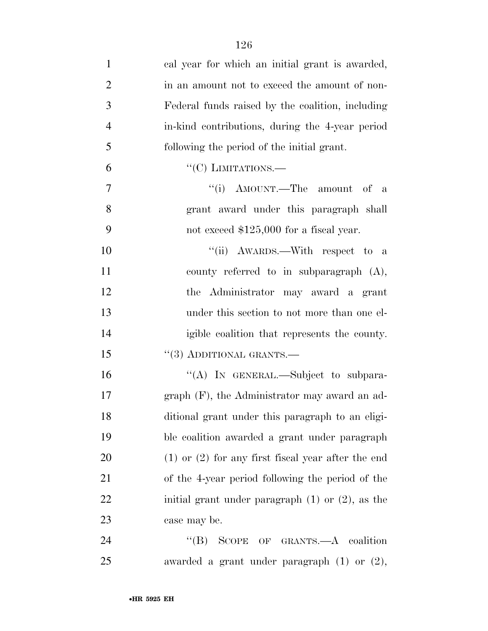| $\mathbf{1}$   | cal year for which an initial grant is awarded,        |
|----------------|--------------------------------------------------------|
| $\overline{2}$ | in an amount not to exceed the amount of non-          |
| 3              | Federal funds raised by the coalition, including       |
| $\overline{4}$ | in-kind contributions, during the 4-year period        |
| 5              | following the period of the initial grant.             |
| 6              | $``(C)$ LIMITATIONS.—                                  |
| 7              | "(i) AMOUNT.—The amount of a                           |
| 8              | grant award under this paragraph shall                 |
| 9              | not exceed $$125,000$ for a fiscal year.               |
| 10             | "(ii) AWARDS.—With respect to a                        |
| 11             | county referred to in subparagraph $(A)$ ,             |
| 12             | the Administrator may award a grant                    |
| 13             | under this section to not more than one el-            |
| 14             | igible coalition that represents the county.           |
| 15             | $``(3)$ ADDITIONAL GRANTS.—                            |
| 16             | "(A) IN GENERAL.—Subject to subpara-                   |
| 17             | $graph$ (F), the Administrator may award an ad-        |
| 18             | ditional grant under this paragraph to an eligi-       |
| 19             | ble coalition awarded a grant under paragraph          |
| 20             | $(1)$ or $(2)$ for any first fiscal year after the end |
| 21             | of the 4-year period following the period of the       |
| 22             | initial grant under paragraph $(1)$ or $(2)$ , as the  |
| 23             | case may be.                                           |
| 24             | "(B) SCOPE OF GRANTS.—A coalition                      |
| 25             | awarded a grant under paragraph $(1)$ or $(2)$ ,       |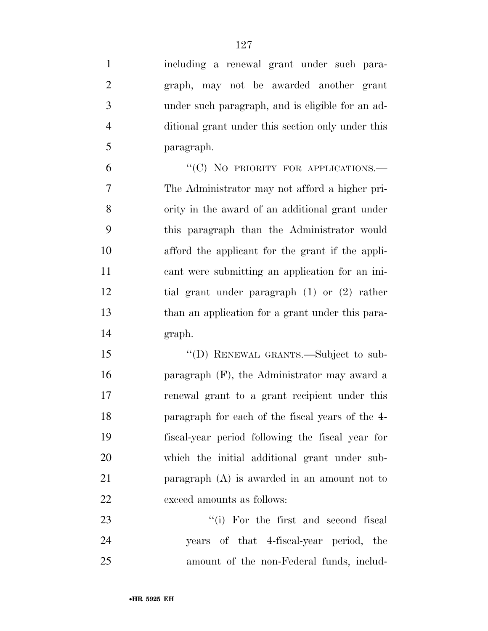| $\mathbf{1}$ | including a renewal grant under such para-        |
|--------------|---------------------------------------------------|
| 2            | graph, may not be awarded another grant           |
| 3            | under such paragraph, and is eligible for an ad-  |
| 4            | ditional grant under this section only under this |
| 5            | paragraph.                                        |

6 "(C) NO PRIORITY FOR APPLICATIONS. The Administrator may not afford a higher pri- ority in the award of an additional grant under this paragraph than the Administrator would afford the applicant for the grant if the appli- cant were submitting an application for an ini- tial grant under paragraph (1) or (2) rather than an application for a grant under this para-graph.

15 "(D) RENEWAL GRANTS.—Subject to sub- paragraph (F), the Administrator may award a renewal grant to a grant recipient under this paragraph for each of the fiscal years of the 4- fiscal-year period following the fiscal year for which the initial additional grant under sub- paragraph (A) is awarded in an amount not to exceed amounts as follows:

23 ''(i) For the first and second fiscal years of that 4-fiscal-year period, the amount of the non-Federal funds, includ-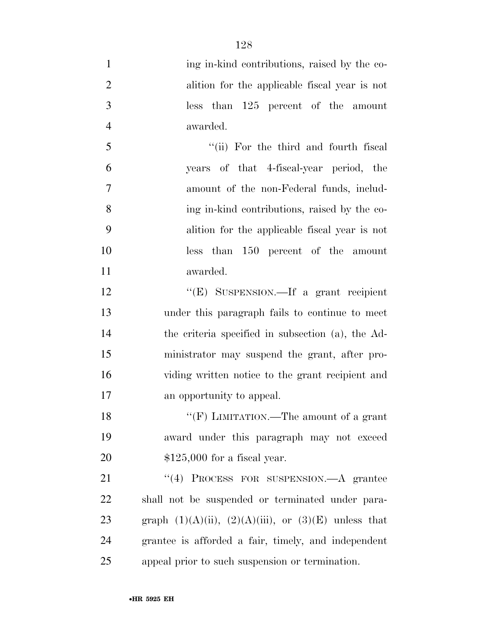| $\mathbf{1}$   | ing in-kind contributions, raised by the co-                 |
|----------------|--------------------------------------------------------------|
| $\overline{2}$ | alition for the applicable fiscal year is not                |
| 3              | than 125 percent of the amount<br><i>less</i>                |
| $\overline{4}$ | awarded.                                                     |
| 5              | "(ii) For the third and fourth fiscal                        |
| 6              | years of that 4-fiscal-year period, the                      |
| 7              | amount of the non-Federal funds, includ-                     |
| 8              | ing in-kind contributions, raised by the co-                 |
| 9              | alition for the applicable fiscal year is not                |
| 10             | than 150 percent of the amount<br><i>less</i>                |
| 11             | awarded.                                                     |
| 12             | "(E) SUSPENSION.—If a grant recipient                        |
| 13             | under this paragraph fails to continue to meet               |
| 14             | the criteria specified in subsection (a), the Ad-            |
| 15             | ministrator may suspend the grant, after pro-                |
| 16             | viding written notice to the grant recipient and             |
| 17             | an opportunity to appeal.                                    |
| 18             | "(F) LIMITATION.—The amount of a grant                       |
| 19             | award under this paragraph may not exceed                    |
| 20             | $$125,000$ for a fiscal year.                                |
| 21             | $\lq(4)$ PROCESS FOR SUSPENSION.—A grantee                   |
| 22             | shall not be suspended or terminated under para-             |
| 23             | graph $(1)(A)(ii)$ , $(2)(A)(iii)$ , or $(3)(E)$ unless that |
| 24             | grantee is afforded a fair, timely, and independent          |
| 25             | appeal prior to such suspension or termination.              |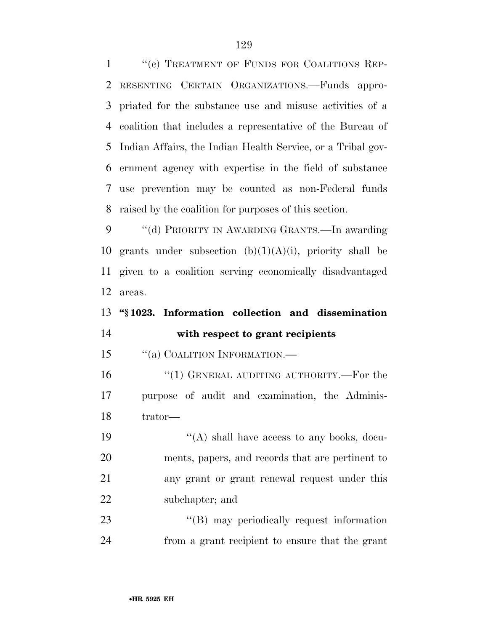1 "(c) TREATMENT OF FUNDS FOR COALITIONS REP- RESENTING CERTAIN ORGANIZATIONS.—Funds appro- priated for the substance use and misuse activities of a coalition that includes a representative of the Bureau of Indian Affairs, the Indian Health Service, or a Tribal gov- ernment agency with expertise in the field of substance use prevention may be counted as non-Federal funds raised by the coalition for purposes of this section.

 ''(d) PRIORITY IN AWARDING GRANTS.—In awarding 10 grants under subsection  $(b)(1)(A)(i)$ , priority shall be given to a coalition serving economically disadvantaged areas.

# **''§ 1023. Information collection and dissemination with respect to grant recipients**

15 "(a) COALITION INFORMATION.—

16 "(1) GENERAL AUDITING AUTHORITY.—For the purpose of audit and examination, the Adminis-trator—

 $"$ (A) shall have access to any books, docu- ments, papers, and records that are pertinent to any grant or grant renewal request under this subchapter; and

23 "'(B) may periodically request information from a grant recipient to ensure that the grant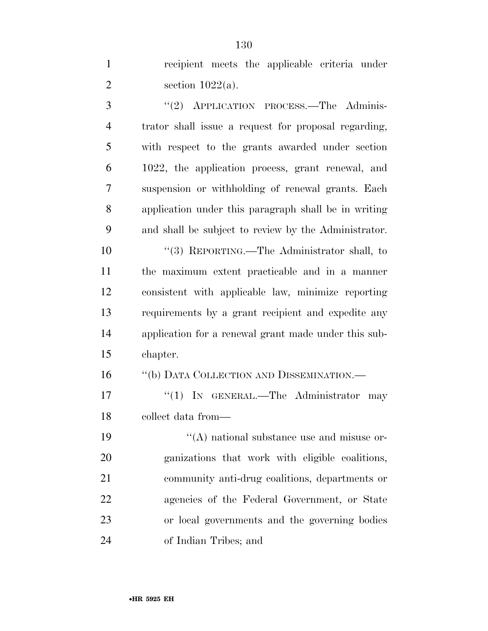recipient meets the applicable criteria under 2 section  $1022(a)$ .

3 "(2) APPLICATION PROCESS.—The Adminis- trator shall issue a request for proposal regarding, with respect to the grants awarded under section 1022, the application process, grant renewal, and suspension or withholding of renewal grants. Each application under this paragraph shall be in writing and shall be subject to review by the Administrator.

 ''(3) REPORTING.—The Administrator shall, to the maximum extent practicable and in a manner consistent with applicable law, minimize reporting requirements by a grant recipient and expedite any application for a renewal grant made under this sub-chapter.

''(b) DATA COLLECTION AND DISSEMINATION.—

17 "(1) IN GENERAL.—The Administrator may collect data from—

 $((A)$  national substance use and misuse or- ganizations that work with eligible coalitions, community anti-drug coalitions, departments or agencies of the Federal Government, or State or local governments and the governing bodies of Indian Tribes; and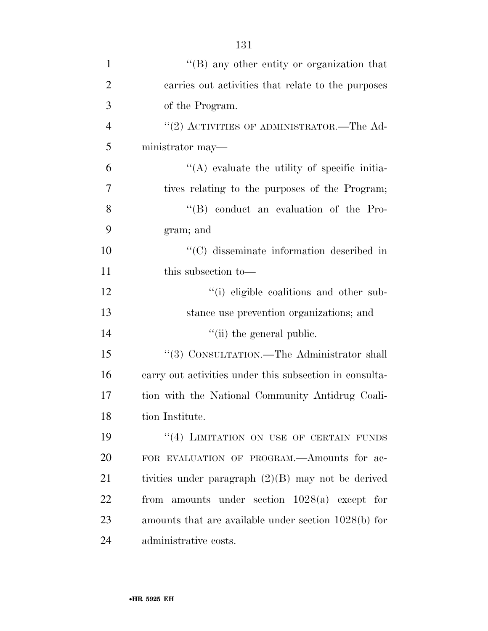| $\mathbf{1}$   | $\lq\lq (B)$ any other entity or organization that      |
|----------------|---------------------------------------------------------|
| $\overline{2}$ | carries out activities that relate to the purposes      |
| 3              | of the Program.                                         |
| $\overline{4}$ | $\cdot\cdot$ (2) ACTIVITIES OF ADMINISTRATOR.—The Ad-   |
| 5              | ministrator may—                                        |
| 6              | $\lq\lq$ evaluate the utility of specific initia-       |
| $\overline{7}$ | tives relating to the purposes of the Program;          |
| 8              | "(B) conduct an evaluation of the Pro-                  |
| 9              | gram; and                                               |
| 10             | "(C) disseminate information described in               |
| 11             | this subsection to—                                     |
| 12             | "(i) eligible coalitions and other sub-                 |
| 13             | stance use prevention organizations; and                |
| 14             | "(ii) the general public.                               |
| 15             | "(3) CONSULTATION.—The Administrator shall              |
| 16             | carry out activities under this subsection in consulta- |
| 17             | tion with the National Community Antidrug Coali-        |
| 18             | tion Institute.                                         |
| 19             | "(4) LIMITATION ON USE OF CERTAIN FUNDS                 |
| 20             | FOR EVALUATION OF PROGRAM.—Amounts for ac-              |
| 21             | tivities under paragraph $(2)(B)$ may not be derived    |
| 22             | from amounts under section $1028(a)$ except for         |
| 23             | amounts that are available under section 1028(b) for    |
| 24             | administrative costs.                                   |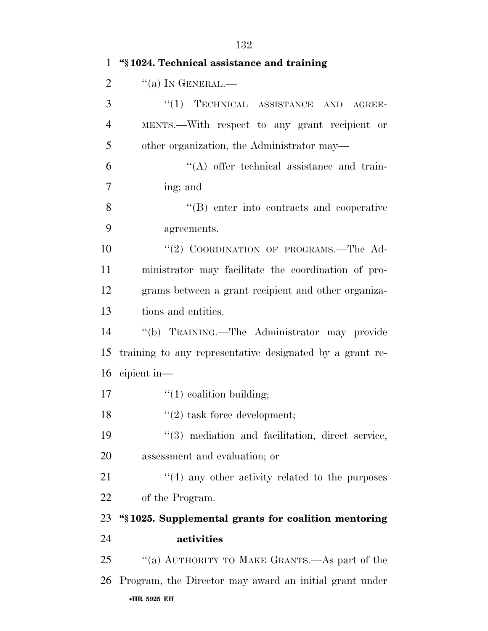| $\mathbf{1}$   | "§1024. Technical assistance and training                |
|----------------|----------------------------------------------------------|
| $\overline{2}$ | $``(a)$ In GENERAL.—                                     |
| 3              | "(1) TECHNICAL ASSISTANCE AND AGREE-                     |
| $\overline{4}$ | MENTS.—With respect to any grant recipient or            |
| 5              | other organization, the Administrator may—               |
| 6              | $\lq\lq$ offer technical assistance and train-           |
| $\overline{7}$ | ing; and                                                 |
| 8              | $\lq\lq (B)$ enter into contracts and cooperative        |
| 9              | agreements.                                              |
| 10             | "(2) COORDINATION OF PROGRAMS.—The Ad-                   |
| 11             | ministrator may facilitate the coordination of pro-      |
| 12             | grams between a grant recipient and other organiza-      |
| 13             | tions and entities.                                      |
| 14             | "(b) TRAINING.—The Administrator may provide             |
| 15             | training to any representative designated by a grant re- |
| 16             | cipient in—                                              |
| 17             | $\lq(1)$ coalition building;                             |
| 18             | $\lq(2)$ task force development;                         |
| 19             | "(3) mediation and facilitation, direct service,         |
| 20             | assessment and evaluation; or                            |
| 21             | $\cdot$ (4) any other activity related to the purposes   |
| 22             | of the Program.                                          |
| 23             | "\\$1025. Supplemental grants for coalition mentoring    |
| 24             | activities                                               |
| 25             | "(a) AUTHORITY TO MAKE GRANTS.—As part of the            |
| 26             | Program, the Director may award an initial grant under   |
|                | •HR 5925 EH                                              |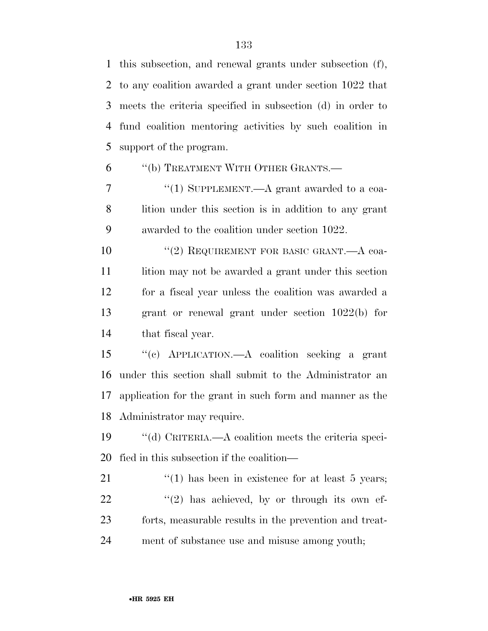this subsection, and renewal grants under subsection (f), to any coalition awarded a grant under section 1022 that meets the criteria specified in subsection (d) in order to fund coalition mentoring activities by such coalition in support of the program.

## ''(b) TREATMENT WITH OTHER GRANTS.—

7 "(1) SUPPLEMENT.—A grant awarded to a coa- lition under this section is in addition to any grant awarded to the coalition under section 1022.

10 "(2) REQUIREMENT FOR BASIC GRANT.—A coa-11 lition may not be awarded a grant under this section for a fiscal year unless the coalition was awarded a grant or renewal grant under section 1022(b) for that fiscal year.

 ''(c) APPLICATION.—A coalition seeking a grant under this section shall submit to the Administrator an application for the grant in such form and manner as the Administrator may require.

 ''(d) CRITERIA.—A coalition meets the criteria speci-fied in this subsection if the coalition—

 $\frac{1}{2}$  (1) has been in existence for at least 5 years; "(2) has achieved, by or through its own ef- forts, measurable results in the prevention and treat-ment of substance use and misuse among youth;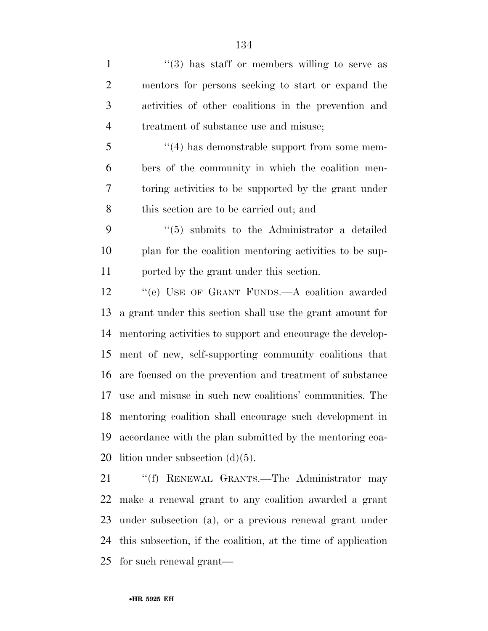1 ''(3) has staff or members willing to serve as mentors for persons seeking to start or expand the activities of other coalitions in the prevention and treatment of substance use and misuse; 5 "(4) has demonstrable support from some mem- bers of the community in which the coalition men- toring activities to be supported by the grant under this section are to be carried out; and ''(5) submits to the Administrator a detailed plan for the coalition mentoring activities to be sup- ported by the grant under this section. 12 "(e) USE OF GRANT FUNDS.—A coalition awarded a grant under this section shall use the grant amount for mentoring activities to support and encourage the develop- ment of new, self-supporting community coalitions that are focused on the prevention and treatment of substance use and misuse in such new coalitions' communities. The mentoring coalition shall encourage such development in accordance with the plan submitted by the mentoring coa-20 lition under subsection  $(d)(5)$ . 21 "(f) RENEWAL GRANTS.—The Administrator may

 make a renewal grant to any coalition awarded a grant under subsection (a), or a previous renewal grant under this subsection, if the coalition, at the time of application for such renewal grant—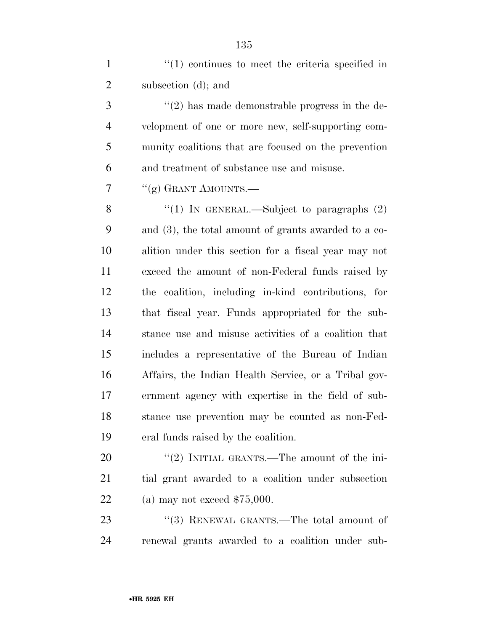| $\mathbf{1}$   | $\lq(1)$ continues to meet the criteria specified in    |
|----------------|---------------------------------------------------------|
| $\overline{2}$ | subsection (d); and                                     |
| 3              | $\lq(2)$ has made demonstrable progress in the de-      |
| $\overline{4}$ | velopment of one or more new, self-supporting com-      |
| 5              | munity coalitions that are focused on the prevention    |
| 6              | and treatment of substance use and misuse.              |
| 7              | "(g) GRANT AMOUNTS.-                                    |
| 8              | "(1) IN GENERAL.—Subject to paragraphs $(2)$            |
| 9              | and $(3)$ , the total amount of grants awarded to a co- |
| 10             | alition under this section for a fiscal year may not    |
| 11             | exceed the amount of non-Federal funds raised by        |
| 12             | the coalition, including in-kind contributions, for     |
| 13             | that fiscal year. Funds appropriated for the sub-       |
| 14             | stance use and misuse activities of a coalition that    |
| 15             | includes a representative of the Bureau of Indian       |
| 16             | Affairs, the Indian Health Service, or a Tribal gov-    |
| 17             | ernment agency with expertise in the field of sub-      |
| 18             | stance use prevention may be counted as non-Fed-        |
| 19             | eral funds raised by the coalition.                     |
| 20             | "(2) INITIAL GRANTS.—The amount of the ini-             |
| 21             | tial grant awarded to a coalition under subsection      |
| 22             | (a) may not exceed $$75,000$ .                          |
|                |                                                         |

23 ''(3) RENEWAL GRANTS.—The total amount of renewal grants awarded to a coalition under sub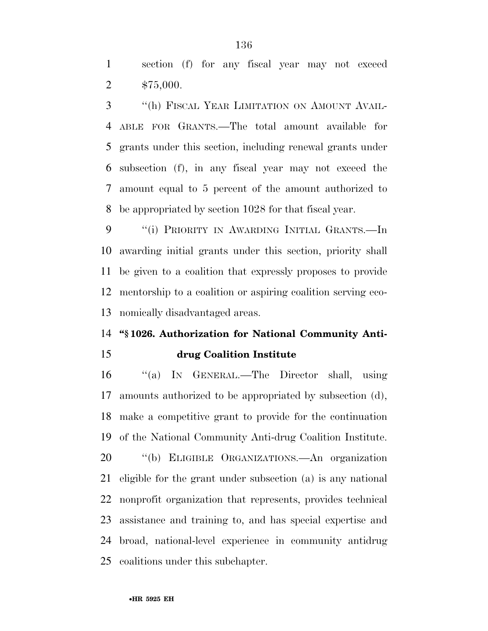section (f) for any fiscal year may not exceed \$75,000.

 ''(h) FISCAL YEAR LIMITATION ON AMOUNT AVAIL- ABLE FOR GRANTS.—The total amount available for grants under this section, including renewal grants under subsection (f), in any fiscal year may not exceed the amount equal to 5 percent of the amount authorized to be appropriated by section 1028 for that fiscal year.

 ''(i) PRIORITY IN AWARDING INITIAL GRANTS.—In awarding initial grants under this section, priority shall be given to a coalition that expressly proposes to provide mentorship to a coalition or aspiring coalition serving eco-nomically disadvantaged areas.

#### **''§ 1026. Authorization for National Community Anti-**

### **drug Coalition Institute**

 ''(a) IN GENERAL.—The Director shall, using amounts authorized to be appropriated by subsection (d), make a competitive grant to provide for the continuation of the National Community Anti-drug Coalition Institute. ''(b) ELIGIBLE ORGANIZATIONS.—An organization eligible for the grant under subsection (a) is any national nonprofit organization that represents, provides technical assistance and training to, and has special expertise and broad, national-level experience in community antidrug coalitions under this subchapter.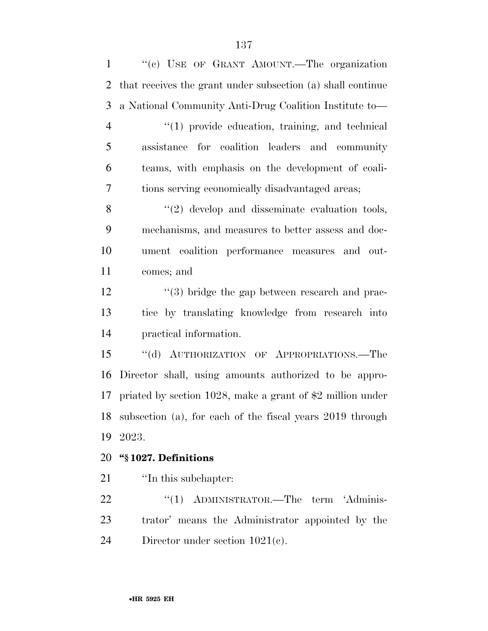''(c) USE OF GRANT AMOUNT.—The organization that receives the grant under subsection (a) shall continue a National Community Anti-Drug Coalition Institute to—  $\frac{4}{1}$  provide education, training, and technical assistance for coalition leaders and community teams, with emphasis on the development of coali- tions serving economically disadvantaged areas; 8 "(2) develop and disseminate evaluation tools, mechanisms, and measures to better assess and doc- ument coalition performance measures and out- comes; and 12 ''(3) bridge the gap between research and prac- tice by translating knowledge from research into practical information. ''(d) AUTHORIZATION OF APPROPRIATIONS.—The Director shall, using amounts authorized to be appro- priated by section 1028, make a grant of \$2 million under subsection (a), for each of the fiscal years 2019 through 2023. **''§ 1027. Definitions**  21 <sup>'</sup>In this subchapter: 22 "(1) ADMINISTRATOR.—The term 'Adminis-

 trator' means the Administrator appointed by the Director under section 1021(c).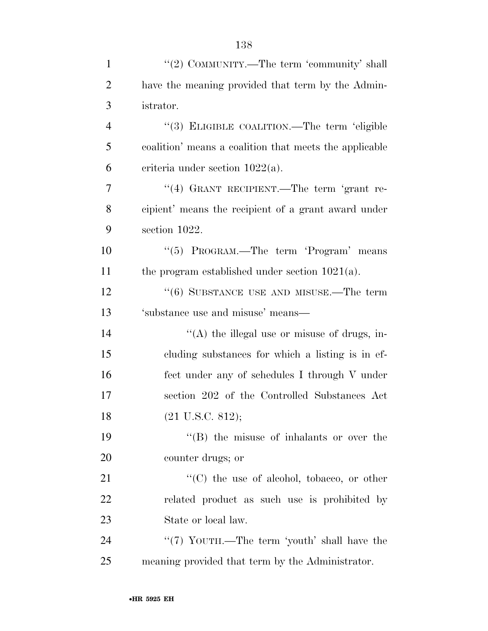| $\mathbf{1}$   | "(2) COMMUNITY.—The term 'community' shall             |
|----------------|--------------------------------------------------------|
| $\overline{2}$ | have the meaning provided that term by the Admin-      |
| 3              | istrator.                                              |
| $\overline{4}$ | "(3) ELIGIBLE COALITION.—The term 'eligible            |
| 5              | coalition' means a coalition that meets the applicable |
| 6              | criteria under section $1022(a)$ .                     |
| $\overline{7}$ | "(4) GRANT RECIPIENT.—The term 'grant re-              |
| 8              | cipient' means the recipient of a grant award under    |
| 9              | section 1022.                                          |
| 10             | "(5) PROGRAM.—The term 'Program' means                 |
| 11             | the program established under section $1021(a)$ .      |
| 12             | $(6)$ SUBSTANCE USE AND MISUSE.—The term               |
| 13             | 'substance use and misuse' means—                      |
| 14             | "(A) the illegal use or misuse of drugs, in-           |
| 15             | cluding substances for which a listing is in ef-       |
| 16             | fect under any of schedules I through V under          |
| 17             | section 202 of the Controlled Substances Act           |
| 18             | $(21 \text{ U.S.C. } 812);$                            |
| 19             | $\lq\lq$ the misuse of inhalants or over the           |
| 20             | counter drugs; or                                      |
| 21             | $\lq\lq$ (C) the use of alcohol, tobacco, or other     |
| 22             | related product as such use is prohibited by           |
| 23             | State or local law.                                    |
| 24             | "(7) YOUTH.—The term 'youth' shall have the            |

25 meaning provided that term by the Administrator.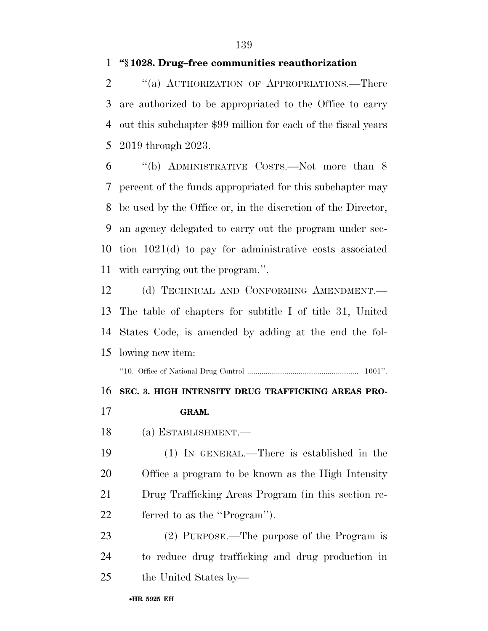#### **''§ 1028. Drug–free communities reauthorization**

2 "(a) AUTHORIZATION OF APPROPRIATIONS.—There are authorized to be appropriated to the Office to carry out this subchapter \$99 million for each of the fiscal years 2019 through 2023.

 ''(b) ADMINISTRATIVE COSTS.—Not more than 8 percent of the funds appropriated for this subchapter may be used by the Office or, in the discretion of the Director, an agency delegated to carry out the program under sec- tion 1021(d) to pay for administrative costs associated with carrying out the program.''.

12 (d) TECHNICAL AND CONFORMING AMENDMENT. The table of chapters for subtitle I of title 31, United States Code, is amended by adding at the end the fol-lowing new item:

''10. Office of National Drug Control ...................................................... 1001''.

#### **SEC. 3. HIGH INTENSITY DRUG TRAFFICKING AREAS PRO-**

- **GRAM.**
- (a) ESTABLISHMENT.—

 (1) IN GENERAL.—There is established in the Office a program to be known as the High Intensity Drug Trafficking Areas Program (in this section re-ferred to as the ''Program'').

 (2) PURPOSE.—The purpose of the Program is to reduce drug trafficking and drug production in the United States by—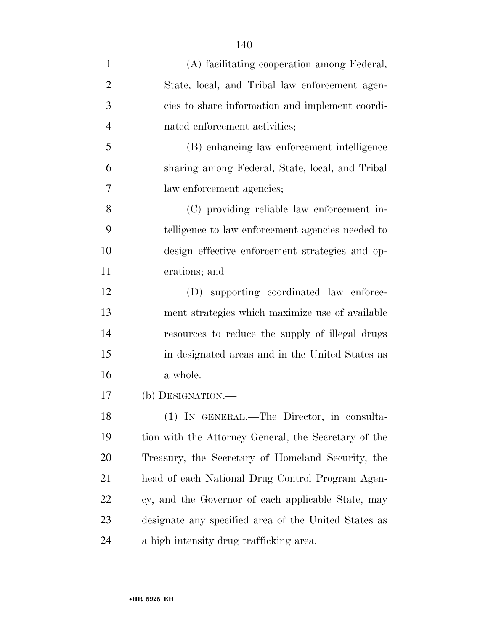| $\mathbf{1}$   | (A) facilitating cooperation among Federal,          |
|----------------|------------------------------------------------------|
| $\overline{2}$ | State, local, and Tribal law enforcement agen-       |
| 3              | cies to share information and implement coordi-      |
| $\overline{4}$ | nated enforcement activities;                        |
| 5              | (B) enhancing law enforcement intelligence           |
| 6              | sharing among Federal, State, local, and Tribal      |
| 7              | law enforcement agencies;                            |
| 8              | (C) providing reliable law enforcement in-           |
| 9              | telligence to law enforcement agencies needed to     |
| 10             | design effective enforcement strategies and op-      |
| 11             | erations; and                                        |
| 12             | (D) supporting coordinated law enforce-              |
| 13             | ment strategies which maximize use of available      |
| 14             | resources to reduce the supply of illegal drugs      |
| 15             | in designated areas and in the United States as      |
| 16             | a whole.                                             |
| 17             | (b) DESIGNATION.—                                    |
| 18             | (1) IN GENERAL.—The Director, in consulta-           |
| 19             | tion with the Attorney General, the Secretary of the |
| 20             | Treasury, the Secretary of Homeland Security, the    |
| 21             | head of each National Drug Control Program Agen-     |
| 22             | cy, and the Governor of each applicable State, may   |
| 23             | designate any specified area of the United States as |
| 24             | a high intensity drug trafficking area.              |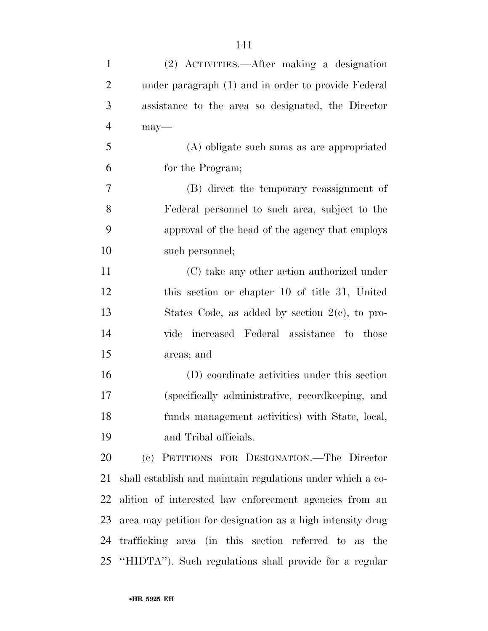| $\mathbf{1}$   | (2) ACTIVITIES.—After making a designation                 |
|----------------|------------------------------------------------------------|
| $\overline{2}$ | under paragraph (1) and in order to provide Federal        |
| 3              | assistance to the area so designated, the Director         |
| $\overline{4}$ | $may$ —                                                    |
| 5              | (A) obligate such sums as are appropriated                 |
| 6              | for the Program;                                           |
| $\overline{7}$ | (B) direct the temporary reassignment of                   |
| 8              | Federal personnel to such area, subject to the             |
| 9              | approval of the head of the agency that employs            |
| 10             | such personnel;                                            |
| 11             | (C) take any other action authorized under                 |
| 12             | this section or chapter 10 of title 31, United             |
| 13             | States Code, as added by section $2(e)$ , to pro-          |
| 14             | increased Federal assistance to those<br>vide              |
| 15             | areas; and                                                 |
| 16             | (D) coordinate activities under this section               |
| 17             | (specifically administrative, record keeping, and          |
| 18             | funds management activities) with State, local,            |
| 19             | and Tribal officials.                                      |
| 20             | (c) PETITIONS FOR DESIGNATION.—The Director                |
| 21             | shall establish and maintain regulations under which a co- |
| 22             | alition of interested law enforcement agencies from an     |
| 23             | area may petition for designation as a high intensity drug |
| 24             | trafficking area (in this section referred to as the       |
|                | 25 "HIDTA"). Such regulations shall provide for a regular  |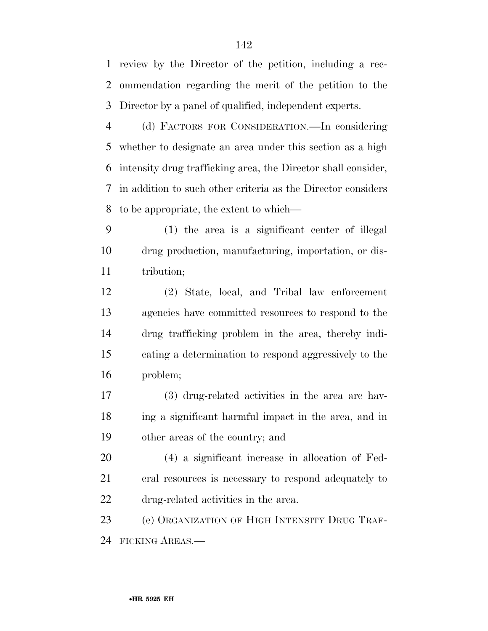review by the Director of the petition, including a rec- ommendation regarding the merit of the petition to the Director by a panel of qualified, independent experts.

 (d) FACTORS FOR CONSIDERATION.—In considering whether to designate an area under this section as a high intensity drug trafficking area, the Director shall consider, in addition to such other criteria as the Director considers to be appropriate, the extent to which—

 (1) the area is a significant center of illegal drug production, manufacturing, importation, or dis-11 tribution;

 (2) State, local, and Tribal law enforcement agencies have committed resources to respond to the drug trafficking problem in the area, thereby indi- cating a determination to respond aggressively to the problem;

 (3) drug-related activities in the area are hav- ing a significant harmful impact in the area, and in other areas of the country; and

 (4) a significant increase in allocation of Fed- eral resources is necessary to respond adequately to drug-related activities in the area.

 (e) ORGANIZATION OF HIGH INTENSITY DRUG TRAF-FICKING AREAS.—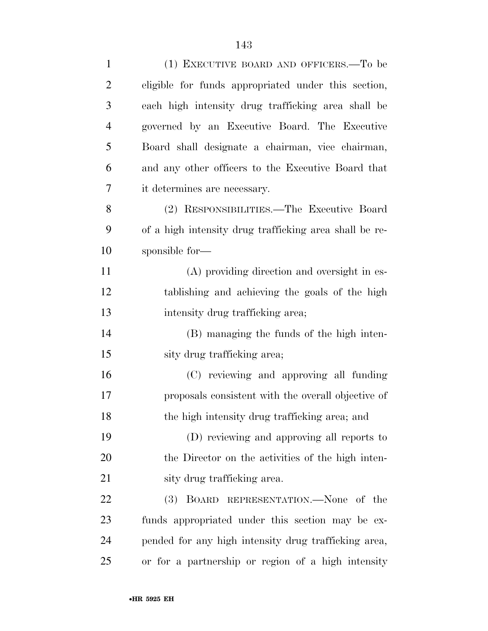| $\mathbf{1}$   | (1) EXECUTIVE BOARD AND OFFICERS.—To be                |
|----------------|--------------------------------------------------------|
| $\overline{2}$ | eligible for funds appropriated under this section,    |
| 3              | each high intensity drug trafficking area shall be     |
| 4              | governed by an Executive Board. The Executive          |
| 5              | Board shall designate a chairman, vice chairman,       |
| 6              | and any other officers to the Executive Board that     |
| 7              | it determines are necessary.                           |
| 8              | (2) RESPONSIBILITIES.—The Executive Board              |
| 9              | of a high intensity drug trafficking area shall be re- |
| 10             | sponsible for-                                         |
| 11             | (A) providing direction and oversight in es-           |
| 12             | tablishing and achieving the goals of the high         |
| 13             | intensity drug trafficking area;                       |
| 14             | (B) managing the funds of the high inten-              |
| 15             | sity drug trafficking area;                            |
| 16             | (C) reviewing and approving all funding                |
| 17             | proposals consistent with the overall objective of     |
| 18             | the high intensity drug trafficking area; and          |
| 19             | (D) reviewing and approving all reports to             |
| 20             | the Director on the activities of the high inten-      |
| 21             | sity drug trafficking area.                            |
| 22             | (3) BOARD REPRESENTATION.—None of the                  |
| 23             | funds appropriated under this section may be ex-       |
| 24             | pended for any high intensity drug trafficking area,   |
| 25             | or for a partnership or region of a high intensity     |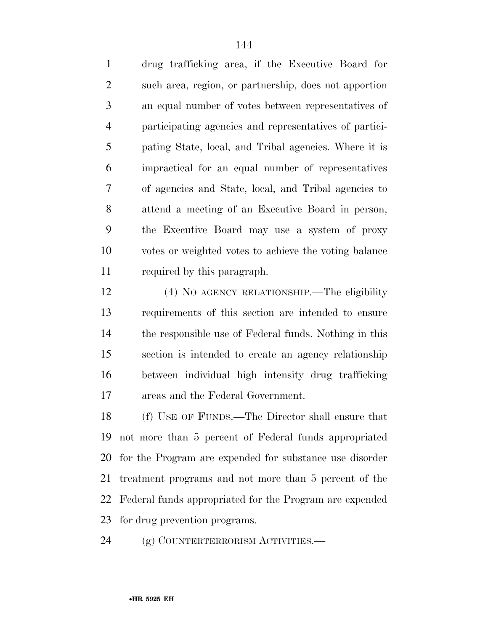drug trafficking area, if the Executive Board for such area, region, or partnership, does not apportion an equal number of votes between representatives of participating agencies and representatives of partici- pating State, local, and Tribal agencies. Where it is impractical for an equal number of representatives of agencies and State, local, and Tribal agencies to attend a meeting of an Executive Board in person, the Executive Board may use a system of proxy votes or weighted votes to achieve the voting balance required by this paragraph.

 (4) NO AGENCY RELATIONSHIP.—The eligibility requirements of this section are intended to ensure the responsible use of Federal funds. Nothing in this section is intended to create an agency relationship between individual high intensity drug trafficking areas and the Federal Government.

 (f) USE OF FUNDS.—The Director shall ensure that not more than 5 percent of Federal funds appropriated for the Program are expended for substance use disorder treatment programs and not more than 5 percent of the Federal funds appropriated for the Program are expended for drug prevention programs.

24 (g) COUNTERTERRORISM ACTIVITIES.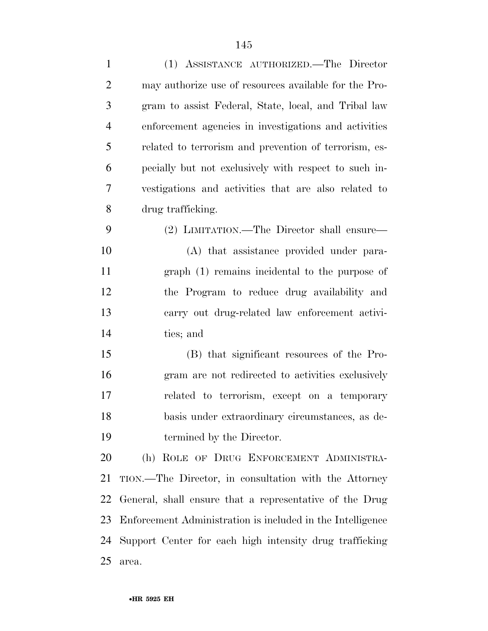| $\mathbf{1}$   | (1) ASSISTANCE AUTHORIZED.—The Director                    |
|----------------|------------------------------------------------------------|
| $\overline{2}$ | may authorize use of resources available for the Pro-      |
| 3              | gram to assist Federal, State, local, and Tribal law       |
| $\overline{4}$ | enforcement agencies in investigations and activities      |
| 5              | related to terrorism and prevention of terrorism, es-      |
| 6              | pecially but not exclusively with respect to such in-      |
| $\tau$         | vestigations and activities that are also related to       |
| 8              | drug trafficking.                                          |
| 9              | (2) LIMITATION.—The Director shall ensure—                 |
| 10             | (A) that assistance provided under para-                   |
| 11             | graph (1) remains incidental to the purpose of             |
| 12             | the Program to reduce drug availability and                |
| 13             | carry out drug-related law enforcement activi-             |
| 14             | ties; and                                                  |
| 15             | (B) that significant resources of the Pro-                 |
| 16             | gram are not redirected to activities exclusively          |
| 17             | related to terrorism, except on a temporary                |
| 18             | basis under extraordinary circumstances, as de-            |
| 19             | termined by the Director.                                  |
| 20             | (h) ROLE OF DRUG ENFORCEMENT ADMINISTRA-                   |
| 21             | TION.—The Director, in consultation with the Attorney      |
| 22             | General, shall ensure that a representative of the Drug    |
| 23             | Enforcement Administration is included in the Intelligence |
| 24             | Support Center for each high intensity drug trafficking    |
| 25             | area.                                                      |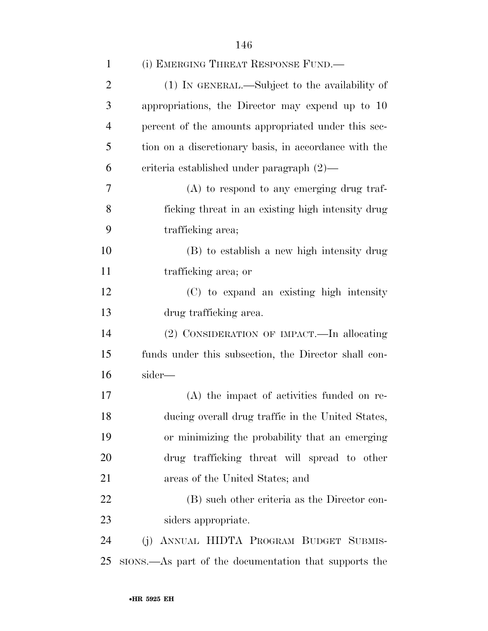| $\mathbf{1}$   | (i) EMERGING THREAT RESPONSE FUND.—                   |
|----------------|-------------------------------------------------------|
| $\overline{2}$ | (1) IN GENERAL.—Subject to the availability of        |
| 3              | appropriations, the Director may expend up to 10      |
| $\overline{4}$ | percent of the amounts appropriated under this sec-   |
| 5              | tion on a discretionary basis, in accordance with the |
| 6              | criteria established under paragraph $(2)$ —          |
| 7              | $(A)$ to respond to any emerging drug traf-           |
| 8              | ficking threat in an existing high intensity drug     |
| 9              | trafficking area;                                     |
| 10             | (B) to establish a new high intensity drug            |
| 11             | trafficking area; or                                  |
| 12             | (C) to expand an existing high intensity              |
| 13             | drug trafficking area.                                |
| 14             | (2) CONSIDERATION OF IMPACT.—In allocating            |
| 15             | funds under this subsection, the Director shall con-  |
| 16             | sider-                                                |
| 17             | (A) the impact of activities funded on re-            |
| 18             | ducing overall drug traffic in the United States,     |
| 19             | or minimizing the probability that an emerging        |
| 20             | drug trafficking threat will spread to other          |
| 21             | areas of the United States; and                       |
| 22             | (B) such other criteria as the Director con-          |
| 23             | siders appropriate.                                   |
| 24             | (j) ANNUAL HIDTA PROGRAM BUDGET SUBMIS-               |
| 25             | stons.—As part of the documentation that supports the |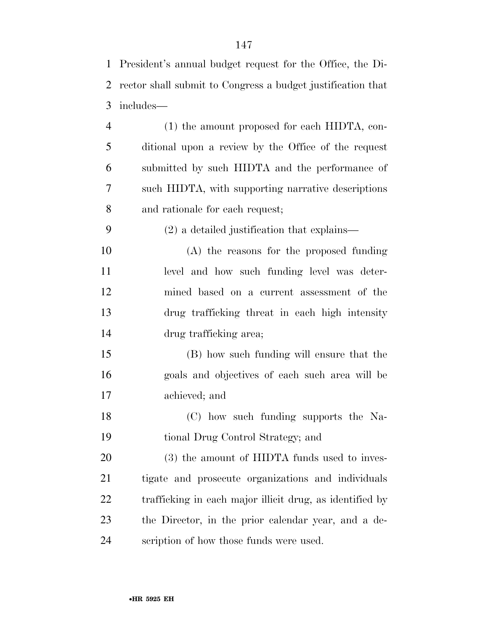| $\mathbf{1}$   | President's annual budget request for the Office, the Di-   |
|----------------|-------------------------------------------------------------|
| $\overline{2}$ | rector shall submit to Congress a budget justification that |
| 3              | includes—                                                   |
| $\overline{4}$ | $(1)$ the amount proposed for each HIDTA, con-              |
| 5              | ditional upon a review by the Office of the request         |
| 6              | submitted by such HIDTA and the performance of              |
| 7              | such HIDTA, with supporting narrative descriptions          |
| 8              | and rationale for each request;                             |
| 9              | $(2)$ a detailed justification that explains—               |
| 10             | $(A)$ the reasons for the proposed funding                  |
| 11             | level and how such funding level was deter-                 |
| 12             | mined based on a current assessment of the                  |
| 13             | drug trafficking threat in each high intensity              |
| 14             | drug trafficking area;                                      |
| 15             | (B) how such funding will ensure that the                   |
| 16             | goals and objectives of each such area will be              |
| 17             | achieved; and                                               |
| 18             | (C) how such funding supports the Na-                       |
| 19             | tional Drug Control Strategy; and                           |
| 20             | (3) the amount of HIDTA funds used to inves-                |
| 21             | tigate and prosecute organizations and individuals          |
| 22             | trafficking in each major illicit drug, as identified by    |
| 23             | the Director, in the prior calendar year, and a de-         |
| 24             | scription of how those funds were used.                     |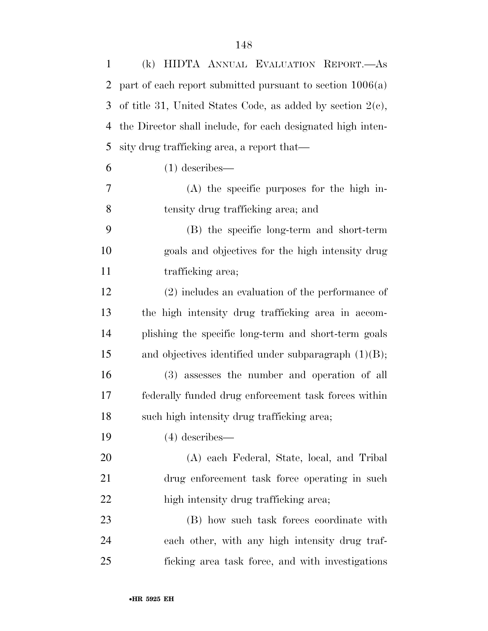| $\mathbf{1}$   | (k) HIDTA ANNUAL EVALUATION REPORT.-As                        |
|----------------|---------------------------------------------------------------|
| $\overline{2}$ | part of each report submitted pursuant to section $1006(a)$   |
| 3              | of title 31, United States Code, as added by section $2(e)$ , |
| 4              | the Director shall include, for each designated high inten-   |
| 5              | sity drug trafficking area, a report that—                    |
| 6              | $(1)$ describes—                                              |
| 7              | $(A)$ the specific purposes for the high in-                  |
| 8              | tensity drug trafficking area; and                            |
| 9              | (B) the specific long-term and short-term                     |
| 10             | goals and objectives for the high intensity drug              |
| 11             | trafficking area;                                             |
| 12             | $(2)$ includes an evaluation of the performance of            |
| 13             | the high intensity drug trafficking area in accom-            |
| 14             | plishing the specific long-term and short-term goals          |
| 15             | and objectives identified under subparagraph $(1)(B)$ ;       |
| 16             | (3) assesses the number and operation of all                  |
| 17             | federally funded drug enforcement task forces within          |
| 18             | such high intensity drug trafficking area;                    |
| 19             | $(4)$ describes—                                              |
| 20             | (A) each Federal, State, local, and Tribal                    |
| 21             | drug enforcement task force operating in such                 |
| 22             | high intensity drug trafficking area;                         |
| 23             | (B) how such task forces coordinate with                      |
| 24             | each other, with any high intensity drug traf-                |
| 25             | ficking area task force, and with investigations              |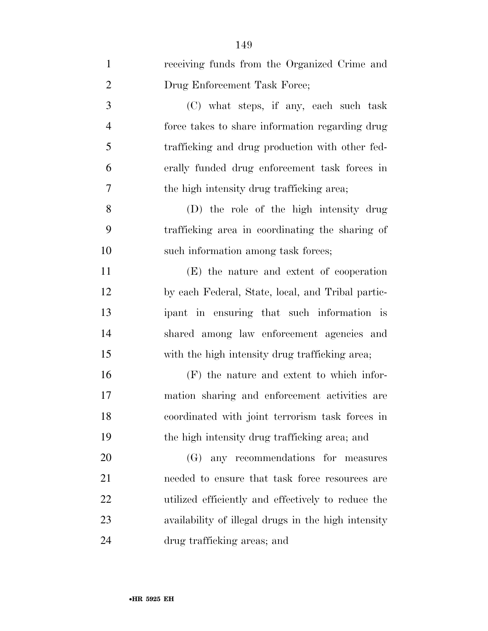| $\mathbf{1}$   | receiving funds from the Organized Crime and        |
|----------------|-----------------------------------------------------|
| $\overline{2}$ | Drug Enforcement Task Force;                        |
| 3              | (C) what steps, if any, each such task              |
| $\overline{4}$ | force takes to share information regarding drug     |
| 5              | trafficking and drug production with other fed-     |
| 6              | erally funded drug enforcement task forces in       |
| $\overline{7}$ | the high intensity drug trafficking area;           |
| 8              | (D) the role of the high intensity drug             |
| 9              | trafficking area in coordinating the sharing of     |
| 10             | such information among task forces;                 |
| 11             | (E) the nature and extent of cooperation            |
| 12             | by each Federal, State, local, and Tribal partic-   |
| 13             | ipant in ensuring that such information is          |
| 14             | shared among law enforcement agencies and           |
| 15             | with the high intensity drug trafficking area;      |
| 16             | (F) the nature and extent to which infor-           |
| 17             | mation sharing and enforcement activities are       |
| 18             | coordinated with joint terrorism task forces in     |
| 19             | the high intensity drug trafficking area; and       |
| 20             | any recommendations for measures<br>(G)             |
| 21             | needed to ensure that task force resources are      |
| 22             | utilized efficiently and effectively to reduce the  |
| 23             | availability of illegal drugs in the high intensity |
| 24             | drug trafficking areas; and                         |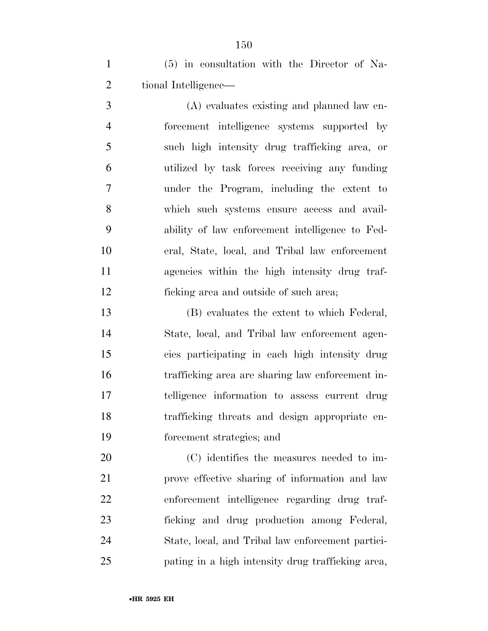(5) in consultation with the Director of Na-tional Intelligence—

 (A) evaluates existing and planned law en- forcement intelligence systems supported by such high intensity drug trafficking area, or utilized by task forces receiving any funding under the Program, including the extent to which such systems ensure access and avail- ability of law enforcement intelligence to Fed- eral, State, local, and Tribal law enforcement agencies within the high intensity drug traf-ficking area and outside of such area;

 (B) evaluates the extent to which Federal, State, local, and Tribal law enforcement agen- cies participating in each high intensity drug trafficking area are sharing law enforcement in- telligence information to assess current drug trafficking threats and design appropriate en-forcement strategies; and

 (C) identifies the measures needed to im- prove effective sharing of information and law enforcement intelligence regarding drug traf- ficking and drug production among Federal, State, local, and Tribal law enforcement partici-pating in a high intensity drug trafficking area,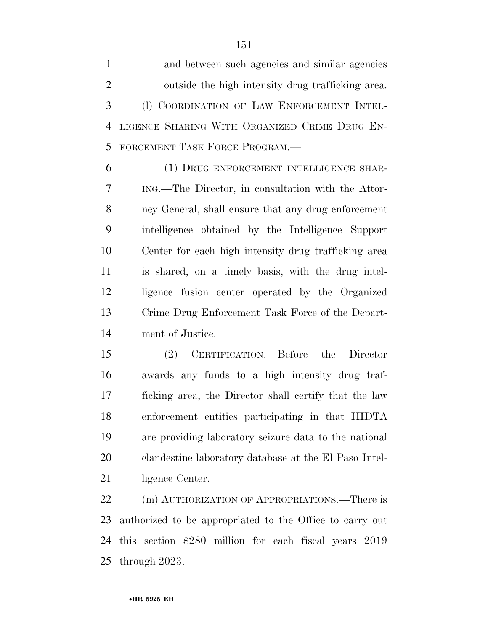and between such agencies and similar agencies outside the high intensity drug trafficking area. (l) COORDINATION OF LAW ENFORCEMENT INTEL- LIGENCE SHARING WITH ORGANIZED CRIME DRUG EN-FORCEMENT TASK FORCE PROGRAM.—

 (1) DRUG ENFORCEMENT INTELLIGENCE SHAR- ING.—The Director, in consultation with the Attor- ney General, shall ensure that any drug enforcement intelligence obtained by the Intelligence Support Center for each high intensity drug trafficking area is shared, on a timely basis, with the drug intel- ligence fusion center operated by the Organized Crime Drug Enforcement Task Force of the Depart-ment of Justice.

 (2) CERTIFICATION.—Before the Director awards any funds to a high intensity drug traf- ficking area, the Director shall certify that the law enforcement entities participating in that HIDTA are providing laboratory seizure data to the national clandestine laboratory database at the El Paso Intel-21 ligence Center.

22 (m) AUTHORIZATION OF APPROPRIATIONS.—There is authorized to be appropriated to the Office to carry out this section \$280 million for each fiscal years 2019 through 2023.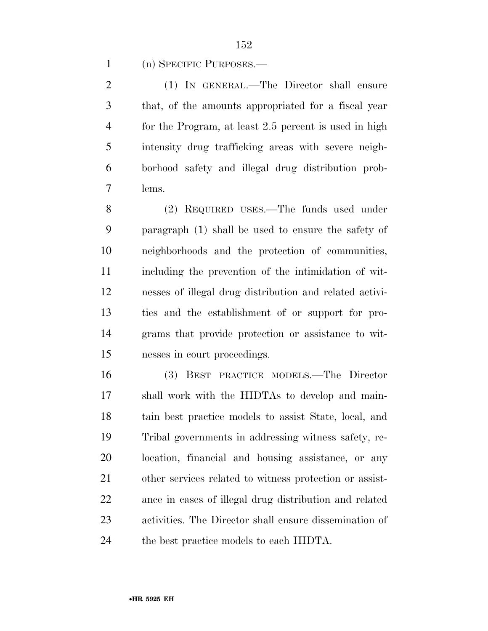(n) SPECIFIC PURPOSES.—

 (1) IN GENERAL.—The Director shall ensure that, of the amounts appropriated for a fiscal year for the Program, at least 2.5 percent is used in high intensity drug trafficking areas with severe neigh- borhood safety and illegal drug distribution prob-lems.

 (2) REQUIRED USES.—The funds used under paragraph (1) shall be used to ensure the safety of neighborhoods and the protection of communities, including the prevention of the intimidation of wit- nesses of illegal drug distribution and related activi- ties and the establishment of or support for pro- grams that provide protection or assistance to wit-nesses in court proceedings.

 (3) BEST PRACTICE MODELS.—The Director shall work with the HIDTAs to develop and main- tain best practice models to assist State, local, and Tribal governments in addressing witness safety, re- location, financial and housing assistance, or any other services related to witness protection or assist- ance in cases of illegal drug distribution and related activities. The Director shall ensure dissemination of the best practice models to each HIDTA.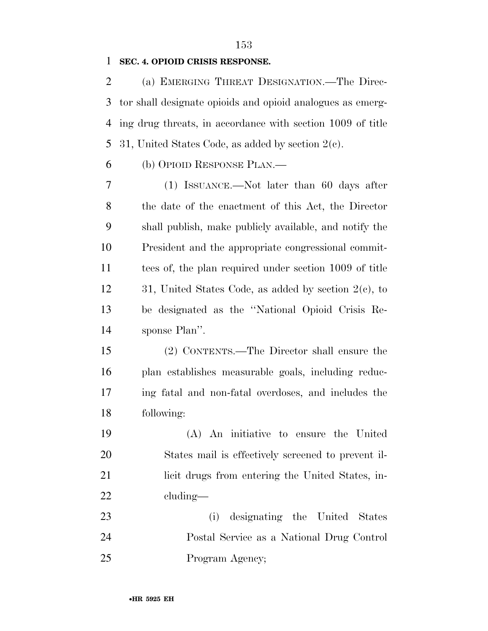### **SEC. 4. OPIOID CRISIS RESPONSE.**

 (a) EMERGING THREAT DESIGNATION.—The Direc- tor shall designate opioids and opioid analogues as emerg- ing drug threats, in accordance with section 1009 of title 31, United States Code, as added by section 2(c).

(b) OPIOID RESPONSE PLAN.—

 (1) ISSUANCE.—Not later than 60 days after the date of the enactment of this Act, the Director shall publish, make publicly available, and notify the President and the appropriate congressional commit- tees of, the plan required under section 1009 of title 31, United States Code, as added by section 2(c), to be designated as the ''National Opioid Crisis Re-sponse Plan''.

 (2) CONTENTS.—The Director shall ensure the plan establishes measurable goals, including reduc- ing fatal and non-fatal overdoses, and includes the following:

 (A) An initiative to ensure the United States mail is effectively screened to prevent il-21 licit drugs from entering the United States, in-cluding—

 (i) designating the United States Postal Service as a National Drug Control 25 Program Agency;

####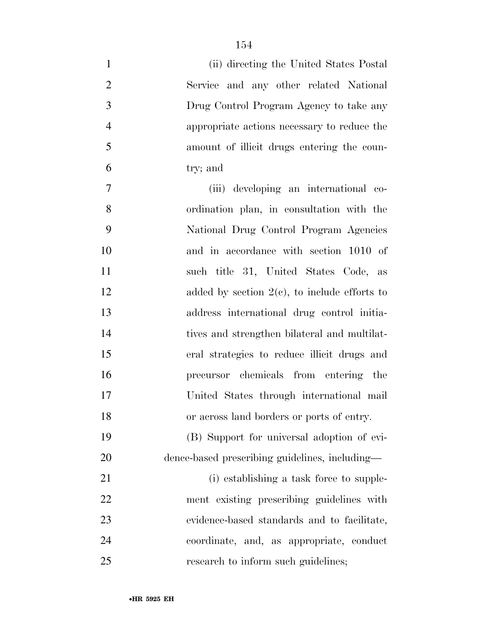| $\mathbf{1}$   | (ii) directing the United States Postal         |
|----------------|-------------------------------------------------|
| $\overline{2}$ | Service and any other related National          |
| 3              | Drug Control Program Agency to take any         |
| $\overline{4}$ | appropriate actions necessary to reduce the     |
| 5              | amount of illicit drugs entering the coun-      |
| 6              | try; and                                        |
| $\tau$         | (iii) developing an international co-           |
| 8              | ordination plan, in consultation with the       |
| 9              | National Drug Control Program Agencies          |
| 10             | and in accordance with section 1010 of          |
| 11             | such title 31, United States Code, as           |
| 12             | added by section $2(e)$ , to include efforts to |
| 13             | address international drug control initia-      |
| 14             | tives and strengthen bilateral and multilat-    |
| 15             | eral strategies to reduce illicit drugs and     |
| 16             | precursor chemicals from entering the           |
| 17             | United States through international mail        |
| 18             | or across land borders or ports of entry.       |
| 19             | (B) Support for universal adoption of evi-      |
| 20             | dence-based prescribing guidelines, including—  |
| 21             | (i) establishing a task force to supple-        |
| 22             | ment existing prescribing guidelines with       |
| 23             | evidence-based standards and to facilitate,     |
| 24             | coordinate, and, as appropriate, conduct        |
| 25             | research to inform such guidelines;             |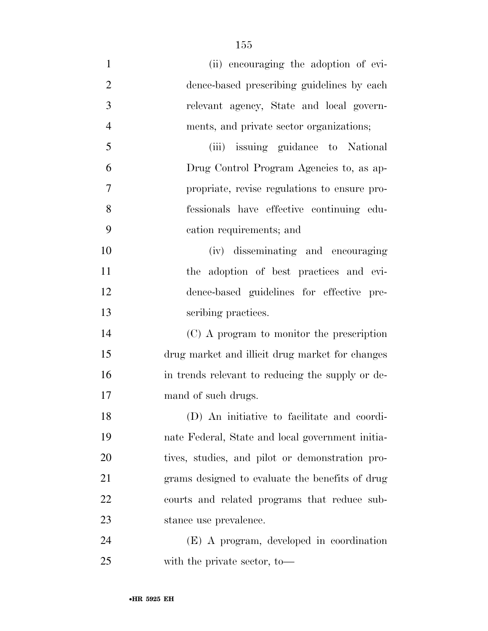| $\mathbf{1}$   | (ii) encouraging the adoption of evi-            |
|----------------|--------------------------------------------------|
| $\overline{2}$ | dence-based prescribing guidelines by each       |
| 3              | relevant agency, State and local govern-         |
| $\overline{4}$ | ments, and private sector organizations;         |
| 5              | issuing guidance to National<br>(iii)            |
| 6              | Drug Control Program Agencies to, as ap-         |
| 7              | propriate, revise regulations to ensure pro-     |
| 8              | fessionals have effective continuing edu-        |
| 9              | cation requirements; and                         |
| 10             | (iv) disseminating and encouraging               |
| 11             | the adoption of best practices and evi-          |
| 12             | dence-based guidelines for effective pre-        |
| 13             | scribing practices.                              |
| 14             | (C) A program to monitor the prescription        |
| 15             | drug market and illicit drug market for changes  |
| 16             | in trends relevant to reducing the supply or de- |
| 17             | mand of such drugs.                              |
| 18             | (D) An initiative to facilitate and coordi-      |
| 19             | nate Federal, State and local government initia- |
| 20             | tives, studies, and pilot or demonstration pro-  |
| 21             | grams designed to evaluate the benefits of drug  |
| 22             | courts and related programs that reduce sub-     |
| 23             | stance use prevalence.                           |
| 24             | (E) A program, developed in coordination         |
| 25             | with the private sector, to-                     |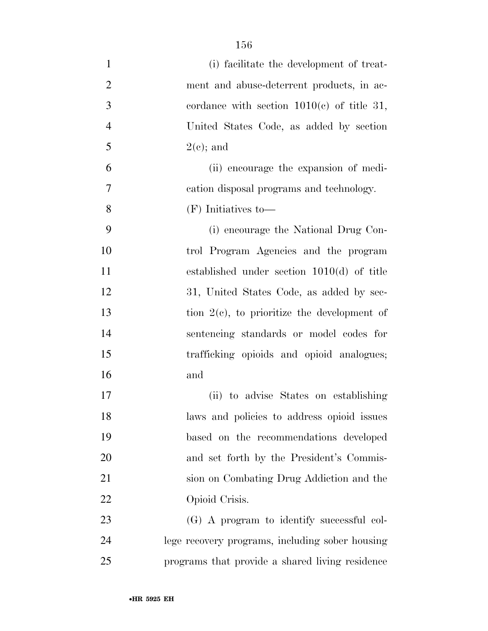| $\mathbf{1}$   | (i) facilitate the development of treat-        |
|----------------|-------------------------------------------------|
| $\overline{2}$ | ment and abuse-deterrent products, in ac-       |
| 3              | cordance with section $1010(c)$ of title 31,    |
| $\overline{4}$ | United States Code, as added by section         |
| 5              | $2(e)$ ; and                                    |
| 6              | (ii) encourage the expansion of medi-           |
| 7              | cation disposal programs and technology.        |
| 8              | $(F)$ Initiatives to-                           |
| 9              | (i) encourage the National Drug Con-            |
| 10             | trol Program Agencies and the program           |
| 11             | established under section $1010(d)$ of title    |
| 12             | 31, United States Code, as added by sec-        |
| 13             | tion $2(c)$ , to prioritize the development of  |
| 14             | sentencing standards or model codes for         |
| 15             | trafficking opioids and opioid analogues;       |
| 16             | and                                             |
| 17             | (ii) to advise States on establishing           |
| 18             | laws and policies to address opioid issues      |
| 19             | based on the recommendations developed          |
| 20             | and set forth by the President's Commis-        |
| 21             | sion on Combating Drug Addiction and the        |
| 22             | Opioid Crisis.                                  |
| 23             | (G) A program to identify successful col-       |
| 24             | lege recovery programs, including sober housing |
| 25             | programs that provide a shared living residence |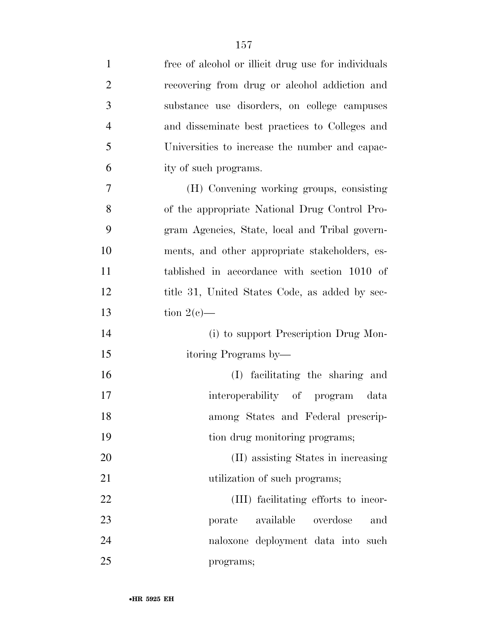| $\mathbf{1}$   | free of alcohol or illicit drug use for individuals |
|----------------|-----------------------------------------------------|
| $\overline{2}$ | recovering from drug or alcohol addiction and       |
| 3              | substance use disorders, on college campuses        |
| $\overline{4}$ | and disseminate best practices to Colleges and      |
| 5              | Universities to increase the number and capac-      |
| 6              | ity of such programs.                               |
| 7              | (H) Convening working groups, consisting            |
| 8              | of the appropriate National Drug Control Pro-       |
| 9              | gram Agencies, State, local and Tribal govern-      |
| 10             | ments, and other appropriate stakeholders, es-      |
| 11             | tablished in accordance with section 1010 of        |
| 12             | title 31, United States Code, as added by sec-      |
| 13             | tion $2(e)$ —                                       |
| 14             | (i) to support Prescription Drug Mon-               |
| 15             | itoring Programs by—                                |
| 16             | (I) facilitating the sharing and                    |
| 17             | interoperability of program data                    |
| 18             | among States and Federal prescrip-                  |
| 19             | tion drug monitoring programs;                      |
| 20             | (II) assisting States in increasing                 |
| 21             | utilization of such programs;                       |
| 22             | (III) facilitating efforts to incor-                |
| 23             | available<br>overdose<br>porate<br>and              |
| 24             | naloxone deployment data into such                  |
| 25             | programs;                                           |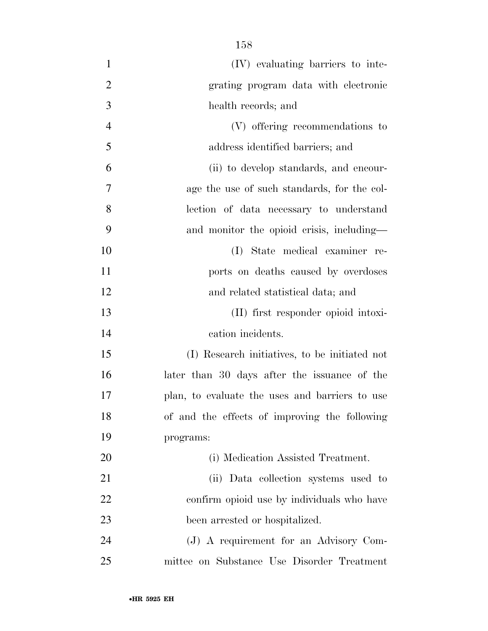| $\mathbf{1}$   | (IV) evaluating barriers to inte-              |
|----------------|------------------------------------------------|
| $\overline{2}$ | grating program data with electronic           |
| 3              | health records; and                            |
| $\overline{4}$ | (V) offering recommendations to                |
| 5              | address identified barriers; and               |
| 6              | (ii) to develop standards, and encour-         |
| 7              | age the use of such standards, for the col-    |
| 8              | lection of data necessary to understand        |
| 9              | and monitor the opioid crisis, including—      |
| 10             | State medical examiner re-<br>(I)              |
| 11             | ports on deaths caused by overdoses            |
| 12             | and related statistical data; and              |
| 13             | (II) first responder opioid intoxi-            |
| 14             | cation incidents.                              |
| 15             | (I) Research initiatives, to be initiated not  |
| 16             | later than 30 days after the issuance of the   |
| 17             | plan, to evaluate the uses and barriers to use |
| 18             | of and the effects of improving the following  |
| 19             | programs:                                      |
| 20             | (i) Medication Assisted Treatment.             |
| 21             | (ii) Data collection systems used to           |
| 22             | confirm opioid use by individuals who have     |
| 23             | been arrested or hospitalized.                 |
| 24             | (J) A requirement for an Advisory Com-         |
| 25             | mittee on Substance Use Disorder Treatment     |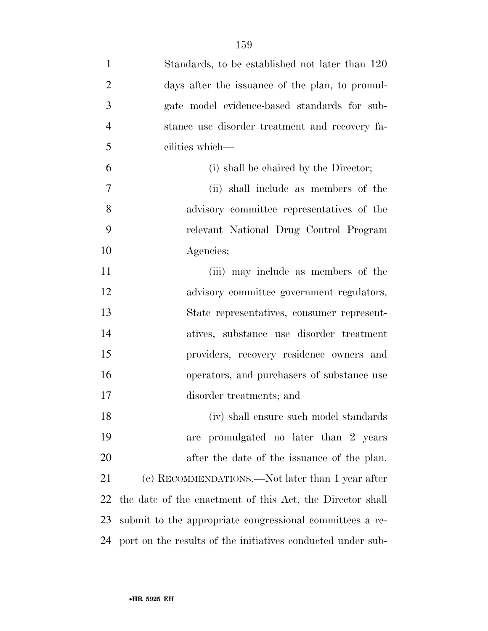| $\mathbf{1}$   | Standards, to be established not later than 120             |
|----------------|-------------------------------------------------------------|
| $\overline{2}$ | days after the issuance of the plan, to promul-             |
| 3              | gate model evidence-based standards for sub-                |
| $\overline{4}$ | stance use disorder treatment and recovery fa-              |
| 5              | cilities which-                                             |
| 6              | (i) shall be chaired by the Director;                       |
| 7              | (ii) shall include as members of the                        |
| 8              | advisory committee representatives of the                   |
| 9              | relevant National Drug Control Program                      |
| 10             | Agencies;                                                   |
| 11             | (iii) may include as members of the                         |
| 12             | advisory committee government regulators,                   |
| 13             | State representatives, consumer represent-                  |
| 14             | atives, substance use disorder treatment                    |
| 15             | providers, recovery residence owners and                    |
| 16             | operators, and purchasers of substance use                  |
| 17             | disorder treatments; and                                    |
| 18             | (iv) shall ensure such model standards                      |
| 19             | are promulgated no later than 2 years                       |
| 20             | after the date of the issuance of the plan.                 |
| 21             | (c) RECOMMENDATIONS.—Not later than 1 year after            |
| 22             | the date of the enactment of this Act, the Director shall   |
| 23             | submit to the appropriate congressional committees a re-    |
| 24             | port on the results of the initiatives conducted under sub- |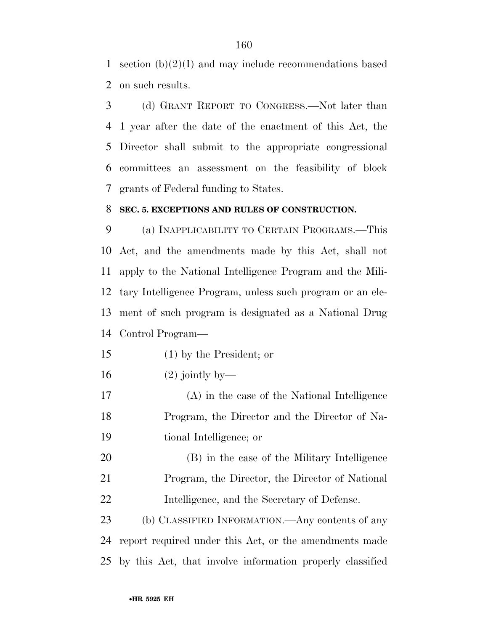section (b)(2)(I) and may include recommendations based on such results.

 (d) GRANT REPORT TO CONGRESS.—Not later than 1 year after the date of the enactment of this Act, the Director shall submit to the appropriate congressional committees an assessment on the feasibility of block grants of Federal funding to States.

#### **SEC. 5. EXCEPTIONS AND RULES OF CONSTRUCTION.**

 (a) INAPPLICABILITY TO CERTAIN PROGRAMS.—This Act, and the amendments made by this Act, shall not apply to the National Intelligence Program and the Mili- tary Intelligence Program, unless such program or an ele- ment of such program is designated as a National Drug Control Program—

(1) by the President; or

- $16 \qquad (2)$  jointly by—
- (A) in the case of the National Intelligence Program, the Director and the Director of Na-tional Intelligence; or
- (B) in the case of the Military Intelligence Program, the Director, the Director of National Intelligence, and the Secretary of Defense.

 (b) CLASSIFIED INFORMATION.—Any contents of any report required under this Act, or the amendments made by this Act, that involve information properly classified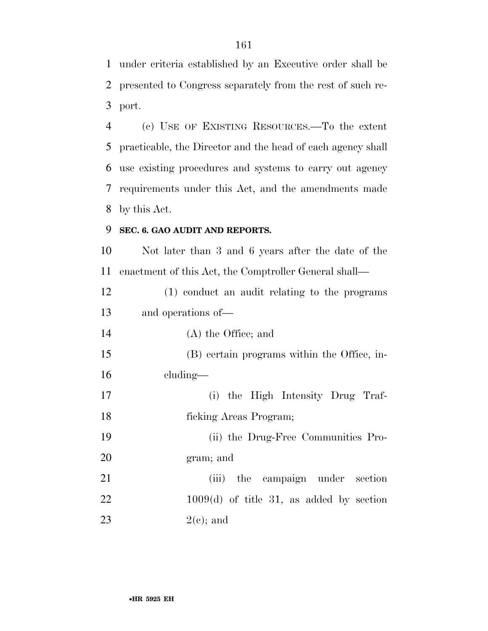under criteria established by an Executive order shall be presented to Congress separately from the rest of such re-port.

 (c) USE OF EXISTING RESOURCES.—To the extent practicable, the Director and the head of each agency shall use existing procedures and systems to carry out agency requirements under this Act, and the amendments made by this Act.

## **SEC. 6. GAO AUDIT AND REPORTS.**

 Not later than 3 and 6 years after the date of the enactment of this Act, the Comptroller General shall—

 (1) conduct an audit relating to the programs and operations of—

(A) the Office; and

 (B) certain programs within the Office, in-cluding—

 (i) the High Intensity Drug Traf- ficking Areas Program; (ii) the Drug-Free Communities Pro-

gram; and

21 (iii) the campaign under section 1009(d) of title 31, as added by section 23  $2(e)$ ; and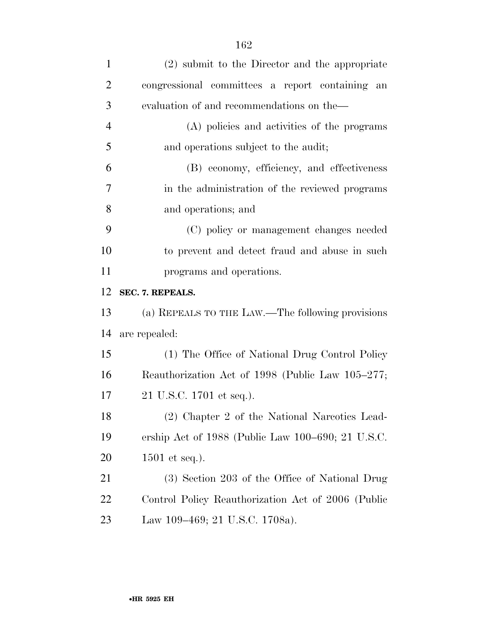| $\mathbf{1}$   | (2) submit to the Director and the appropriate         |
|----------------|--------------------------------------------------------|
| $\overline{2}$ | congressional committees a report containing an        |
| 3              | evaluation of and recommendations on the—              |
| $\overline{4}$ | (A) policies and activities of the programs            |
| 5              | and operations subject to the audit;                   |
| 6              | (B) economy, efficiency, and effectiveness             |
| 7              | in the administration of the reviewed programs         |
| 8              | and operations; and                                    |
| 9              | (C) policy or management changes needed                |
| 10             | to prevent and detect fraud and abuse in such          |
| 11             | programs and operations.                               |
| 12             | SEC. 7. REPEALS.                                       |
| 13             | (a) REPEALS TO THE LAW.—The following provisions       |
| 14             | are repealed:                                          |
| 15             | (1) The Office of National Drug Control Policy         |
| 16             | Reauthorization Act of 1998 (Public Law 105–277;       |
| 17             | 21 U.S.C. 1701 et seq.).                               |
| 18             | (2) Chapter 2 of the National Narcotics Lead-          |
| 19             | ership Act of $1988$ (Public Law $100-690$ ; 21 U.S.C. |
| 20             | $1501$ et seq.).                                       |
| 21             | (3) Section 203 of the Office of National Drug         |
| 22             | Control Policy Reauthorization Act of 2006 (Public     |
| 23             | Law 109-469; 21 U.S.C. 1708a).                         |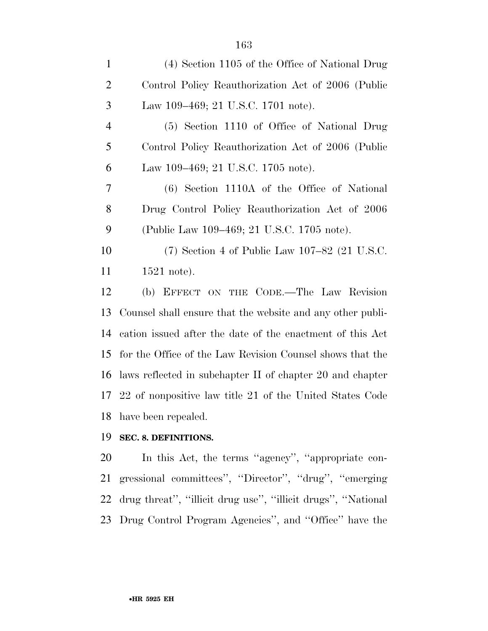| $\mathbf{1}$   | (4) Section 1105 of the Office of National Drug            |
|----------------|------------------------------------------------------------|
| $\overline{2}$ | Control Policy Reauthorization Act of 2006 (Public         |
| 3              | Law 109–469; 21 U.S.C. 1701 note).                         |
| $\overline{4}$ | (5) Section 1110 of Office of National Drug                |
| 5              | Control Policy Reauthorization Act of 2006 (Public         |
| 6              | Law 109–469; 21 U.S.C. 1705 note).                         |
| 7              | (6) Section 1110A of the Office of National                |
| 8              | Drug Control Policy Reauthorization Act of 2006            |
| 9              | (Public Law 109–469; 21 U.S.C. 1705 note).                 |
| 10             | $(7)$ Section 4 of Public Law 107–82 (21 U.S.C.            |
| 11             | $1521$ note).                                              |
| 12             | (b) EFFECT ON THE CODE.—The Law Revision                   |
| 13             | Counsel shall ensure that the website and any other publi- |
| 14             | cation issued after the date of the enactment of this Act  |
| 15             | for the Office of the Law Revision Counsel shows that the  |
| 16             | laws reflected in subchapter II of chapter 20 and chapter  |
| 17             | 22 of nonpositive law title 21 of the United States Code   |
| 18             |                                                            |

# **SEC. 8. DEFINITIONS.**

 In this Act, the terms ''agency'', ''appropriate con- gressional committees'', ''Director'', ''drug'', ''emerging drug threat'', ''illicit drug use'', ''illicit drugs'', ''National Drug Control Program Agencies'', and ''Office'' have the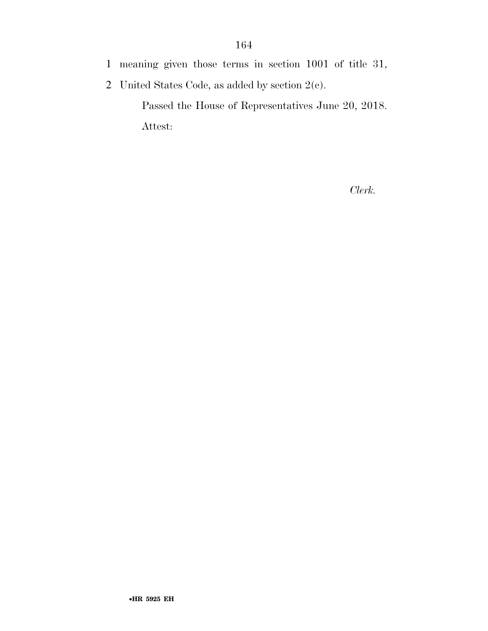- 1 meaning given those terms in section 1001 of title 31,
- 2 United States Code, as added by section 2(c).

Passed the House of Representatives June 20, 2018. Attest:

*Clerk.*